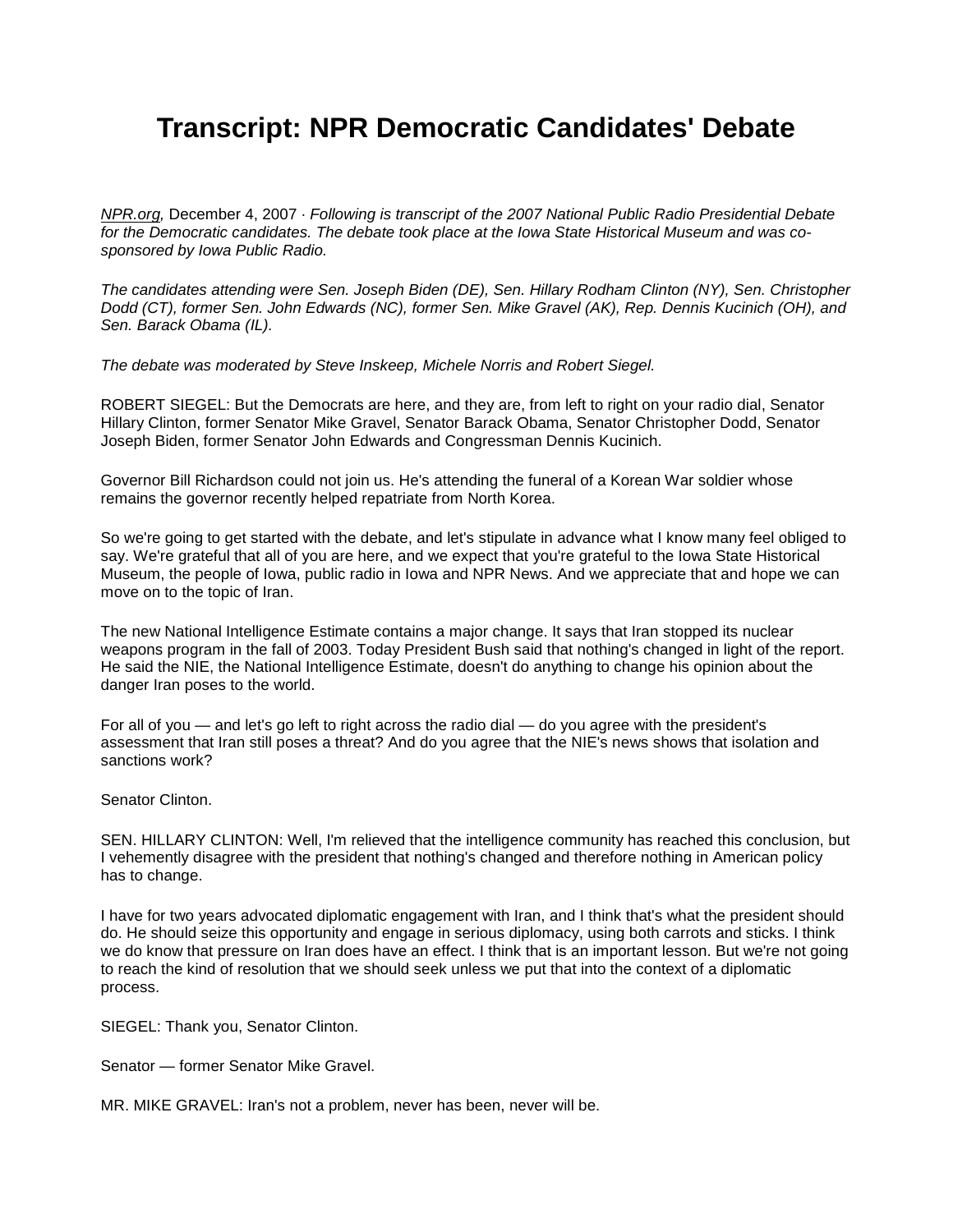# **Transcript: NPR Democratic Candidates' Debate**

NPR.org, December 4, 2007 · Following is transcript of the 2007 National Public Radio Presidential Debate for the Democratic candidates. The debate took place at the Iowa State Historical Museum and was cosponsored by Iowa Public Radio.

The candidates attending were Sen. Joseph Biden (DE), Sen. Hillary Rodham Clinton (NY), Sen. Christopher Dodd (CT), former Sen. John Edwards (NC), former Sen. Mike Gravel (AK), Rep. Dennis Kucinich (OH), and Sen. Barack Obama (IL).

The debate was moderated by Steve Inskeep, Michele Norris and Robert Siegel.

ROBERT SIEGEL: But the Democrats are here, and they are, from left to right on your radio dial, Senator Hillary Clinton, former Senator Mike Gravel, Senator Barack Obama, Senator Christopher Dodd, Senator Joseph Biden, former Senator John Edwards and Congressman Dennis Kucinich.

Governor Bill Richardson could not join us. He's attending the funeral of a Korean War soldier whose remains the governor recently helped repatriate from North Korea.

So we're going to get started with the debate, and let's stipulate in advance what I know many feel obliged to say. We're grateful that all of you are here, and we expect that you're grateful to the Iowa State Historical Museum, the people of Iowa, public radio in Iowa and NPR News. And we appreciate that and hope we can move on to the topic of Iran.

The new National Intelligence Estimate contains a major change. It says that Iran stopped its nuclear weapons program in the fall of 2003. Today President Bush said that nothing's changed in light of the report. He said the NIE, the National Intelligence Estimate, doesn't do anything to change his opinion about the danger Iran poses to the world.

For all of you — and let's go left to right across the radio dial — do you agree with the president's assessment that Iran still poses a threat? And do you agree that the NIE's news shows that isolation and sanctions work?

Senator Clinton.

SEN. HILLARY CLINTON: Well, I'm relieved that the intelligence community has reached this conclusion, but I vehemently disagree with the president that nothing's changed and therefore nothing in American policy has to change.

I have for two years advocated diplomatic engagement with Iran, and I think that's what the president should do. He should seize this opportunity and engage in serious diplomacy, using both carrots and sticks. I think we do know that pressure on Iran does have an effect. I think that is an important lesson. But we're not going to reach the kind of resolution that we should seek unless we put that into the context of a diplomatic process.

SIEGEL: Thank you, Senator Clinton.

Senator — former Senator Mike Gravel.

MR. MIKE GRAVEL: Iran's not a problem, never has been, never will be.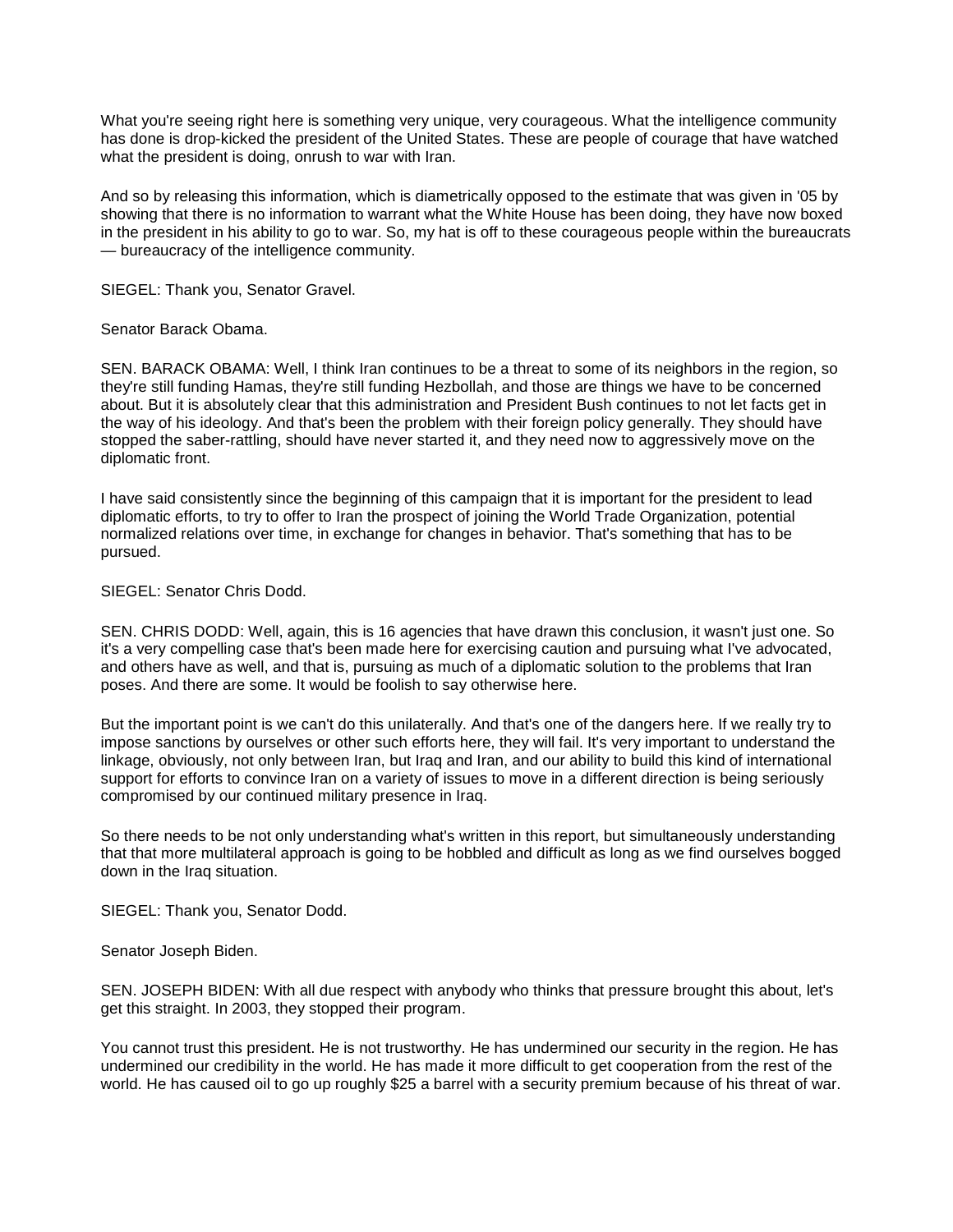What you're seeing right here is something very unique, very courageous. What the intelligence community has done is drop-kicked the president of the United States. These are people of courage that have watched what the president is doing, onrush to war with Iran.

And so by releasing this information, which is diametrically opposed to the estimate that was given in '05 by showing that there is no information to warrant what the White House has been doing, they have now boxed in the president in his ability to go to war. So, my hat is off to these courageous people within the bureaucrats — bureaucracy of the intelligence community.

SIEGEL: Thank you, Senator Gravel.

Senator Barack Obama.

SEN. BARACK OBAMA: Well, I think Iran continues to be a threat to some of its neighbors in the region, so they're still funding Hamas, they're still funding Hezbollah, and those are things we have to be concerned about. But it is absolutely clear that this administration and President Bush continues to not let facts get in the way of his ideology. And that's been the problem with their foreign policy generally. They should have stopped the saber-rattling, should have never started it, and they need now to aggressively move on the diplomatic front.

I have said consistently since the beginning of this campaign that it is important for the president to lead diplomatic efforts, to try to offer to Iran the prospect of joining the World Trade Organization, potential normalized relations over time, in exchange for changes in behavior. That's something that has to be pursued.

## SIEGEL: Senator Chris Dodd.

SEN. CHRIS DODD: Well, again, this is 16 agencies that have drawn this conclusion, it wasn't just one. So it's a very compelling case that's been made here for exercising caution and pursuing what I've advocated, and others have as well, and that is, pursuing as much of a diplomatic solution to the problems that Iran poses. And there are some. It would be foolish to say otherwise here.

But the important point is we can't do this unilaterally. And that's one of the dangers here. If we really try to impose sanctions by ourselves or other such efforts here, they will fail. It's very important to understand the linkage, obviously, not only between Iran, but Iraq and Iran, and our ability to build this kind of international support for efforts to convince Iran on a variety of issues to move in a different direction is being seriously compromised by our continued military presence in Iraq.

So there needs to be not only understanding what's written in this report, but simultaneously understanding that that more multilateral approach is going to be hobbled and difficult as long as we find ourselves bogged down in the Iraq situation.

SIEGEL: Thank you, Senator Dodd.

Senator Joseph Biden.

SEN. JOSEPH BIDEN: With all due respect with anybody who thinks that pressure brought this about, let's get this straight. In 2003, they stopped their program.

You cannot trust this president. He is not trustworthy. He has undermined our security in the region. He has undermined our credibility in the world. He has made it more difficult to get cooperation from the rest of the world. He has caused oil to go up roughly \$25 a barrel with a security premium because of his threat of war.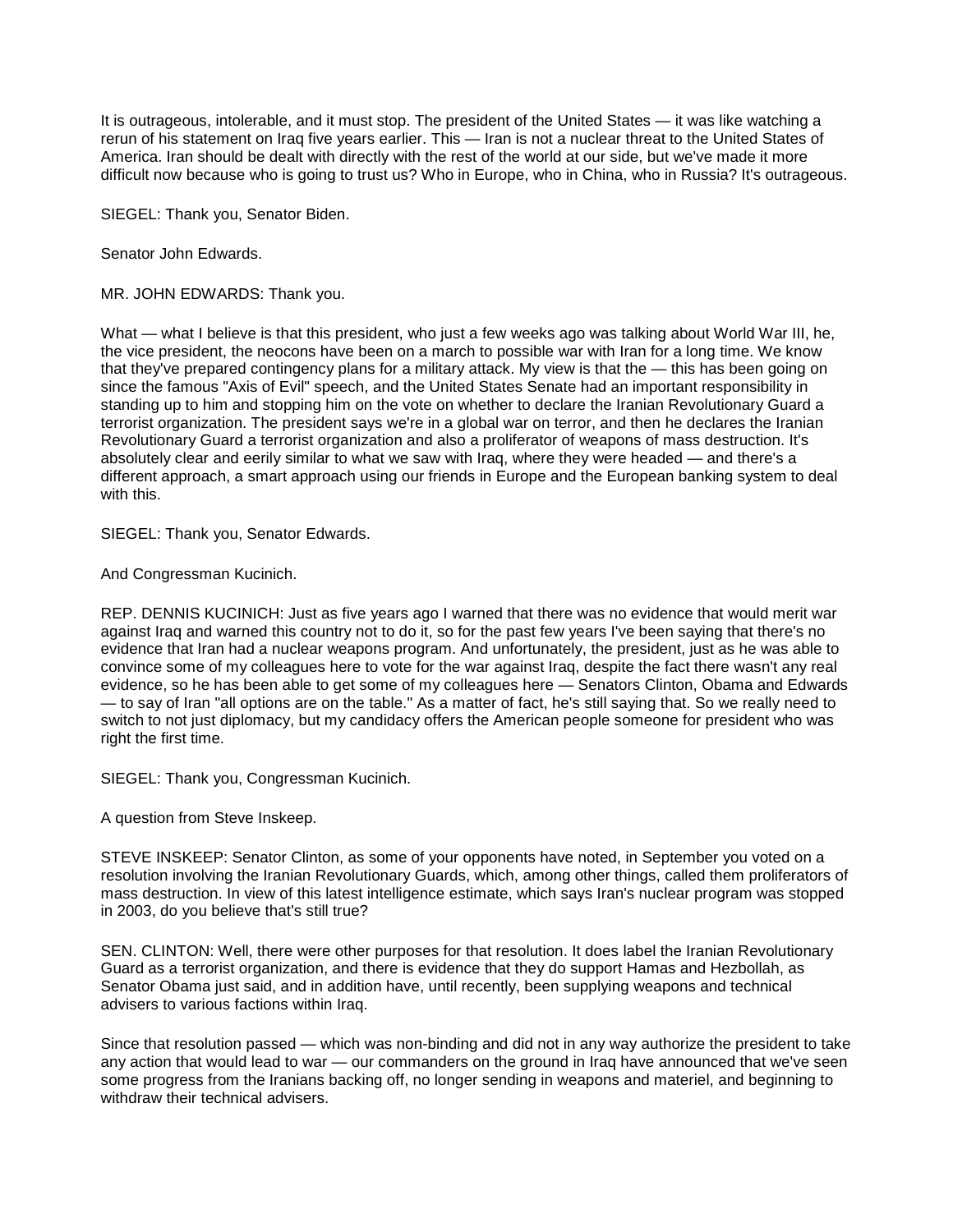It is outrageous, intolerable, and it must stop. The president of the United States — it was like watching a rerun of his statement on Iraq five years earlier. This — Iran is not a nuclear threat to the United States of America. Iran should be dealt with directly with the rest of the world at our side, but we've made it more difficult now because who is going to trust us? Who in Europe, who in China, who in Russia? It's outrageous.

SIEGEL: Thank you, Senator Biden.

Senator John Edwards.

MR. JOHN EDWARDS: Thank you.

What — what I believe is that this president, who just a few weeks ago was talking about World War III, he, the vice president, the neocons have been on a march to possible war with Iran for a long time. We know that they've prepared contingency plans for a military attack. My view is that the — this has been going on since the famous "Axis of Evil" speech, and the United States Senate had an important responsibility in standing up to him and stopping him on the vote on whether to declare the Iranian Revolutionary Guard a terrorist organization. The president says we're in a global war on terror, and then he declares the Iranian Revolutionary Guard a terrorist organization and also a proliferator of weapons of mass destruction. It's absolutely clear and eerily similar to what we saw with Iraq, where they were headed — and there's a different approach, a smart approach using our friends in Europe and the European banking system to deal with this.

SIEGEL: Thank you, Senator Edwards.

And Congressman Kucinich.

REP. DENNIS KUCINICH: Just as five years ago I warned that there was no evidence that would merit war against Iraq and warned this country not to do it, so for the past few years I've been saying that there's no evidence that Iran had a nuclear weapons program. And unfortunately, the president, just as he was able to convince some of my colleagues here to vote for the war against Iraq, despite the fact there wasn't any real evidence, so he has been able to get some of my colleagues here — Senators Clinton, Obama and Edwards — to say of Iran "all options are on the table." As a matter of fact, he's still saying that. So we really need to switch to not just diplomacy, but my candidacy offers the American people someone for president who was right the first time.

SIEGEL: Thank you, Congressman Kucinich.

A question from Steve Inskeep.

STEVE INSKEEP: Senator Clinton, as some of your opponents have noted, in September you voted on a resolution involving the Iranian Revolutionary Guards, which, among other things, called them proliferators of mass destruction. In view of this latest intelligence estimate, which says Iran's nuclear program was stopped in 2003, do you believe that's still true?

SEN. CLINTON: Well, there were other purposes for that resolution. It does label the Iranian Revolutionary Guard as a terrorist organization, and there is evidence that they do support Hamas and Hezbollah, as Senator Obama just said, and in addition have, until recently, been supplying weapons and technical advisers to various factions within Iraq.

Since that resolution passed — which was non-binding and did not in any way authorize the president to take any action that would lead to war — our commanders on the ground in Iraq have announced that we've seen some progress from the Iranians backing off, no longer sending in weapons and materiel, and beginning to withdraw their technical advisers.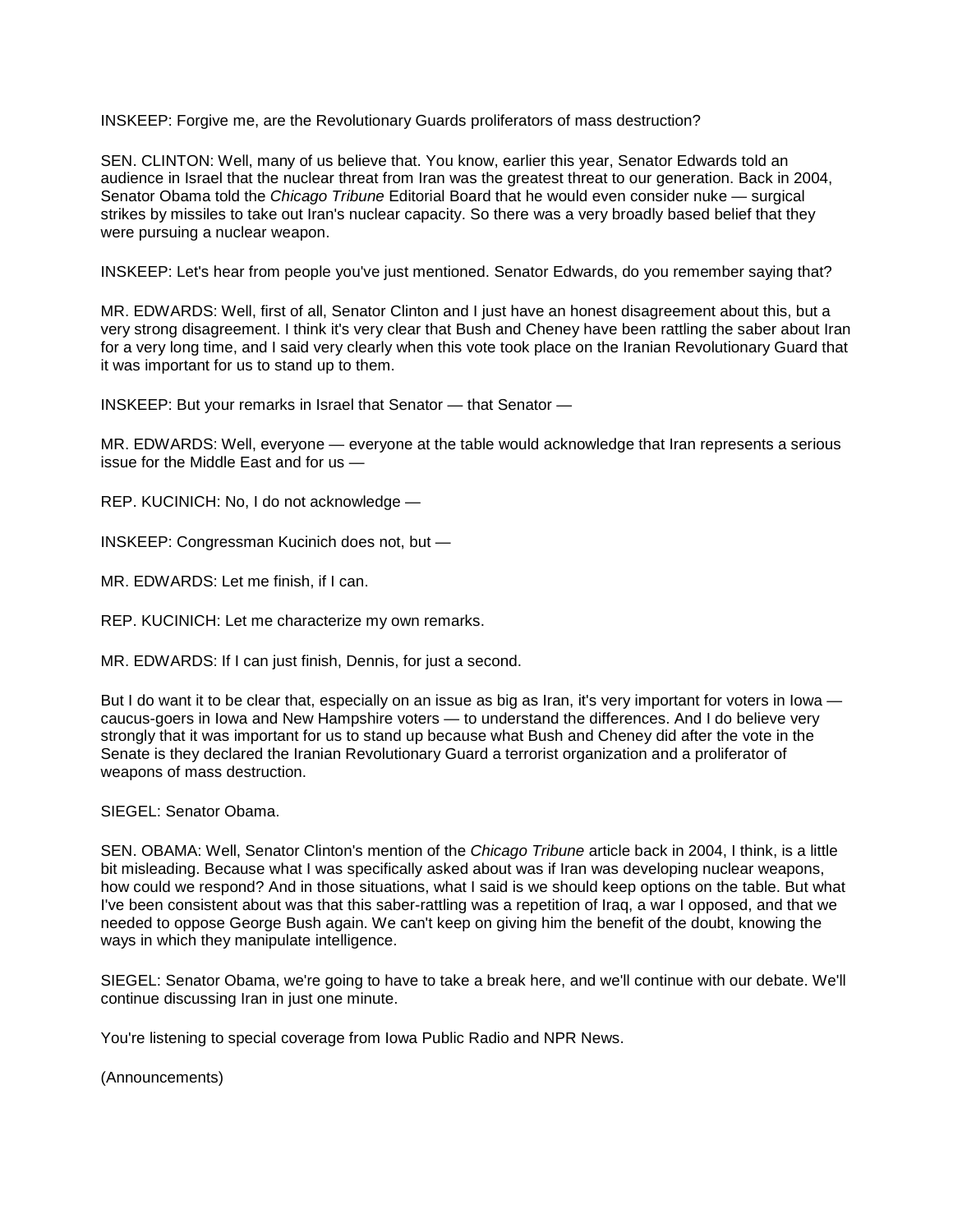INSKEEP: Forgive me, are the Revolutionary Guards proliferators of mass destruction?

SEN. CLINTON: Well, many of us believe that. You know, earlier this year, Senator Edwards told an audience in Israel that the nuclear threat from Iran was the greatest threat to our generation. Back in 2004, Senator Obama told the Chicago Tribune Editorial Board that he would even consider nuke — surgical strikes by missiles to take out Iran's nuclear capacity. So there was a very broadly based belief that they were pursuing a nuclear weapon.

INSKEEP: Let's hear from people you've just mentioned. Senator Edwards, do you remember saying that?

MR. EDWARDS: Well, first of all, Senator Clinton and I just have an honest disagreement about this, but a very strong disagreement. I think it's very clear that Bush and Cheney have been rattling the saber about Iran for a very long time, and I said very clearly when this vote took place on the Iranian Revolutionary Guard that it was important for us to stand up to them.

INSKEEP: But your remarks in Israel that Senator — that Senator —

MR. EDWARDS: Well, everyone — everyone at the table would acknowledge that Iran represents a serious issue for the Middle East and for us —

REP. KUCINICH: No, I do not acknowledge —

INSKEEP: Congressman Kucinich does not, but —

MR. EDWARDS: Let me finish, if I can.

REP. KUCINICH: Let me characterize my own remarks.

MR. EDWARDS: If I can just finish, Dennis, for just a second.

But I do want it to be clear that, especially on an issue as big as Iran, it's very important for voters in Iowa caucus-goers in Iowa and New Hampshire voters — to understand the differences. And I do believe very strongly that it was important for us to stand up because what Bush and Cheney did after the vote in the Senate is they declared the Iranian Revolutionary Guard a terrorist organization and a proliferator of weapons of mass destruction.

SIEGEL: Senator Obama.

SEN. OBAMA: Well, Senator Clinton's mention of the Chicago Tribune article back in 2004, I think, is a little bit misleading. Because what I was specifically asked about was if Iran was developing nuclear weapons, how could we respond? And in those situations, what I said is we should keep options on the table. But what I've been consistent about was that this saber-rattling was a repetition of Iraq, a war I opposed, and that we needed to oppose George Bush again. We can't keep on giving him the benefit of the doubt, knowing the ways in which they manipulate intelligence.

SIEGEL: Senator Obama, we're going to have to take a break here, and we'll continue with our debate. We'll continue discussing Iran in just one minute.

You're listening to special coverage from Iowa Public Radio and NPR News.

(Announcements)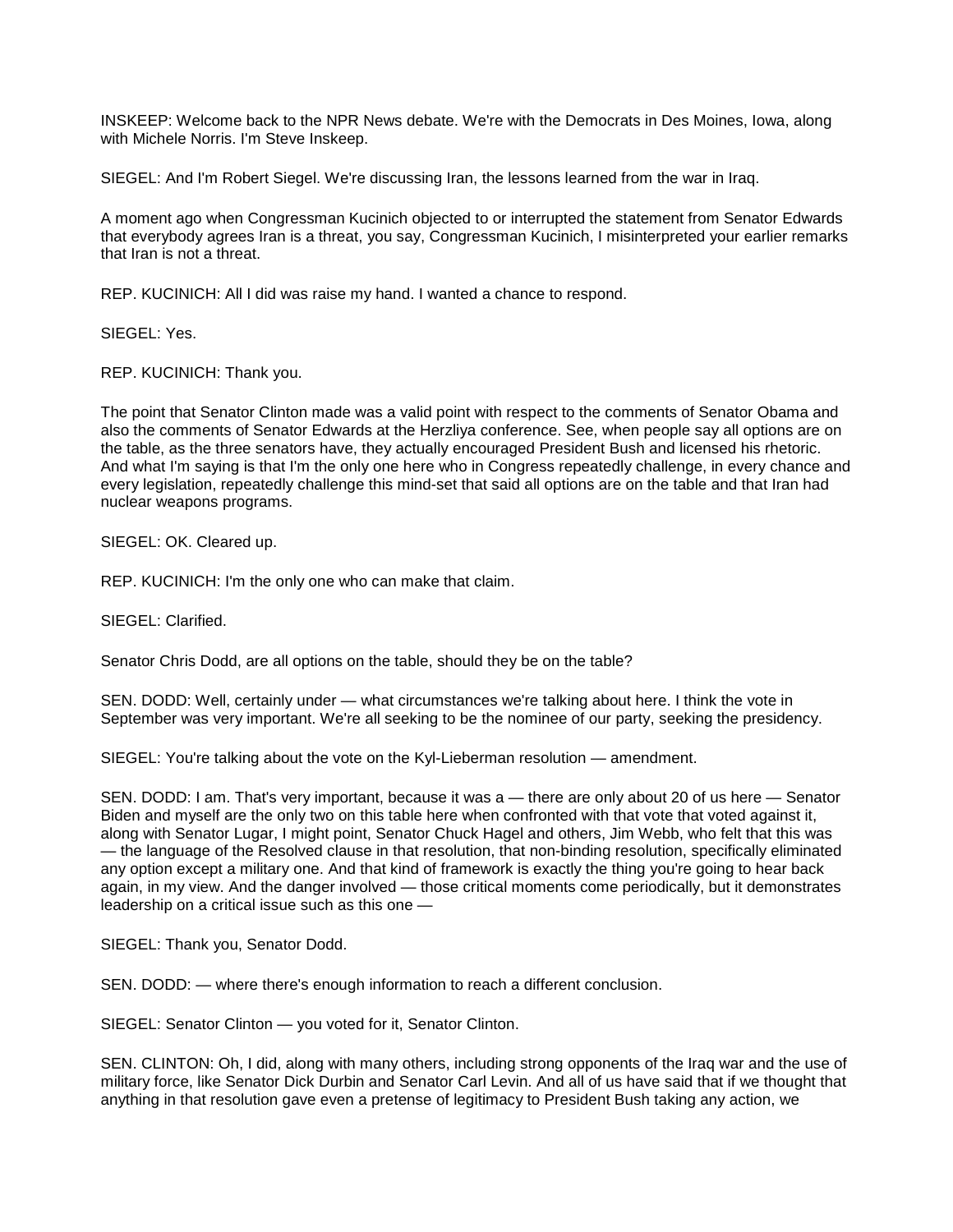INSKEEP: Welcome back to the NPR News debate. We're with the Democrats in Des Moines, Iowa, along with Michele Norris. I'm Steve Inskeep.

SIEGEL: And I'm Robert Siegel. We're discussing Iran, the lessons learned from the war in Iraq.

A moment ago when Congressman Kucinich objected to or interrupted the statement from Senator Edwards that everybody agrees Iran is a threat, you say, Congressman Kucinich, I misinterpreted your earlier remarks that Iran is not a threat.

REP. KUCINICH: All I did was raise my hand. I wanted a chance to respond.

SIEGEL: Yes.

REP. KUCINICH: Thank you.

The point that Senator Clinton made was a valid point with respect to the comments of Senator Obama and also the comments of Senator Edwards at the Herzliya conference. See, when people say all options are on the table, as the three senators have, they actually encouraged President Bush and licensed his rhetoric. And what I'm saying is that I'm the only one here who in Congress repeatedly challenge, in every chance and every legislation, repeatedly challenge this mind-set that said all options are on the table and that Iran had nuclear weapons programs.

SIEGEL: OK. Cleared up.

REP. KUCINICH: I'm the only one who can make that claim.

SIEGEL: Clarified.

Senator Chris Dodd, are all options on the table, should they be on the table?

SEN. DODD: Well, certainly under — what circumstances we're talking about here. I think the vote in September was very important. We're all seeking to be the nominee of our party, seeking the presidency.

SIEGEL: You're talking about the vote on the Kyl-Lieberman resolution — amendment.

SEN. DODD: I am. That's very important, because it was a — there are only about 20 of us here — Senator Biden and myself are the only two on this table here when confronted with that vote that voted against it, along with Senator Lugar, I might point, Senator Chuck Hagel and others, Jim Webb, who felt that this was — the language of the Resolved clause in that resolution, that non-binding resolution, specifically eliminated any option except a military one. And that kind of framework is exactly the thing you're going to hear back again, in my view. And the danger involved — those critical moments come periodically, but it demonstrates leadership on a critical issue such as this one —

SIEGEL: Thank you, Senator Dodd.

SEN. DODD: — where there's enough information to reach a different conclusion.

SIEGEL: Senator Clinton — you voted for it, Senator Clinton.

SEN. CLINTON: Oh, I did, along with many others, including strong opponents of the Iraq war and the use of military force, like Senator Dick Durbin and Senator Carl Levin. And all of us have said that if we thought that anything in that resolution gave even a pretense of legitimacy to President Bush taking any action, we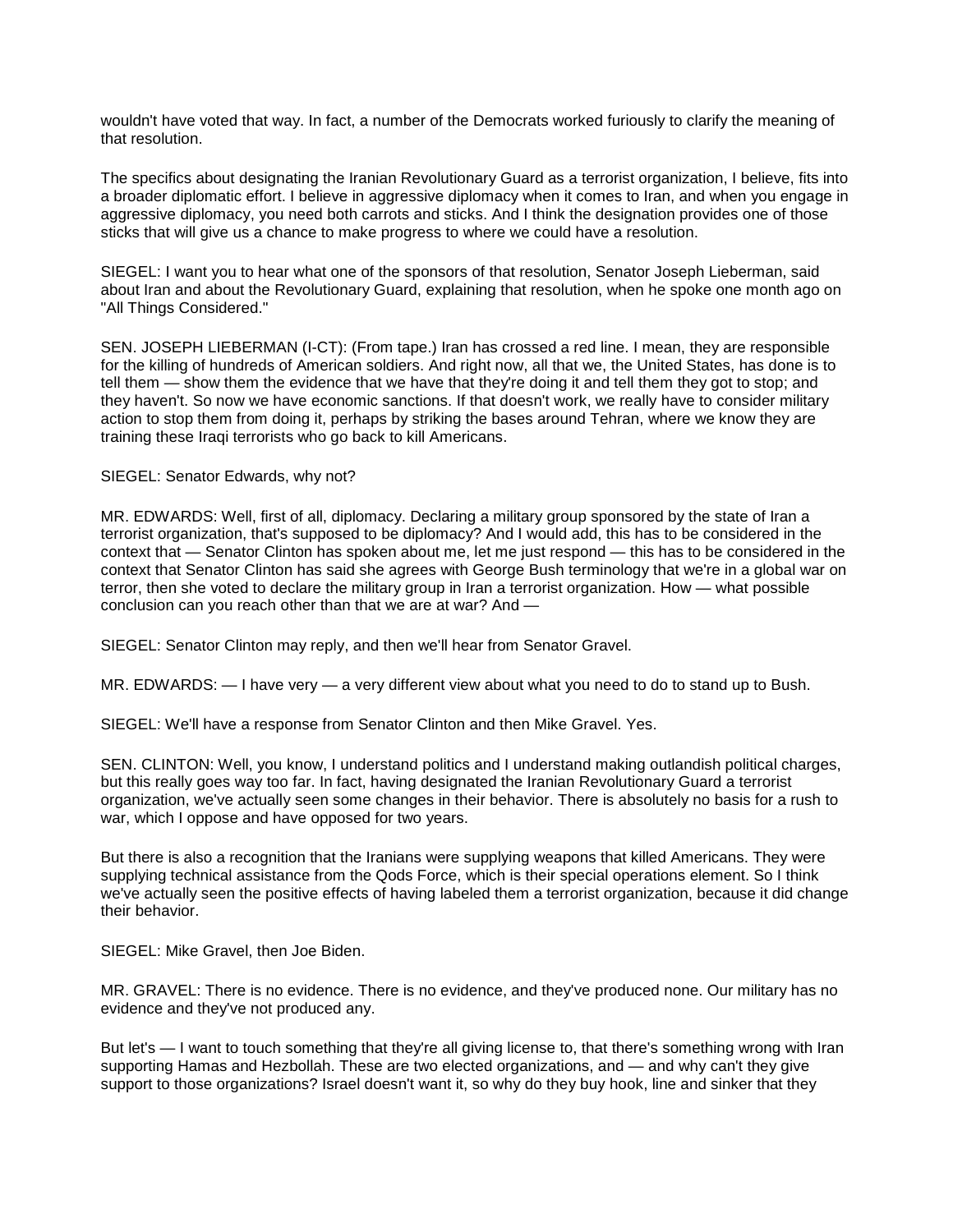wouldn't have voted that way. In fact, a number of the Democrats worked furiously to clarify the meaning of that resolution.

The specifics about designating the Iranian Revolutionary Guard as a terrorist organization, I believe, fits into a broader diplomatic effort. I believe in aggressive diplomacy when it comes to Iran, and when you engage in aggressive diplomacy, you need both carrots and sticks. And I think the designation provides one of those sticks that will give us a chance to make progress to where we could have a resolution.

SIEGEL: I want you to hear what one of the sponsors of that resolution, Senator Joseph Lieberman, said about Iran and about the Revolutionary Guard, explaining that resolution, when he spoke one month ago on "All Things Considered."

SEN. JOSEPH LIEBERMAN (I-CT): (From tape.) Iran has crossed a red line. I mean, they are responsible for the killing of hundreds of American soldiers. And right now, all that we, the United States, has done is to tell them — show them the evidence that we have that they're doing it and tell them they got to stop; and they haven't. So now we have economic sanctions. If that doesn't work, we really have to consider military action to stop them from doing it, perhaps by striking the bases around Tehran, where we know they are training these Iraqi terrorists who go back to kill Americans.

SIEGEL: Senator Edwards, why not?

MR. EDWARDS: Well, first of all, diplomacy. Declaring a military group sponsored by the state of Iran a terrorist organization, that's supposed to be diplomacy? And I would add, this has to be considered in the context that — Senator Clinton has spoken about me, let me just respond — this has to be considered in the context that Senator Clinton has said she agrees with George Bush terminology that we're in a global war on terror, then she voted to declare the military group in Iran a terrorist organization. How — what possible conclusion can you reach other than that we are at war? And —

SIEGEL: Senator Clinton may reply, and then we'll hear from Senator Gravel.

MR. EDWARDS: — I have very — a very different view about what you need to do to stand up to Bush.

SIEGEL: We'll have a response from Senator Clinton and then Mike Gravel. Yes.

SEN. CLINTON: Well, you know, I understand politics and I understand making outlandish political charges, but this really goes way too far. In fact, having designated the Iranian Revolutionary Guard a terrorist organization, we've actually seen some changes in their behavior. There is absolutely no basis for a rush to war, which I oppose and have opposed for two years.

But there is also a recognition that the Iranians were supplying weapons that killed Americans. They were supplying technical assistance from the Qods Force, which is their special operations element. So I think we've actually seen the positive effects of having labeled them a terrorist organization, because it did change their behavior.

SIEGEL: Mike Gravel, then Joe Biden.

MR. GRAVEL: There is no evidence. There is no evidence, and they've produced none. Our military has no evidence and they've not produced any.

But let's — I want to touch something that they're all giving license to, that there's something wrong with Iran supporting Hamas and Hezbollah. These are two elected organizations, and — and why can't they give support to those organizations? Israel doesn't want it, so why do they buy hook, line and sinker that they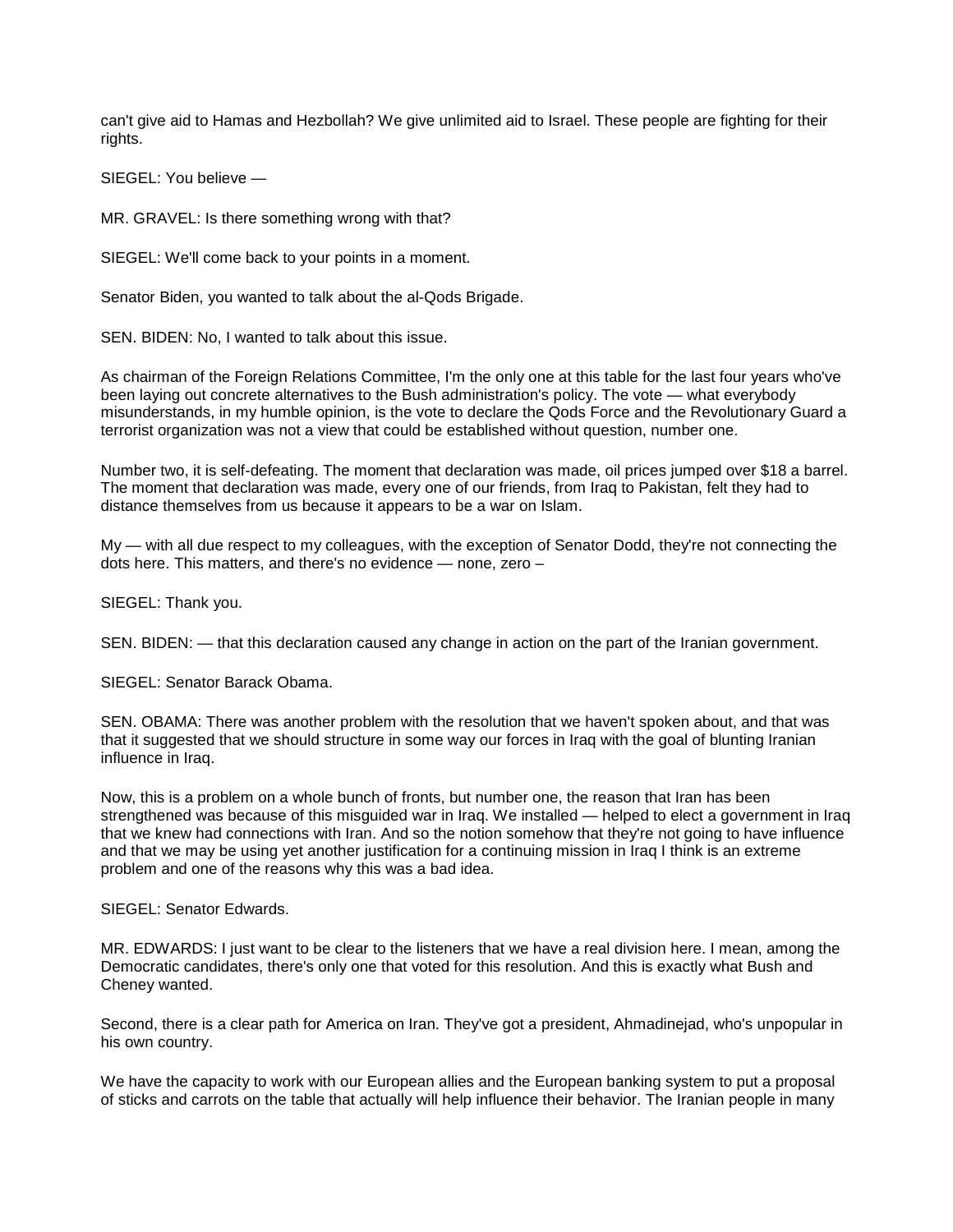can't give aid to Hamas and Hezbollah? We give unlimited aid to Israel. These people are fighting for their rights.

SIEGEL: You believe —

MR. GRAVEL: Is there something wrong with that?

SIEGEL: We'll come back to your points in a moment.

Senator Biden, you wanted to talk about the al-Qods Brigade.

SEN. BIDEN: No, I wanted to talk about this issue.

As chairman of the Foreign Relations Committee, I'm the only one at this table for the last four years who've been laying out concrete alternatives to the Bush administration's policy. The vote — what everybody misunderstands, in my humble opinion, is the vote to declare the Qods Force and the Revolutionary Guard a terrorist organization was not a view that could be established without question, number one.

Number two, it is self-defeating. The moment that declaration was made, oil prices jumped over \$18 a barrel. The moment that declaration was made, every one of our friends, from Iraq to Pakistan, felt they had to distance themselves from us because it appears to be a war on Islam.

My — with all due respect to my colleagues, with the exception of Senator Dodd, they're not connecting the dots here. This matters, and there's no evidence — none, zero –

SIEGEL: Thank you.

SEN. BIDEN: — that this declaration caused any change in action on the part of the Iranian government.

SIEGEL: Senator Barack Obama.

SEN. OBAMA: There was another problem with the resolution that we haven't spoken about, and that was that it suggested that we should structure in some way our forces in Iraq with the goal of blunting Iranian influence in Iraq.

Now, this is a problem on a whole bunch of fronts, but number one, the reason that Iran has been strengthened was because of this misguided war in Iraq. We installed — helped to elect a government in Iraq that we knew had connections with Iran. And so the notion somehow that they're not going to have influence and that we may be using yet another justification for a continuing mission in Iraq I think is an extreme problem and one of the reasons why this was a bad idea.

SIEGEL: Senator Edwards.

MR. EDWARDS: I just want to be clear to the listeners that we have a real division here. I mean, among the Democratic candidates, there's only one that voted for this resolution. And this is exactly what Bush and Cheney wanted.

Second, there is a clear path for America on Iran. They've got a president, Ahmadinejad, who's unpopular in his own country.

We have the capacity to work with our European allies and the European banking system to put a proposal of sticks and carrots on the table that actually will help influence their behavior. The Iranian people in many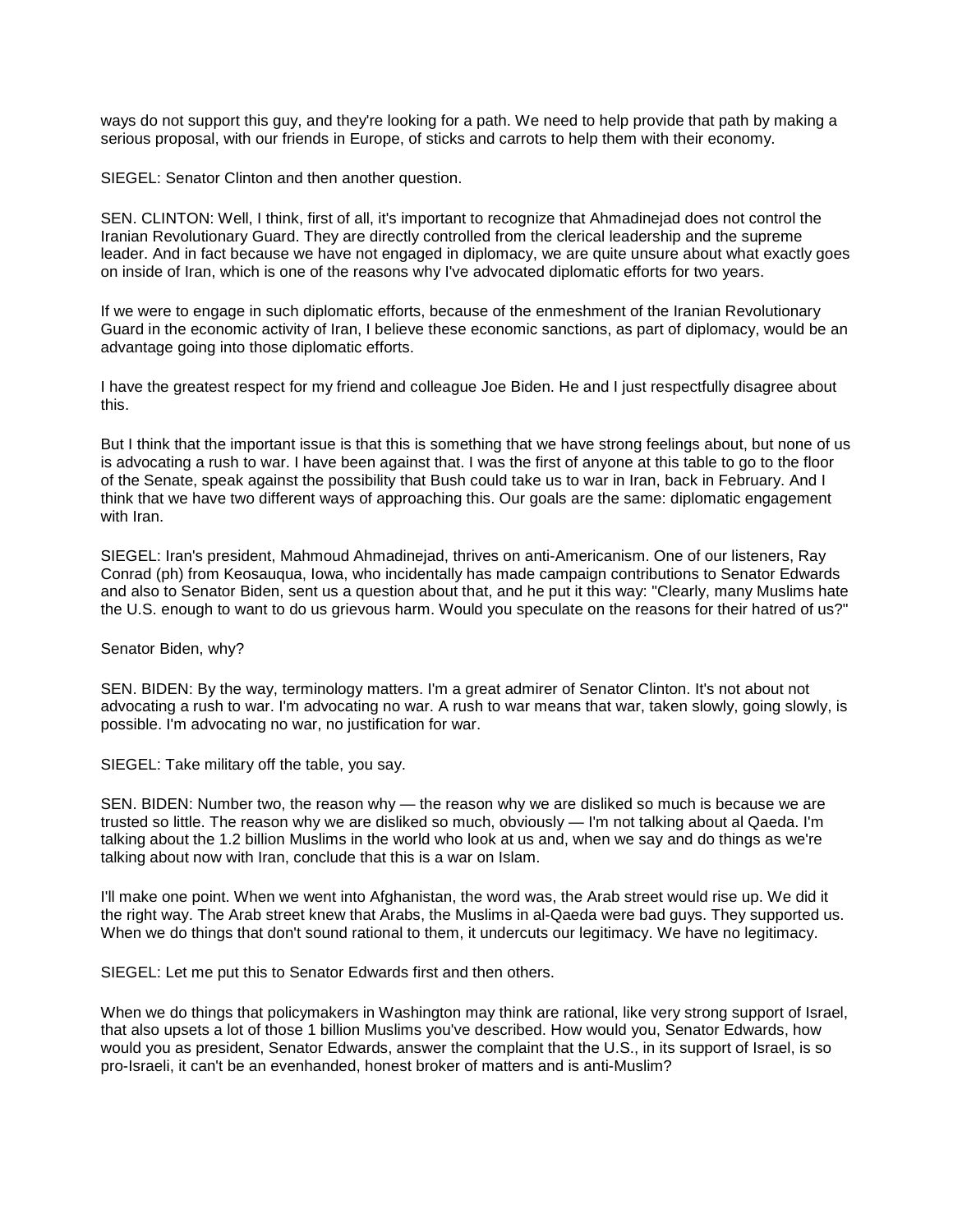ways do not support this guy, and they're looking for a path. We need to help provide that path by making a serious proposal, with our friends in Europe, of sticks and carrots to help them with their economy.

SIEGEL: Senator Clinton and then another question.

SEN. CLINTON: Well, I think, first of all, it's important to recognize that Ahmadinejad does not control the Iranian Revolutionary Guard. They are directly controlled from the clerical leadership and the supreme leader. And in fact because we have not engaged in diplomacy, we are quite unsure about what exactly goes on inside of Iran, which is one of the reasons why I've advocated diplomatic efforts for two years.

If we were to engage in such diplomatic efforts, because of the enmeshment of the Iranian Revolutionary Guard in the economic activity of Iran, I believe these economic sanctions, as part of diplomacy, would be an advantage going into those diplomatic efforts.

I have the greatest respect for my friend and colleague Joe Biden. He and I just respectfully disagree about this.

But I think that the important issue is that this is something that we have strong feelings about, but none of us is advocating a rush to war. I have been against that. I was the first of anyone at this table to go to the floor of the Senate, speak against the possibility that Bush could take us to war in Iran, back in February. And I think that we have two different ways of approaching this. Our goals are the same: diplomatic engagement with Iran.

SIEGEL: Iran's president, Mahmoud Ahmadinejad, thrives on anti-Americanism. One of our listeners, Ray Conrad (ph) from Keosauqua, Iowa, who incidentally has made campaign contributions to Senator Edwards and also to Senator Biden, sent us a question about that, and he put it this way: "Clearly, many Muslims hate the U.S. enough to want to do us grievous harm. Would you speculate on the reasons for their hatred of us?"

Senator Biden, why?

SEN. BIDEN: By the way, terminology matters. I'm a great admirer of Senator Clinton. It's not about not advocating a rush to war. I'm advocating no war. A rush to war means that war, taken slowly, going slowly, is possible. I'm advocating no war, no justification for war.

SIEGEL: Take military off the table, you say.

SEN. BIDEN: Number two, the reason why — the reason why we are disliked so much is because we are trusted so little. The reason why we are disliked so much, obviously — I'm not talking about al Qaeda. I'm talking about the 1.2 billion Muslims in the world who look at us and, when we say and do things as we're talking about now with Iran, conclude that this is a war on Islam.

I'll make one point. When we went into Afghanistan, the word was, the Arab street would rise up. We did it the right way. The Arab street knew that Arabs, the Muslims in al-Qaeda were bad guys. They supported us. When we do things that don't sound rational to them, it undercuts our legitimacy. We have no legitimacy.

SIEGEL: Let me put this to Senator Edwards first and then others.

When we do things that policymakers in Washington may think are rational, like very strong support of Israel, that also upsets a lot of those 1 billion Muslims you've described. How would you, Senator Edwards, how would you as president, Senator Edwards, answer the complaint that the U.S., in its support of Israel, is so pro-Israeli, it can't be an evenhanded, honest broker of matters and is anti-Muslim?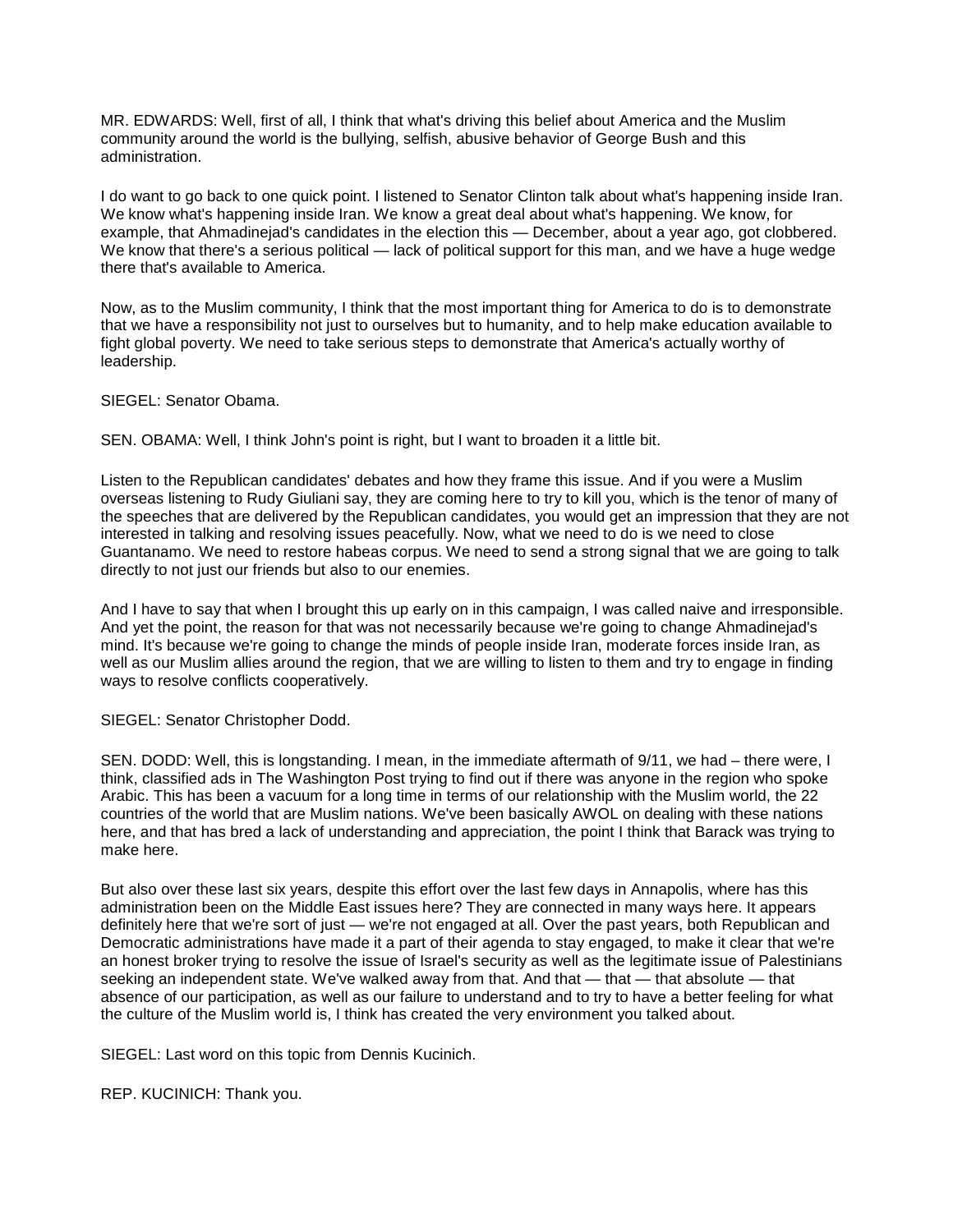MR. EDWARDS: Well, first of all, I think that what's driving this belief about America and the Muslim community around the world is the bullying, selfish, abusive behavior of George Bush and this administration.

I do want to go back to one quick point. I listened to Senator Clinton talk about what's happening inside Iran. We know what's happening inside Iran. We know a great deal about what's happening. We know, for example, that Ahmadinejad's candidates in the election this — December, about a year ago, got clobbered. We know that there's a serious political — lack of political support for this man, and we have a huge wedge there that's available to America.

Now, as to the Muslim community, I think that the most important thing for America to do is to demonstrate that we have a responsibility not just to ourselves but to humanity, and to help make education available to fight global poverty. We need to take serious steps to demonstrate that America's actually worthy of leadership.

SIEGEL: Senator Obama.

SEN. OBAMA: Well, I think John's point is right, but I want to broaden it a little bit.

Listen to the Republican candidates' debates and how they frame this issue. And if you were a Muslim overseas listening to Rudy Giuliani say, they are coming here to try to kill you, which is the tenor of many of the speeches that are delivered by the Republican candidates, you would get an impression that they are not interested in talking and resolving issues peacefully. Now, what we need to do is we need to close Guantanamo. We need to restore habeas corpus. We need to send a strong signal that we are going to talk directly to not just our friends but also to our enemies.

And I have to say that when I brought this up early on in this campaign, I was called naive and irresponsible. And yet the point, the reason for that was not necessarily because we're going to change Ahmadinejad's mind. It's because we're going to change the minds of people inside Iran, moderate forces inside Iran, as well as our Muslim allies around the region, that we are willing to listen to them and try to engage in finding ways to resolve conflicts cooperatively.

SIEGEL: Senator Christopher Dodd.

SEN. DODD: Well, this is longstanding. I mean, in the immediate aftermath of 9/11, we had – there were, I think, classified ads in The Washington Post trying to find out if there was anyone in the region who spoke Arabic. This has been a vacuum for a long time in terms of our relationship with the Muslim world, the 22 countries of the world that are Muslim nations. We've been basically AWOL on dealing with these nations here, and that has bred a lack of understanding and appreciation, the point I think that Barack was trying to make here.

But also over these last six years, despite this effort over the last few days in Annapolis, where has this administration been on the Middle East issues here? They are connected in many ways here. It appears definitely here that we're sort of just — we're not engaged at all. Over the past years, both Republican and Democratic administrations have made it a part of their agenda to stay engaged, to make it clear that we're an honest broker trying to resolve the issue of Israel's security as well as the legitimate issue of Palestinians seeking an independent state. We've walked away from that. And that — that — that absolute — that absence of our participation, as well as our failure to understand and to try to have a better feeling for what the culture of the Muslim world is, I think has created the very environment you talked about.

SIEGEL: Last word on this topic from Dennis Kucinich.

REP. KUCINICH: Thank you.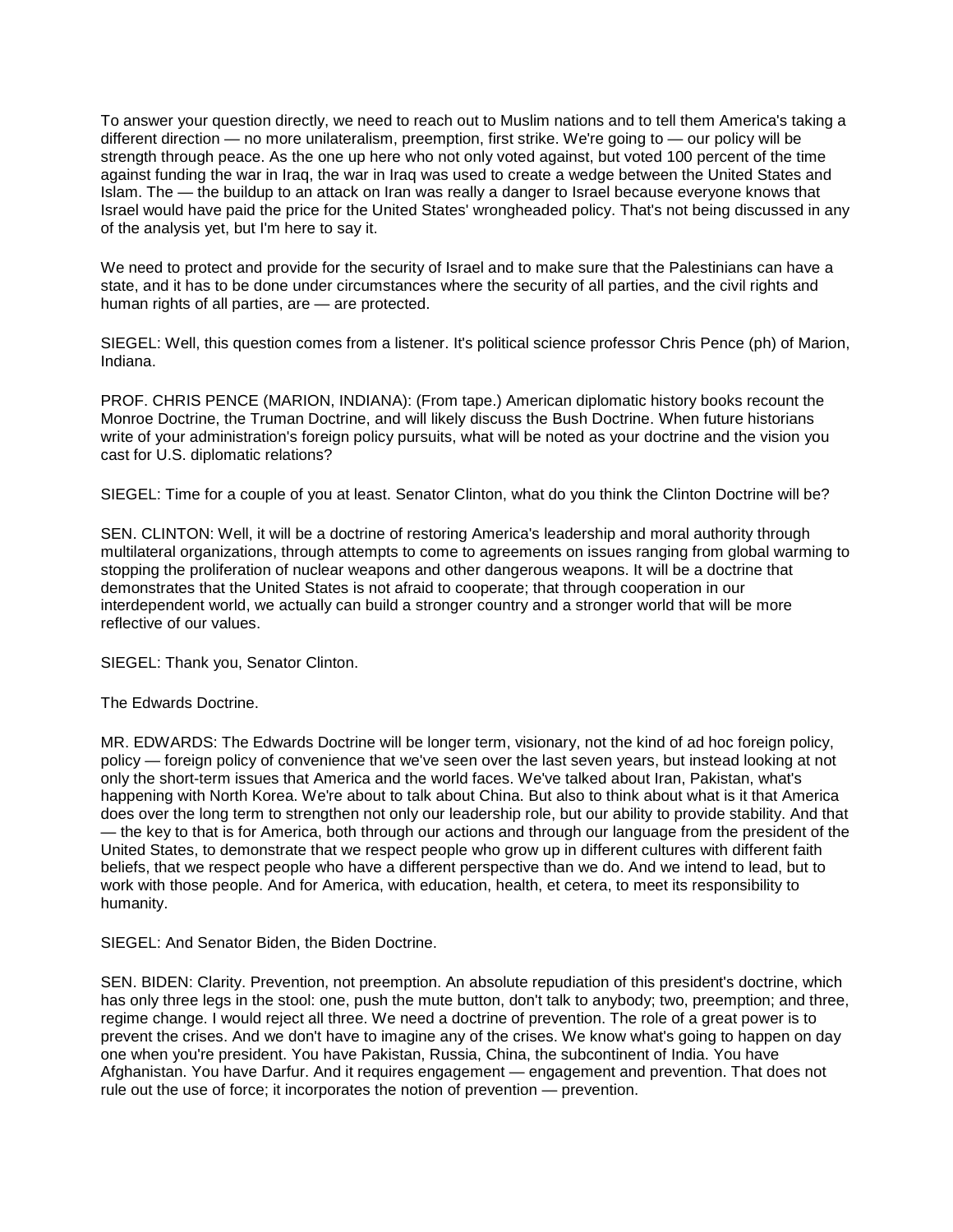To answer your question directly, we need to reach out to Muslim nations and to tell them America's taking a different direction — no more unilateralism, preemption, first strike. We're going to — our policy will be strength through peace. As the one up here who not only voted against, but voted 100 percent of the time against funding the war in Iraq, the war in Iraq was used to create a wedge between the United States and Islam. The — the buildup to an attack on Iran was really a danger to Israel because everyone knows that Israel would have paid the price for the United States' wrongheaded policy. That's not being discussed in any of the analysis yet, but I'm here to say it.

We need to protect and provide for the security of Israel and to make sure that the Palestinians can have a state, and it has to be done under circumstances where the security of all parties, and the civil rights and human rights of all parties, are — are protected.

SIEGEL: Well, this question comes from a listener. It's political science professor Chris Pence (ph) of Marion, Indiana.

PROF. CHRIS PENCE (MARION, INDIANA): (From tape.) American diplomatic history books recount the Monroe Doctrine, the Truman Doctrine, and will likely discuss the Bush Doctrine. When future historians write of your administration's foreign policy pursuits, what will be noted as your doctrine and the vision you cast for U.S. diplomatic relations?

SIEGEL: Time for a couple of you at least. Senator Clinton, what do you think the Clinton Doctrine will be?

SEN. CLINTON: Well, it will be a doctrine of restoring America's leadership and moral authority through multilateral organizations, through attempts to come to agreements on issues ranging from global warming to stopping the proliferation of nuclear weapons and other dangerous weapons. It will be a doctrine that demonstrates that the United States is not afraid to cooperate; that through cooperation in our interdependent world, we actually can build a stronger country and a stronger world that will be more reflective of our values.

SIEGEL: Thank you, Senator Clinton.

The Edwards Doctrine.

MR. EDWARDS: The Edwards Doctrine will be longer term, visionary, not the kind of ad hoc foreign policy, policy — foreign policy of convenience that we've seen over the last seven years, but instead looking at not only the short-term issues that America and the world faces. We've talked about Iran, Pakistan, what's happening with North Korea. We're about to talk about China. But also to think about what is it that America does over the long term to strengthen not only our leadership role, but our ability to provide stability. And that — the key to that is for America, both through our actions and through our language from the president of the United States, to demonstrate that we respect people who grow up in different cultures with different faith beliefs, that we respect people who have a different perspective than we do. And we intend to lead, but to work with those people. And for America, with education, health, et cetera, to meet its responsibility to humanity.

SIEGEL: And Senator Biden, the Biden Doctrine.

SEN. BIDEN: Clarity. Prevention, not preemption. An absolute repudiation of this president's doctrine, which has only three legs in the stool: one, push the mute button, don't talk to anybody; two, preemption; and three, regime change. I would reject all three. We need a doctrine of prevention. The role of a great power is to prevent the crises. And we don't have to imagine any of the crises. We know what's going to happen on day one when you're president. You have Pakistan, Russia, China, the subcontinent of India. You have Afghanistan. You have Darfur. And it requires engagement — engagement and prevention. That does not rule out the use of force; it incorporates the notion of prevention — prevention.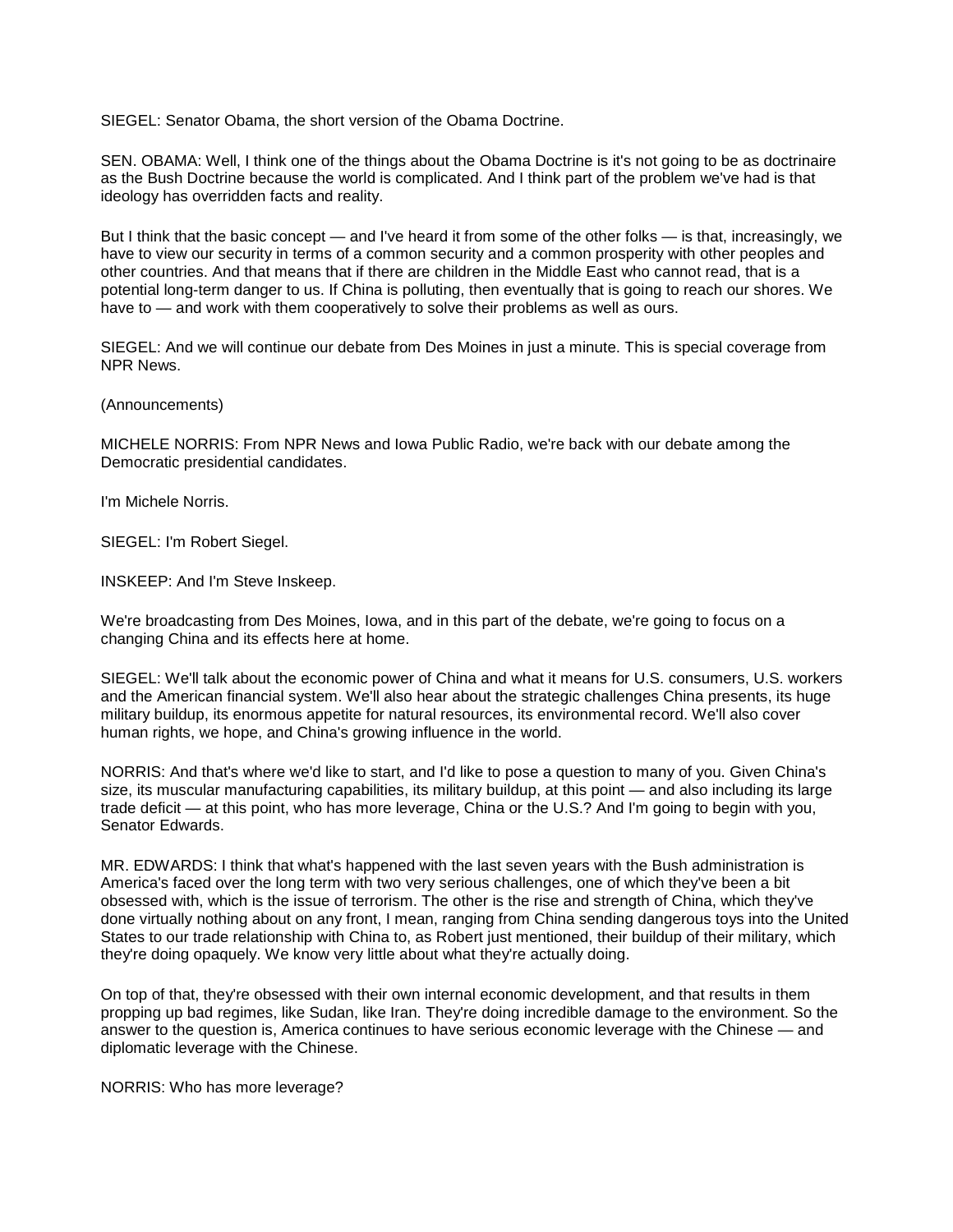SIEGEL: Senator Obama, the short version of the Obama Doctrine.

SEN. OBAMA: Well, I think one of the things about the Obama Doctrine is it's not going to be as doctrinaire as the Bush Doctrine because the world is complicated. And I think part of the problem we've had is that ideology has overridden facts and reality.

But I think that the basic concept — and I've heard it from some of the other folks — is that, increasingly, we have to view our security in terms of a common security and a common prosperity with other peoples and other countries. And that means that if there are children in the Middle East who cannot read, that is a potential long-term danger to us. If China is polluting, then eventually that is going to reach our shores. We have to — and work with them cooperatively to solve their problems as well as ours.

SIEGEL: And we will continue our debate from Des Moines in just a minute. This is special coverage from NPR News.

(Announcements)

MICHELE NORRIS: From NPR News and Iowa Public Radio, we're back with our debate among the Democratic presidential candidates.

I'm Michele Norris.

SIEGEL: I'm Robert Siegel.

INSKEEP: And I'm Steve Inskeep.

We're broadcasting from Des Moines, Iowa, and in this part of the debate, we're going to focus on a changing China and its effects here at home.

SIEGEL: We'll talk about the economic power of China and what it means for U.S. consumers, U.S. workers and the American financial system. We'll also hear about the strategic challenges China presents, its huge military buildup, its enormous appetite for natural resources, its environmental record. We'll also cover human rights, we hope, and China's growing influence in the world.

NORRIS: And that's where we'd like to start, and I'd like to pose a question to many of you. Given China's size, its muscular manufacturing capabilities, its military buildup, at this point — and also including its large trade deficit — at this point, who has more leverage, China or the U.S.? And I'm going to begin with you, Senator Edwards.

MR. EDWARDS: I think that what's happened with the last seven years with the Bush administration is America's faced over the long term with two very serious challenges, one of which they've been a bit obsessed with, which is the issue of terrorism. The other is the rise and strength of China, which they've done virtually nothing about on any front, I mean, ranging from China sending dangerous toys into the United States to our trade relationship with China to, as Robert just mentioned, their buildup of their military, which they're doing opaquely. We know very little about what they're actually doing.

On top of that, they're obsessed with their own internal economic development, and that results in them propping up bad regimes, like Sudan, like Iran. They're doing incredible damage to the environment. So the answer to the question is, America continues to have serious economic leverage with the Chinese — and diplomatic leverage with the Chinese.

NORRIS: Who has more leverage?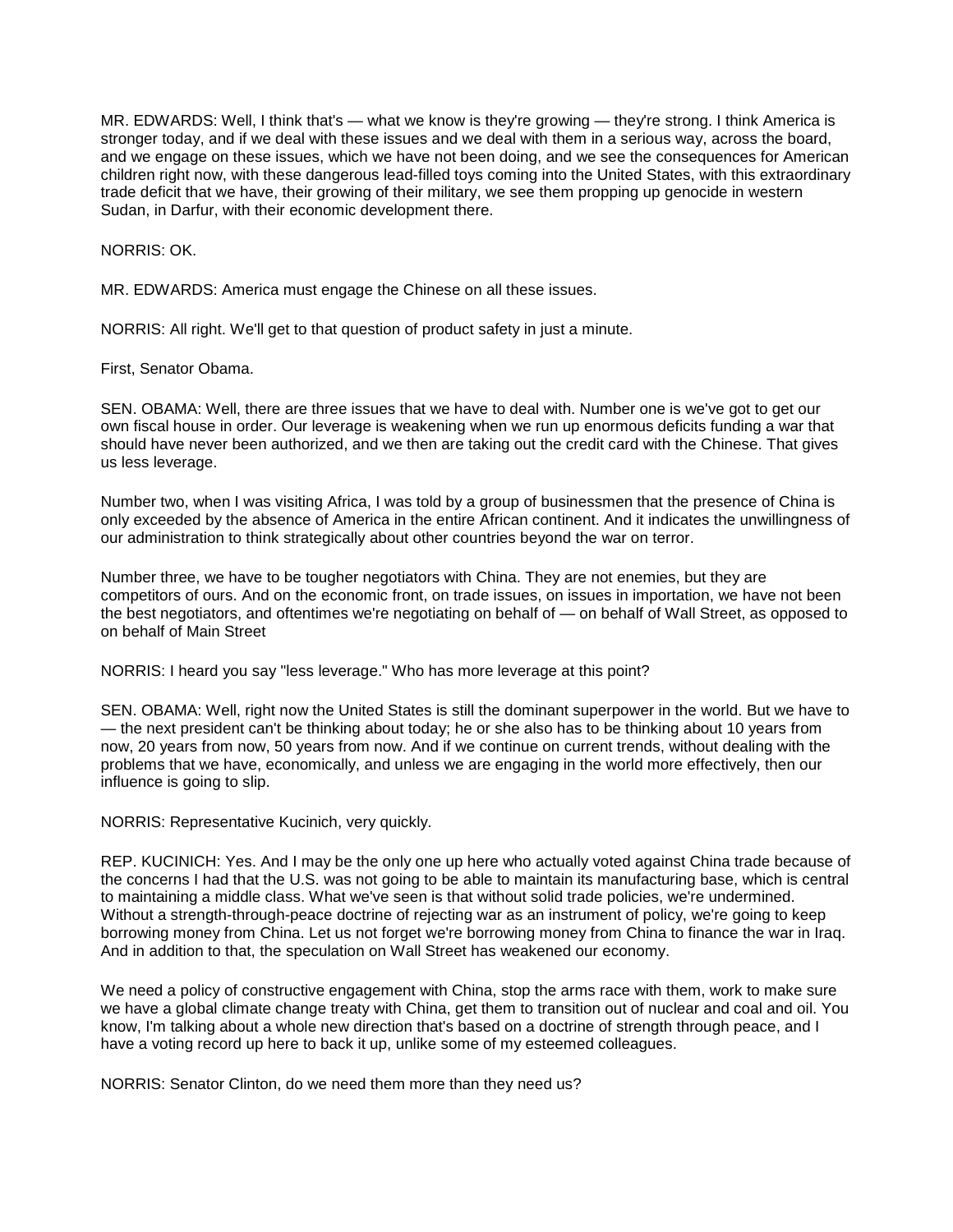MR. EDWARDS: Well, I think that's — what we know is they're growing — they're strong. I think America is stronger today, and if we deal with these issues and we deal with them in a serious way, across the board, and we engage on these issues, which we have not been doing, and we see the consequences for American children right now, with these dangerous lead-filled toys coming into the United States, with this extraordinary trade deficit that we have, their growing of their military, we see them propping up genocide in western Sudan, in Darfur, with their economic development there.

NORRIS: OK.

MR. EDWARDS: America must engage the Chinese on all these issues.

NORRIS: All right. We'll get to that question of product safety in just a minute.

First, Senator Obama.

SEN. OBAMA: Well, there are three issues that we have to deal with. Number one is we've got to get our own fiscal house in order. Our leverage is weakening when we run up enormous deficits funding a war that should have never been authorized, and we then are taking out the credit card with the Chinese. That gives us less leverage.

Number two, when I was visiting Africa, I was told by a group of businessmen that the presence of China is only exceeded by the absence of America in the entire African continent. And it indicates the unwillingness of our administration to think strategically about other countries beyond the war on terror.

Number three, we have to be tougher negotiators with China. They are not enemies, but they are competitors of ours. And on the economic front, on trade issues, on issues in importation, we have not been the best negotiators, and oftentimes we're negotiating on behalf of — on behalf of Wall Street, as opposed to on behalf of Main Street

NORRIS: I heard you say "less leverage." Who has more leverage at this point?

SEN. OBAMA: Well, right now the United States is still the dominant superpower in the world. But we have to — the next president can't be thinking about today; he or she also has to be thinking about 10 years from now, 20 years from now, 50 years from now. And if we continue on current trends, without dealing with the problems that we have, economically, and unless we are engaging in the world more effectively, then our influence is going to slip.

NORRIS: Representative Kucinich, very quickly.

REP. KUCINICH: Yes. And I may be the only one up here who actually voted against China trade because of the concerns I had that the U.S. was not going to be able to maintain its manufacturing base, which is central to maintaining a middle class. What we've seen is that without solid trade policies, we're undermined. Without a strength-through-peace doctrine of rejecting war as an instrument of policy, we're going to keep borrowing money from China. Let us not forget we're borrowing money from China to finance the war in Iraq. And in addition to that, the speculation on Wall Street has weakened our economy.

We need a policy of constructive engagement with China, stop the arms race with them, work to make sure we have a global climate change treaty with China, get them to transition out of nuclear and coal and oil. You know, I'm talking about a whole new direction that's based on a doctrine of strength through peace, and I have a voting record up here to back it up, unlike some of my esteemed colleagues.

NORRIS: Senator Clinton, do we need them more than they need us?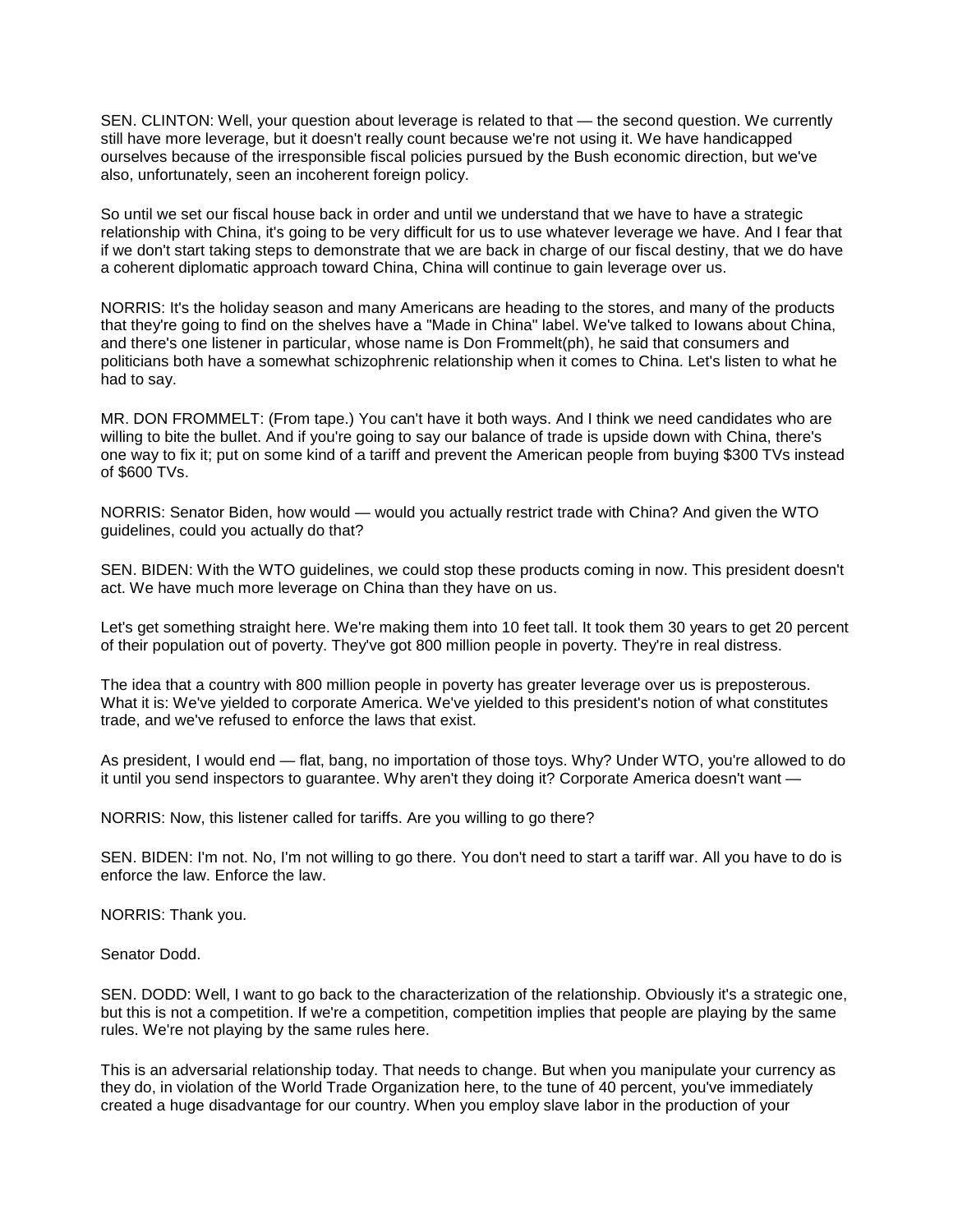SEN. CLINTON: Well, your question about leverage is related to that — the second question. We currently still have more leverage, but it doesn't really count because we're not using it. We have handicapped ourselves because of the irresponsible fiscal policies pursued by the Bush economic direction, but we've also, unfortunately, seen an incoherent foreign policy.

So until we set our fiscal house back in order and until we understand that we have to have a strategic relationship with China, it's going to be very difficult for us to use whatever leverage we have. And I fear that if we don't start taking steps to demonstrate that we are back in charge of our fiscal destiny, that we do have a coherent diplomatic approach toward China, China will continue to gain leverage over us.

NORRIS: It's the holiday season and many Americans are heading to the stores, and many of the products that they're going to find on the shelves have a "Made in China" label. We've talked to Iowans about China, and there's one listener in particular, whose name is Don Frommelt(ph), he said that consumers and politicians both have a somewhat schizophrenic relationship when it comes to China. Let's listen to what he had to say.

MR. DON FROMMELT: (From tape.) You can't have it both ways. And I think we need candidates who are willing to bite the bullet. And if you're going to say our balance of trade is upside down with China, there's one way to fix it; put on some kind of a tariff and prevent the American people from buying \$300 TVs instead of \$600 TVs.

NORRIS: Senator Biden, how would — would you actually restrict trade with China? And given the WTO guidelines, could you actually do that?

SEN. BIDEN: With the WTO guidelines, we could stop these products coming in now. This president doesn't act. We have much more leverage on China than they have on us.

Let's get something straight here. We're making them into 10 feet tall. It took them 30 years to get 20 percent of their population out of poverty. They've got 800 million people in poverty. They're in real distress.

The idea that a country with 800 million people in poverty has greater leverage over us is preposterous. What it is: We've yielded to corporate America. We've yielded to this president's notion of what constitutes trade, and we've refused to enforce the laws that exist.

As president, I would end — flat, bang, no importation of those toys. Why? Under WTO, you're allowed to do it until you send inspectors to guarantee. Why aren't they doing it? Corporate America doesn't want —

NORRIS: Now, this listener called for tariffs. Are you willing to go there?

SEN. BIDEN: I'm not. No, I'm not willing to go there. You don't need to start a tariff war. All you have to do is enforce the law. Enforce the law.

NORRIS: Thank you.

Senator Dodd.

SEN. DODD: Well, I want to go back to the characterization of the relationship. Obviously it's a strategic one, but this is not a competition. If we're a competition, competition implies that people are playing by the same rules. We're not playing by the same rules here.

This is an adversarial relationship today. That needs to change. But when you manipulate your currency as they do, in violation of the World Trade Organization here, to the tune of 40 percent, you've immediately created a huge disadvantage for our country. When you employ slave labor in the production of your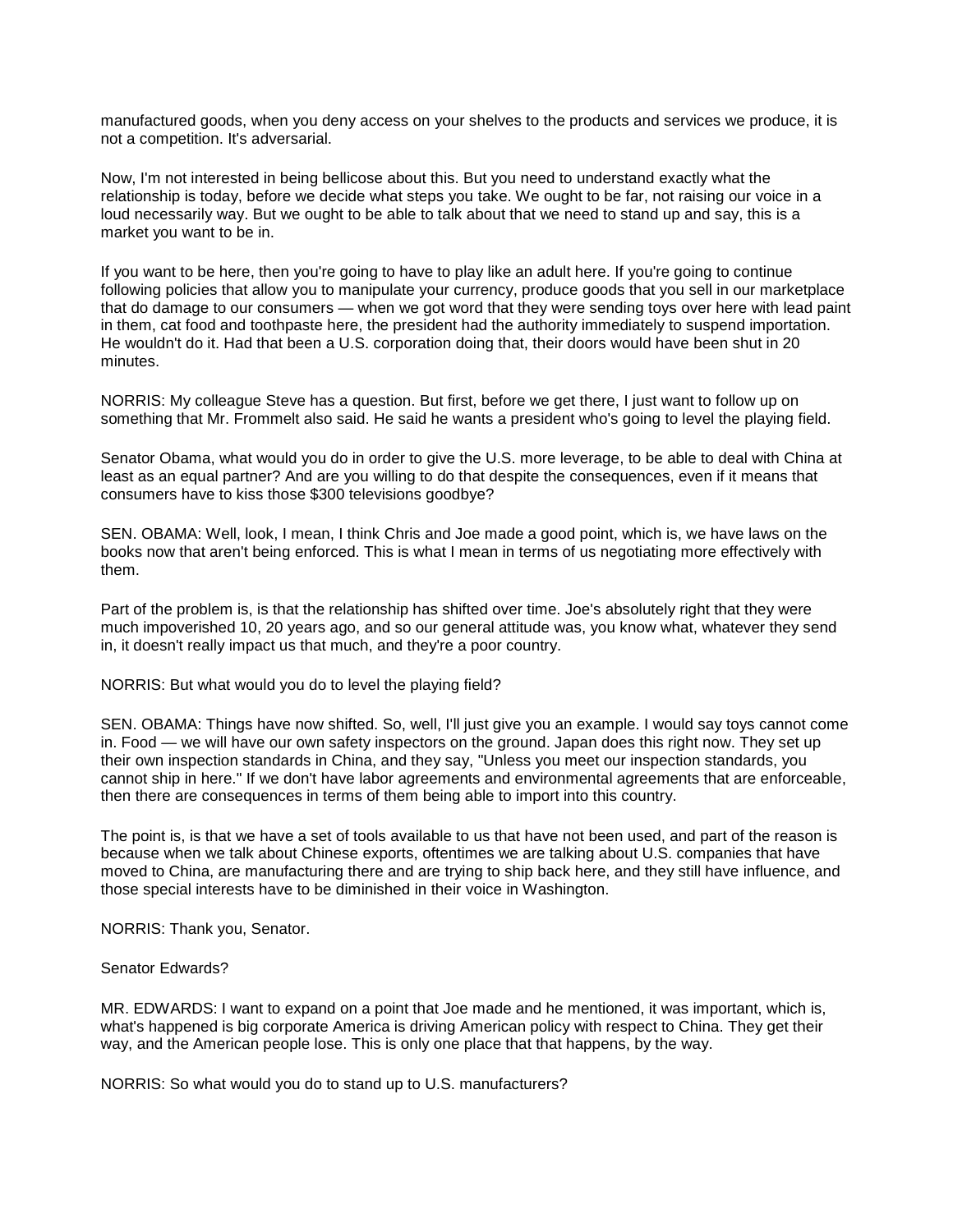manufactured goods, when you deny access on your shelves to the products and services we produce, it is not a competition. It's adversarial.

Now, I'm not interested in being bellicose about this. But you need to understand exactly what the relationship is today, before we decide what steps you take. We ought to be far, not raising our voice in a loud necessarily way. But we ought to be able to talk about that we need to stand up and say, this is a market you want to be in.

If you want to be here, then you're going to have to play like an adult here. If you're going to continue following policies that allow you to manipulate your currency, produce goods that you sell in our marketplace that do damage to our consumers — when we got word that they were sending toys over here with lead paint in them, cat food and toothpaste here, the president had the authority immediately to suspend importation. He wouldn't do it. Had that been a U.S. corporation doing that, their doors would have been shut in 20 minutes.

NORRIS: My colleague Steve has a question. But first, before we get there, I just want to follow up on something that Mr. Frommelt also said. He said he wants a president who's going to level the playing field.

Senator Obama, what would you do in order to give the U.S. more leverage, to be able to deal with China at least as an equal partner? And are you willing to do that despite the consequences, even if it means that consumers have to kiss those \$300 televisions goodbye?

SEN. OBAMA: Well, look, I mean, I think Chris and Joe made a good point, which is, we have laws on the books now that aren't being enforced. This is what I mean in terms of us negotiating more effectively with them.

Part of the problem is, is that the relationship has shifted over time. Joe's absolutely right that they were much impoverished 10, 20 years ago, and so our general attitude was, you know what, whatever they send in, it doesn't really impact us that much, and they're a poor country.

#### NORRIS: But what would you do to level the playing field?

SEN. OBAMA: Things have now shifted. So, well, I'll just give you an example. I would say toys cannot come in. Food — we will have our own safety inspectors on the ground. Japan does this right now. They set up their own inspection standards in China, and they say, "Unless you meet our inspection standards, you cannot ship in here." If we don't have labor agreements and environmental agreements that are enforceable, then there are consequences in terms of them being able to import into this country.

The point is, is that we have a set of tools available to us that have not been used, and part of the reason is because when we talk about Chinese exports, oftentimes we are talking about U.S. companies that have moved to China, are manufacturing there and are trying to ship back here, and they still have influence, and those special interests have to be diminished in their voice in Washington.

NORRIS: Thank you, Senator.

#### Senator Edwards?

MR. EDWARDS: I want to expand on a point that Joe made and he mentioned, it was important, which is, what's happened is big corporate America is driving American policy with respect to China. They get their way, and the American people lose. This is only one place that that happens, by the way.

NORRIS: So what would you do to stand up to U.S. manufacturers?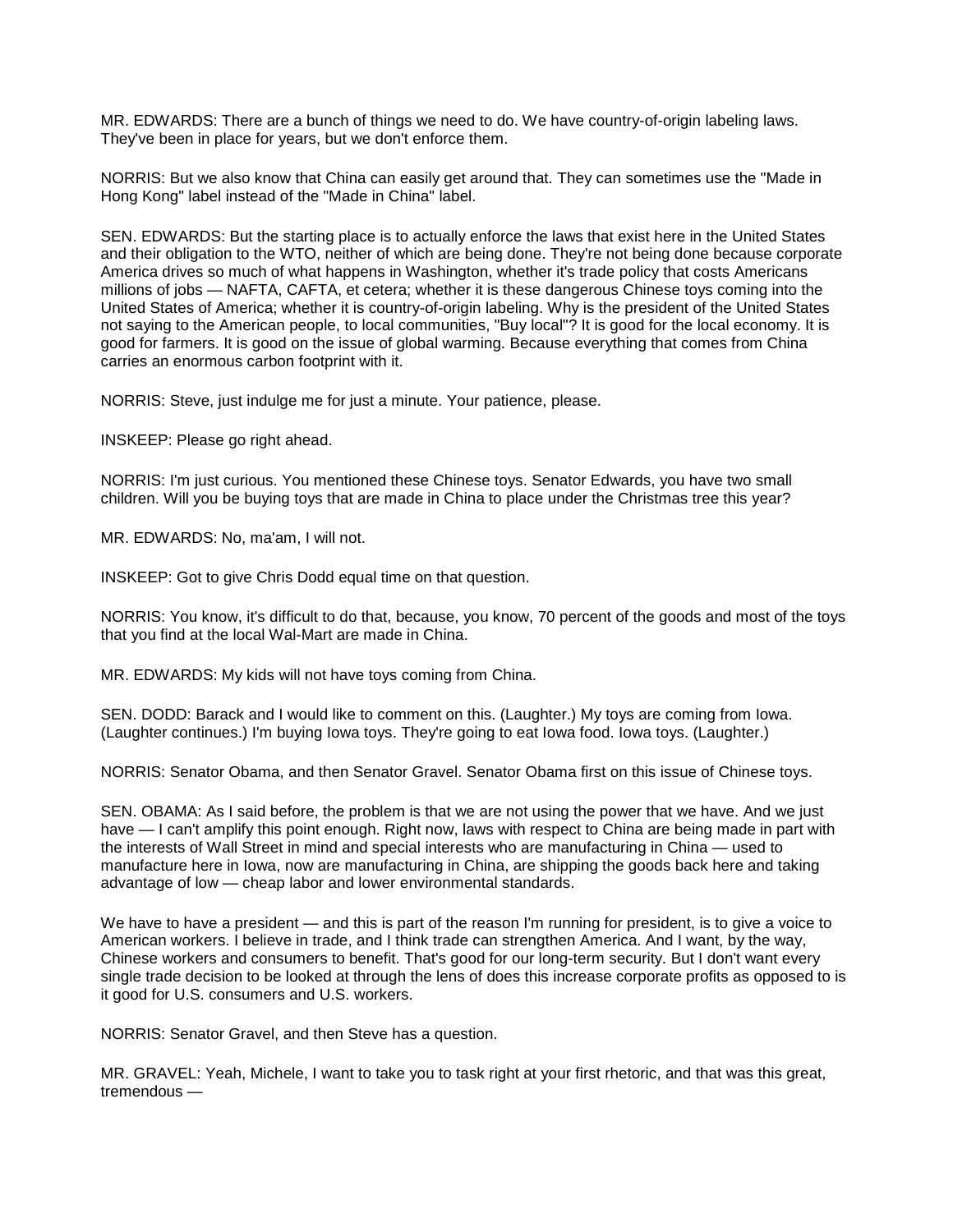MR. EDWARDS: There are a bunch of things we need to do. We have country-of-origin labeling laws. They've been in place for years, but we don't enforce them.

NORRIS: But we also know that China can easily get around that. They can sometimes use the "Made in Hong Kong" label instead of the "Made in China" label.

SEN. EDWARDS: But the starting place is to actually enforce the laws that exist here in the United States and their obligation to the WTO, neither of which are being done. They're not being done because corporate America drives so much of what happens in Washington, whether it's trade policy that costs Americans millions of jobs — NAFTA, CAFTA, et cetera; whether it is these dangerous Chinese toys coming into the United States of America; whether it is country-of-origin labeling. Why is the president of the United States not saying to the American people, to local communities, "Buy local"? It is good for the local economy. It is good for farmers. It is good on the issue of global warming. Because everything that comes from China carries an enormous carbon footprint with it.

NORRIS: Steve, just indulge me for just a minute. Your patience, please.

INSKEEP: Please go right ahead.

NORRIS: I'm just curious. You mentioned these Chinese toys. Senator Edwards, you have two small children. Will you be buying toys that are made in China to place under the Christmas tree this year?

MR. EDWARDS: No, ma'am, I will not.

INSKEEP: Got to give Chris Dodd equal time on that question.

NORRIS: You know, it's difficult to do that, because, you know, 70 percent of the goods and most of the toys that you find at the local Wal-Mart are made in China.

MR. EDWARDS: My kids will not have toys coming from China.

SEN. DODD: Barack and I would like to comment on this. (Laughter.) My toys are coming from Iowa. (Laughter continues.) I'm buying Iowa toys. They're going to eat Iowa food. Iowa toys. (Laughter.)

NORRIS: Senator Obama, and then Senator Gravel. Senator Obama first on this issue of Chinese toys.

SEN. OBAMA: As I said before, the problem is that we are not using the power that we have. And we just have — I can't amplify this point enough. Right now, laws with respect to China are being made in part with the interests of Wall Street in mind and special interests who are manufacturing in China — used to manufacture here in Iowa, now are manufacturing in China, are shipping the goods back here and taking advantage of low — cheap labor and lower environmental standards.

We have to have a president — and this is part of the reason I'm running for president, is to give a voice to American workers. I believe in trade, and I think trade can strengthen America. And I want, by the way, Chinese workers and consumers to benefit. That's good for our long-term security. But I don't want every single trade decision to be looked at through the lens of does this increase corporate profits as opposed to is it good for U.S. consumers and U.S. workers.

NORRIS: Senator Gravel, and then Steve has a question.

MR. GRAVEL: Yeah, Michele, I want to take you to task right at your first rhetoric, and that was this great, tremendous —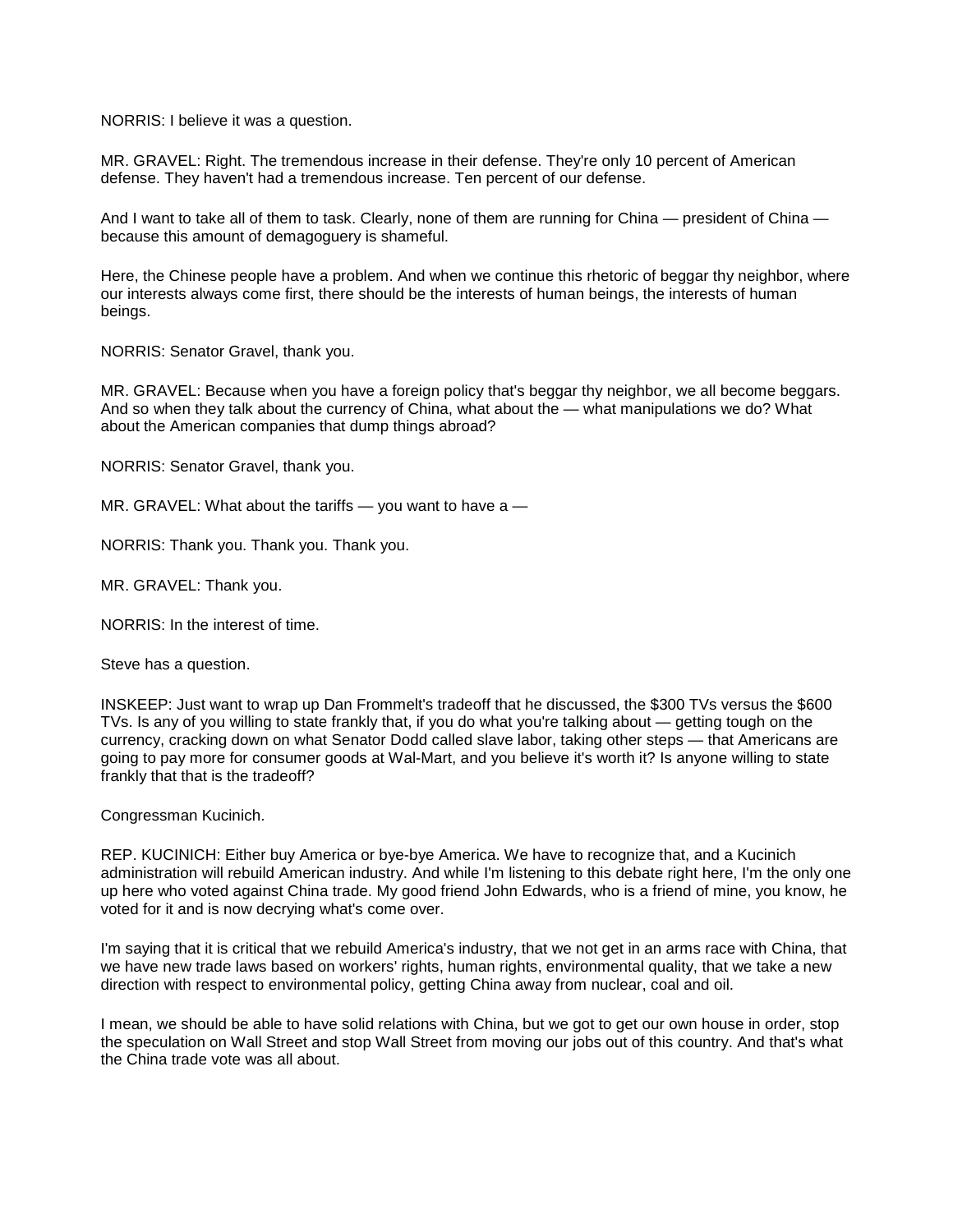NORRIS: I believe it was a question.

MR. GRAVEL: Right. The tremendous increase in their defense. They're only 10 percent of American defense. They haven't had a tremendous increase. Ten percent of our defense.

And I want to take all of them to task. Clearly, none of them are running for China — president of China because this amount of demagoguery is shameful.

Here, the Chinese people have a problem. And when we continue this rhetoric of beggar thy neighbor, where our interests always come first, there should be the interests of human beings, the interests of human beings.

NORRIS: Senator Gravel, thank you.

MR. GRAVEL: Because when you have a foreign policy that's beggar thy neighbor, we all become beggars. And so when they talk about the currency of China, what about the — what manipulations we do? What about the American companies that dump things abroad?

NORRIS: Senator Gravel, thank you.

MR. GRAVEL: What about the tariffs  $-$  you want to have a  $-$ 

NORRIS: Thank you. Thank you. Thank you.

MR. GRAVEL: Thank you.

NORRIS: In the interest of time.

Steve has a question.

INSKEEP: Just want to wrap up Dan Frommelt's tradeoff that he discussed, the \$300 TVs versus the \$600 TVs. Is any of you willing to state frankly that, if you do what you're talking about — getting tough on the currency, cracking down on what Senator Dodd called slave labor, taking other steps — that Americans are going to pay more for consumer goods at Wal-Mart, and you believe it's worth it? Is anyone willing to state frankly that that is the tradeoff?

Congressman Kucinich.

REP. KUCINICH: Either buy America or bye-bye America. We have to recognize that, and a Kucinich administration will rebuild American industry. And while I'm listening to this debate right here, I'm the only one up here who voted against China trade. My good friend John Edwards, who is a friend of mine, you know, he voted for it and is now decrying what's come over.

I'm saying that it is critical that we rebuild America's industry, that we not get in an arms race with China, that we have new trade laws based on workers' rights, human rights, environmental quality, that we take a new direction with respect to environmental policy, getting China away from nuclear, coal and oil.

I mean, we should be able to have solid relations with China, but we got to get our own house in order, stop the speculation on Wall Street and stop Wall Street from moving our jobs out of this country. And that's what the China trade vote was all about.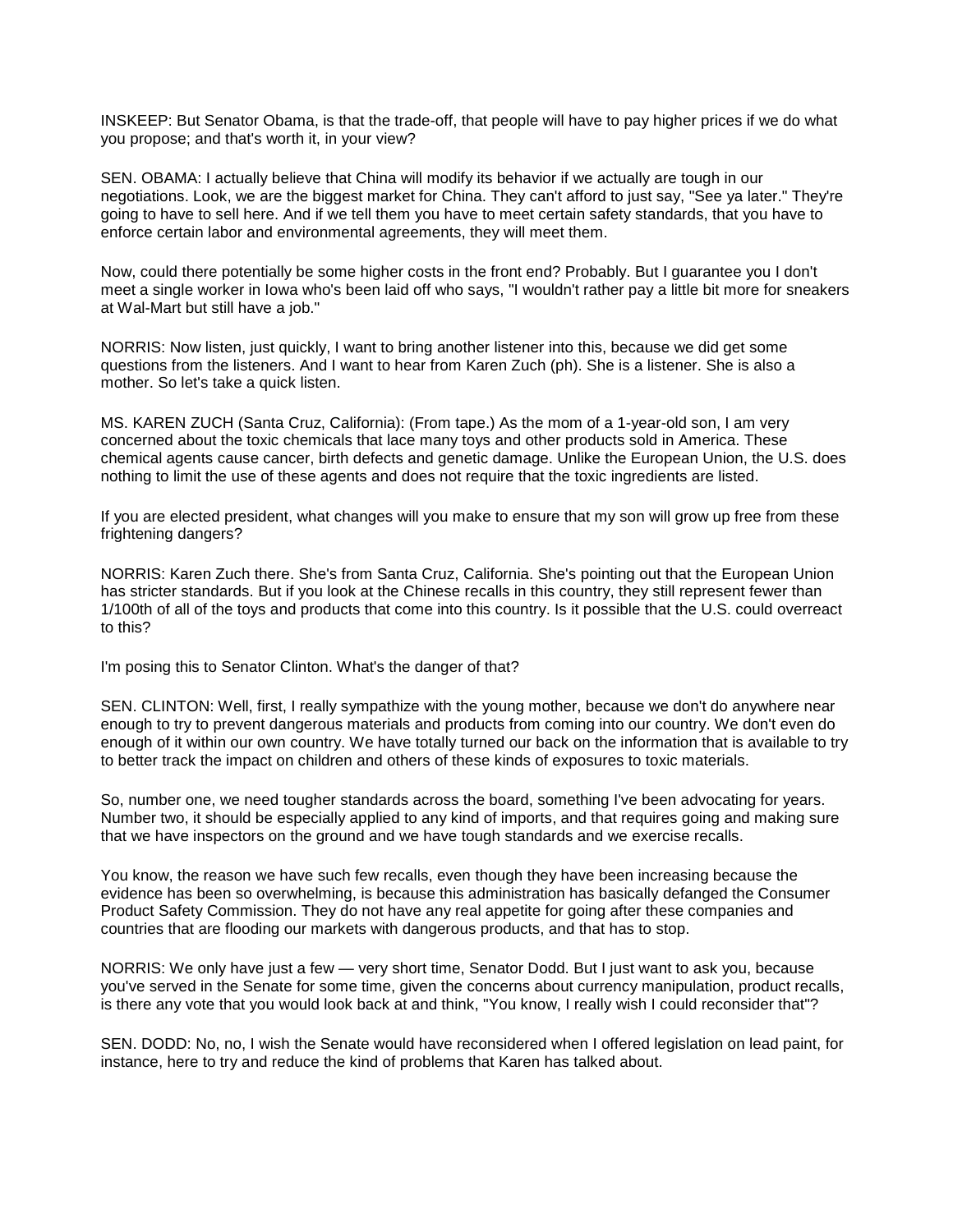INSKEEP: But Senator Obama, is that the trade-off, that people will have to pay higher prices if we do what you propose; and that's worth it, in your view?

SEN. OBAMA: I actually believe that China will modify its behavior if we actually are tough in our negotiations. Look, we are the biggest market for China. They can't afford to just say, "See ya later." They're going to have to sell here. And if we tell them you have to meet certain safety standards, that you have to enforce certain labor and environmental agreements, they will meet them.

Now, could there potentially be some higher costs in the front end? Probably. But I guarantee you I don't meet a single worker in Iowa who's been laid off who says, "I wouldn't rather pay a little bit more for sneakers at Wal-Mart but still have a job."

NORRIS: Now listen, just quickly, I want to bring another listener into this, because we did get some questions from the listeners. And I want to hear from Karen Zuch (ph). She is a listener. She is also a mother. So let's take a quick listen.

MS. KAREN ZUCH (Santa Cruz, California): (From tape.) As the mom of a 1-year-old son, I am very concerned about the toxic chemicals that lace many toys and other products sold in America. These chemical agents cause cancer, birth defects and genetic damage. Unlike the European Union, the U.S. does nothing to limit the use of these agents and does not require that the toxic ingredients are listed.

If you are elected president, what changes will you make to ensure that my son will grow up free from these frightening dangers?

NORRIS: Karen Zuch there. She's from Santa Cruz, California. She's pointing out that the European Union has stricter standards. But if you look at the Chinese recalls in this country, they still represent fewer than 1/100th of all of the toys and products that come into this country. Is it possible that the U.S. could overreact to this?

I'm posing this to Senator Clinton. What's the danger of that?

SEN. CLINTON: Well, first, I really sympathize with the young mother, because we don't do anywhere near enough to try to prevent dangerous materials and products from coming into our country. We don't even do enough of it within our own country. We have totally turned our back on the information that is available to try to better track the impact on children and others of these kinds of exposures to toxic materials.

So, number one, we need tougher standards across the board, something I've been advocating for years. Number two, it should be especially applied to any kind of imports, and that requires going and making sure that we have inspectors on the ground and we have tough standards and we exercise recalls.

You know, the reason we have such few recalls, even though they have been increasing because the evidence has been so overwhelming, is because this administration has basically defanged the Consumer Product Safety Commission. They do not have any real appetite for going after these companies and countries that are flooding our markets with dangerous products, and that has to stop.

NORRIS: We only have just a few — very short time, Senator Dodd. But I just want to ask you, because you've served in the Senate for some time, given the concerns about currency manipulation, product recalls, is there any vote that you would look back at and think, "You know, I really wish I could reconsider that"?

SEN. DODD: No, no, I wish the Senate would have reconsidered when I offered legislation on lead paint, for instance, here to try and reduce the kind of problems that Karen has talked about.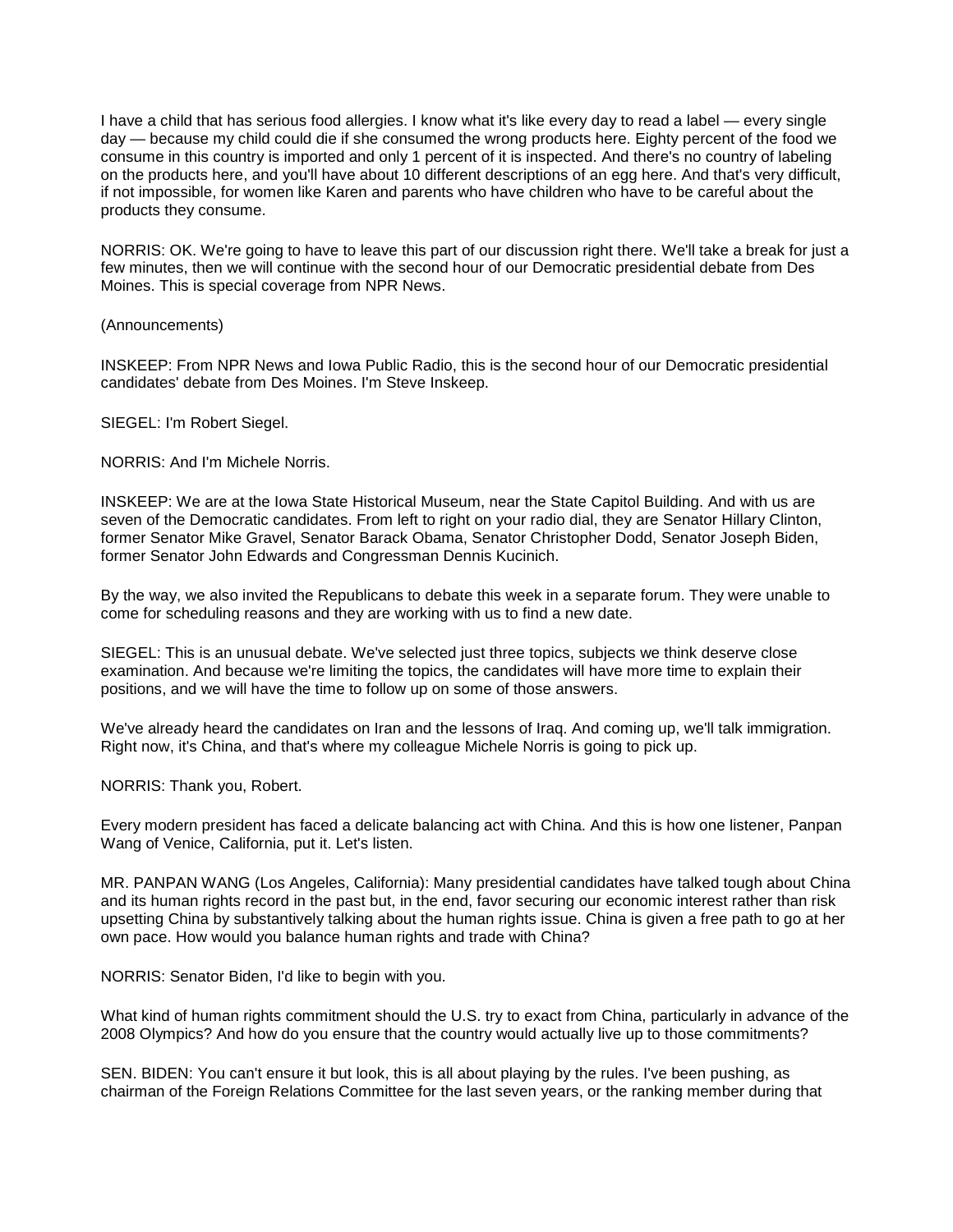I have a child that has serious food allergies. I know what it's like every day to read a label — every single day — because my child could die if she consumed the wrong products here. Eighty percent of the food we consume in this country is imported and only 1 percent of it is inspected. And there's no country of labeling on the products here, and you'll have about 10 different descriptions of an egg here. And that's very difficult, if not impossible, for women like Karen and parents who have children who have to be careful about the products they consume.

NORRIS: OK. We're going to have to leave this part of our discussion right there. We'll take a break for just a few minutes, then we will continue with the second hour of our Democratic presidential debate from Des Moines. This is special coverage from NPR News.

(Announcements)

INSKEEP: From NPR News and Iowa Public Radio, this is the second hour of our Democratic presidential candidates' debate from Des Moines. I'm Steve Inskeep.

SIEGEL: I'm Robert Siegel.

NORRIS: And I'm Michele Norris.

INSKEEP: We are at the Iowa State Historical Museum, near the State Capitol Building. And with us are seven of the Democratic candidates. From left to right on your radio dial, they are Senator Hillary Clinton, former Senator Mike Gravel, Senator Barack Obama, Senator Christopher Dodd, Senator Joseph Biden, former Senator John Edwards and Congressman Dennis Kucinich.

By the way, we also invited the Republicans to debate this week in a separate forum. They were unable to come for scheduling reasons and they are working with us to find a new date.

SIEGEL: This is an unusual debate. We've selected just three topics, subjects we think deserve close examination. And because we're limiting the topics, the candidates will have more time to explain their positions, and we will have the time to follow up on some of those answers.

We've already heard the candidates on Iran and the lessons of Iraq. And coming up, we'll talk immigration. Right now, it's China, and that's where my colleague Michele Norris is going to pick up.

NORRIS: Thank you, Robert.

Every modern president has faced a delicate balancing act with China. And this is how one listener, Panpan Wang of Venice, California, put it. Let's listen.

MR. PANPAN WANG (Los Angeles, California): Many presidential candidates have talked tough about China and its human rights record in the past but, in the end, favor securing our economic interest rather than risk upsetting China by substantively talking about the human rights issue. China is given a free path to go at her own pace. How would you balance human rights and trade with China?

NORRIS: Senator Biden, I'd like to begin with you.

What kind of human rights commitment should the U.S. try to exact from China, particularly in advance of the 2008 Olympics? And how do you ensure that the country would actually live up to those commitments?

SEN. BIDEN: You can't ensure it but look, this is all about playing by the rules. I've been pushing, as chairman of the Foreign Relations Committee for the last seven years, or the ranking member during that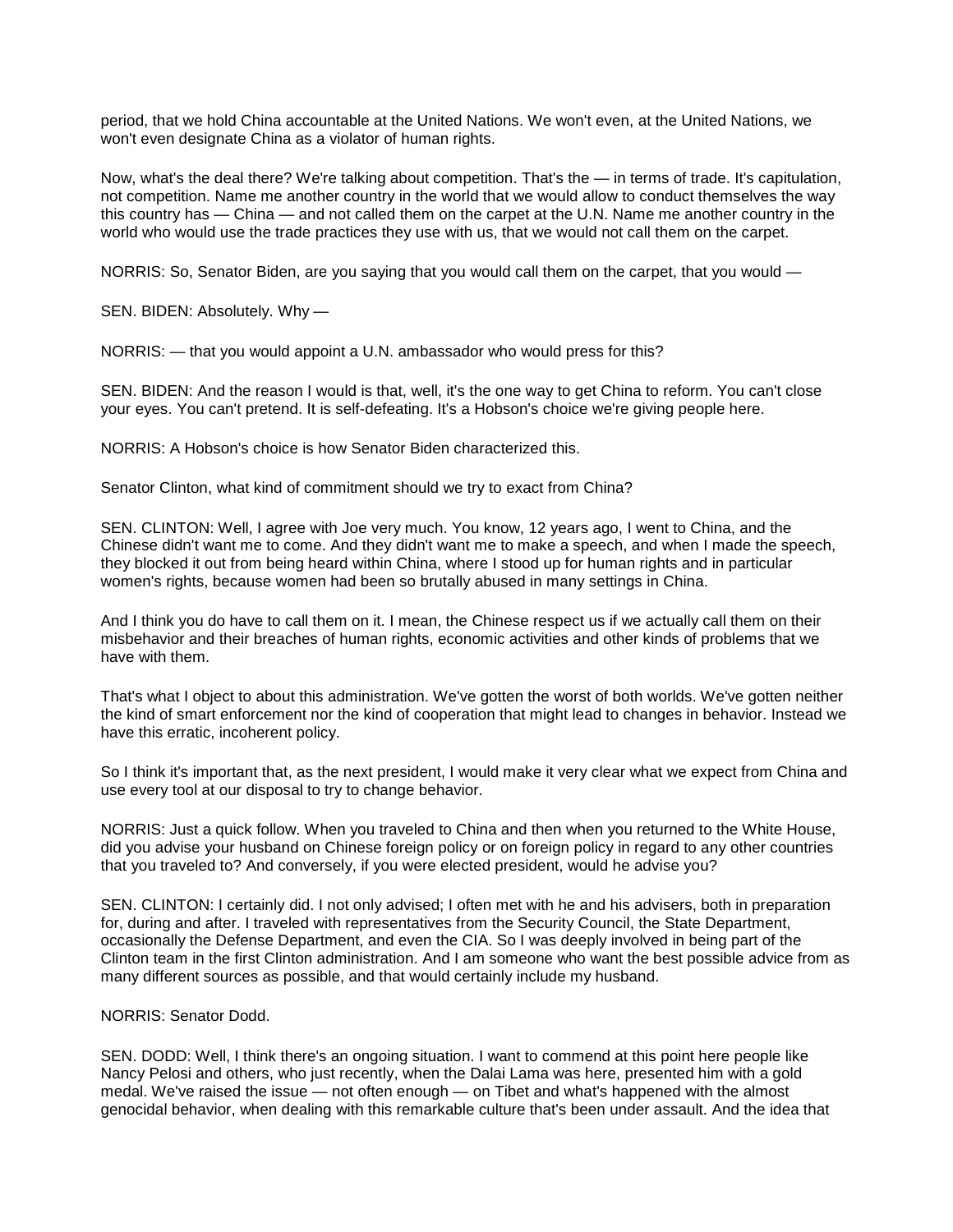period, that we hold China accountable at the United Nations. We won't even, at the United Nations, we won't even designate China as a violator of human rights.

Now, what's the deal there? We're talking about competition. That's the — in terms of trade. It's capitulation, not competition. Name me another country in the world that we would allow to conduct themselves the way this country has — China — and not called them on the carpet at the U.N. Name me another country in the world who would use the trade practices they use with us, that we would not call them on the carpet.

NORRIS: So, Senator Biden, are you saying that you would call them on the carpet, that you would —

SEN. BIDEN: Absolutely. Why —

NORRIS: — that you would appoint a U.N. ambassador who would press for this?

SEN. BIDEN: And the reason I would is that, well, it's the one way to get China to reform. You can't close your eyes. You can't pretend. It is self-defeating. It's a Hobson's choice we're giving people here.

NORRIS: A Hobson's choice is how Senator Biden characterized this.

Senator Clinton, what kind of commitment should we try to exact from China?

SEN. CLINTON: Well, I agree with Joe very much. You know, 12 years ago, I went to China, and the Chinese didn't want me to come. And they didn't want me to make a speech, and when I made the speech, they blocked it out from being heard within China, where I stood up for human rights and in particular women's rights, because women had been so brutally abused in many settings in China.

And I think you do have to call them on it. I mean, the Chinese respect us if we actually call them on their misbehavior and their breaches of human rights, economic activities and other kinds of problems that we have with them.

That's what I object to about this administration. We've gotten the worst of both worlds. We've gotten neither the kind of smart enforcement nor the kind of cooperation that might lead to changes in behavior. Instead we have this erratic, incoherent policy.

So I think it's important that, as the next president, I would make it very clear what we expect from China and use every tool at our disposal to try to change behavior.

NORRIS: Just a quick follow. When you traveled to China and then when you returned to the White House, did you advise your husband on Chinese foreign policy or on foreign policy in regard to any other countries that you traveled to? And conversely, if you were elected president, would he advise you?

SEN. CLINTON: I certainly did. I not only advised; I often met with he and his advisers, both in preparation for, during and after. I traveled with representatives from the Security Council, the State Department, occasionally the Defense Department, and even the CIA. So I was deeply involved in being part of the Clinton team in the first Clinton administration. And I am someone who want the best possible advice from as many different sources as possible, and that would certainly include my husband.

#### NORRIS: Senator Dodd.

SEN. DODD: Well, I think there's an ongoing situation. I want to commend at this point here people like Nancy Pelosi and others, who just recently, when the Dalai Lama was here, presented him with a gold medal. We've raised the issue — not often enough — on Tibet and what's happened with the almost genocidal behavior, when dealing with this remarkable culture that's been under assault. And the idea that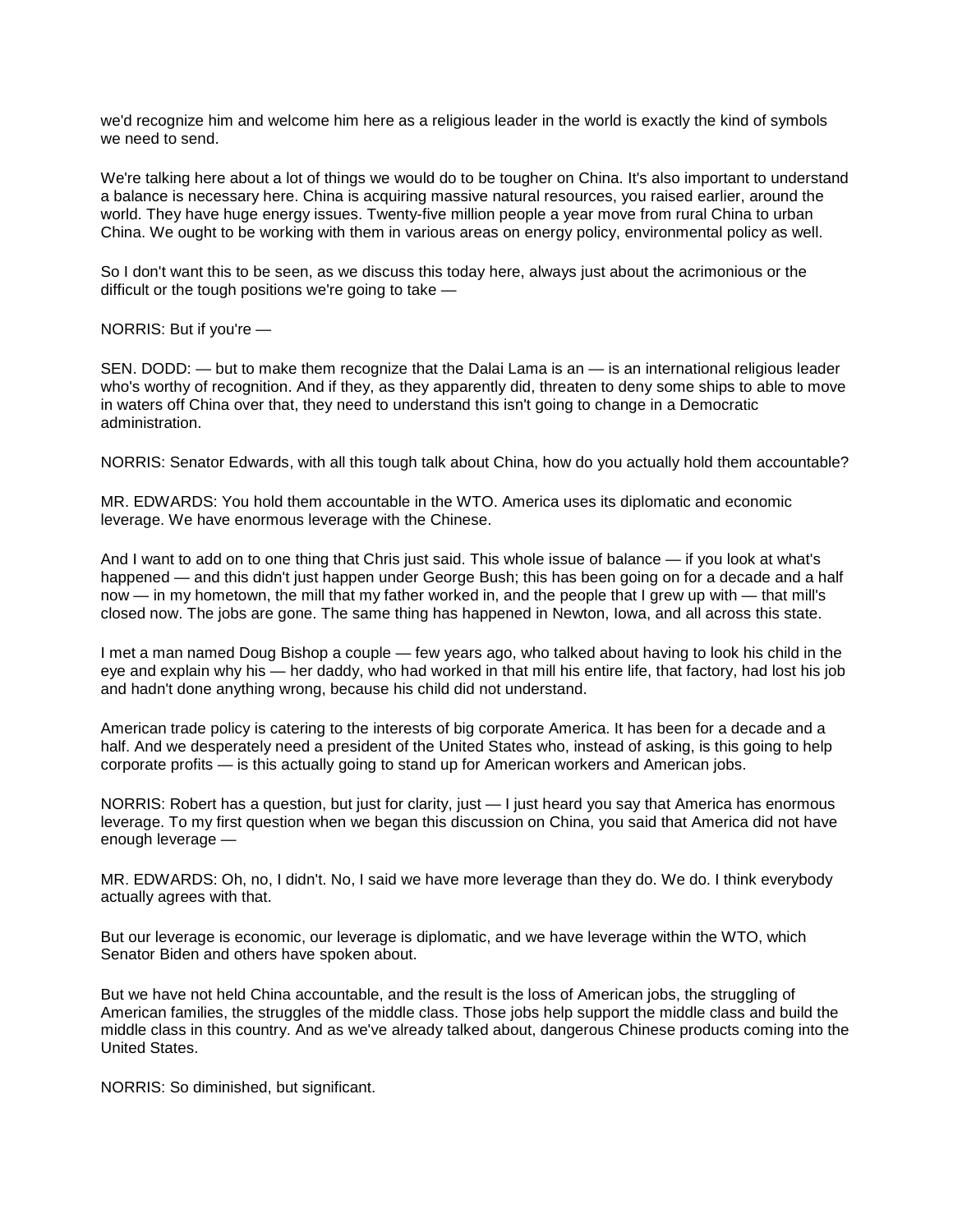we'd recognize him and welcome him here as a religious leader in the world is exactly the kind of symbols we need to send.

We're talking here about a lot of things we would do to be tougher on China. It's also important to understand a balance is necessary here. China is acquiring massive natural resources, you raised earlier, around the world. They have huge energy issues. Twenty-five million people a year move from rural China to urban China. We ought to be working with them in various areas on energy policy, environmental policy as well.

So I don't want this to be seen, as we discuss this today here, always just about the acrimonious or the difficult or the tough positions we're going to take -

NORRIS: But if you're —

SEN. DODD: — but to make them recognize that the Dalai Lama is an — is an international religious leader who's worthy of recognition. And if they, as they apparently did, threaten to deny some ships to able to move in waters off China over that, they need to understand this isn't going to change in a Democratic administration.

NORRIS: Senator Edwards, with all this tough talk about China, how do you actually hold them accountable?

MR. EDWARDS: You hold them accountable in the WTO. America uses its diplomatic and economic leverage. We have enormous leverage with the Chinese.

And I want to add on to one thing that Chris just said. This whole issue of balance — if you look at what's happened — and this didn't just happen under George Bush; this has been going on for a decade and a half now — in my hometown, the mill that my father worked in, and the people that I grew up with — that mill's closed now. The jobs are gone. The same thing has happened in Newton, Iowa, and all across this state.

I met a man named Doug Bishop a couple — few years ago, who talked about having to look his child in the eye and explain why his — her daddy, who had worked in that mill his entire life, that factory, had lost his job and hadn't done anything wrong, because his child did not understand.

American trade policy is catering to the interests of big corporate America. It has been for a decade and a half. And we desperately need a president of the United States who, instead of asking, is this going to help corporate profits — is this actually going to stand up for American workers and American jobs.

NORRIS: Robert has a question, but just for clarity, just — I just heard you say that America has enormous leverage. To my first question when we began this discussion on China, you said that America did not have enough leverage —

MR. EDWARDS: Oh, no, I didn't. No, I said we have more leverage than they do. We do. I think everybody actually agrees with that.

But our leverage is economic, our leverage is diplomatic, and we have leverage within the WTO, which Senator Biden and others have spoken about.

But we have not held China accountable, and the result is the loss of American jobs, the struggling of American families, the struggles of the middle class. Those jobs help support the middle class and build the middle class in this country. And as we've already talked about, dangerous Chinese products coming into the United States.

NORRIS: So diminished, but significant.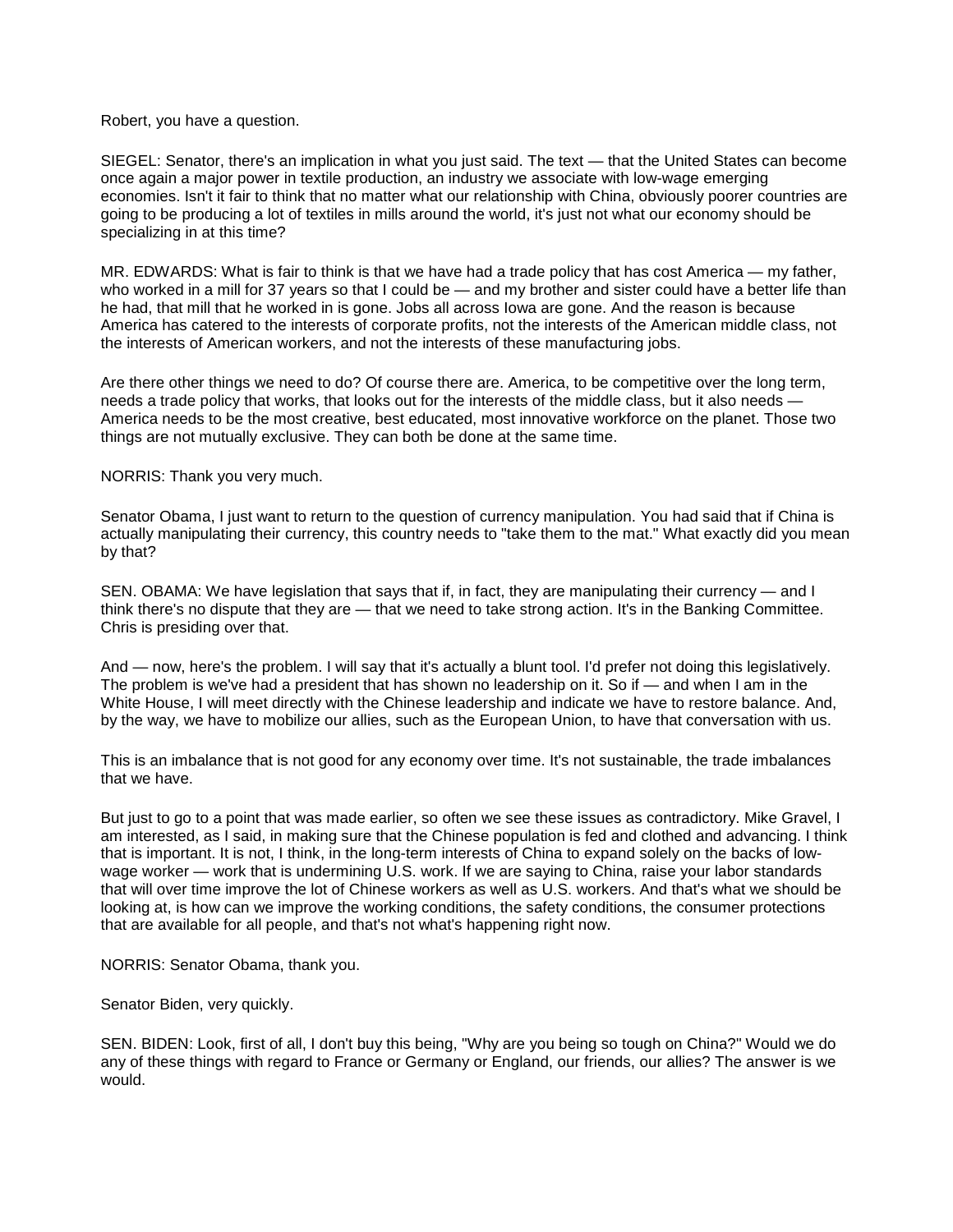Robert, you have a question.

SIEGEL: Senator, there's an implication in what you just said. The text — that the United States can become once again a major power in textile production, an industry we associate with low-wage emerging economies. Isn't it fair to think that no matter what our relationship with China, obviously poorer countries are going to be producing a lot of textiles in mills around the world, it's just not what our economy should be specializing in at this time?

MR. EDWARDS: What is fair to think is that we have had a trade policy that has cost America — my father, who worked in a mill for 37 years so that I could be — and my brother and sister could have a better life than he had, that mill that he worked in is gone. Jobs all across Iowa are gone. And the reason is because America has catered to the interests of corporate profits, not the interests of the American middle class, not the interests of American workers, and not the interests of these manufacturing jobs.

Are there other things we need to do? Of course there are. America, to be competitive over the long term, needs a trade policy that works, that looks out for the interests of the middle class, but it also needs — America needs to be the most creative, best educated, most innovative workforce on the planet. Those two things are not mutually exclusive. They can both be done at the same time.

NORRIS: Thank you very much.

Senator Obama, I just want to return to the question of currency manipulation. You had said that if China is actually manipulating their currency, this country needs to "take them to the mat." What exactly did you mean by that?

SEN. OBAMA: We have legislation that says that if, in fact, they are manipulating their currency — and I think there's no dispute that they are — that we need to take strong action. It's in the Banking Committee. Chris is presiding over that.

And — now, here's the problem. I will say that it's actually a blunt tool. I'd prefer not doing this legislatively. The problem is we've had a president that has shown no leadership on it. So if — and when I am in the White House, I will meet directly with the Chinese leadership and indicate we have to restore balance. And, by the way, we have to mobilize our allies, such as the European Union, to have that conversation with us.

This is an imbalance that is not good for any economy over time. It's not sustainable, the trade imbalances that we have.

But just to go to a point that was made earlier, so often we see these issues as contradictory. Mike Gravel, I am interested, as I said, in making sure that the Chinese population is fed and clothed and advancing. I think that is important. It is not, I think, in the long-term interests of China to expand solely on the backs of lowwage worker — work that is undermining U.S. work. If we are saying to China, raise your labor standards that will over time improve the lot of Chinese workers as well as U.S. workers. And that's what we should be looking at, is how can we improve the working conditions, the safety conditions, the consumer protections that are available for all people, and that's not what's happening right now.

NORRIS: Senator Obama, thank you.

Senator Biden, very quickly.

SEN. BIDEN: Look, first of all, I don't buy this being, "Why are you being so tough on China?" Would we do any of these things with regard to France or Germany or England, our friends, our allies? The answer is we would.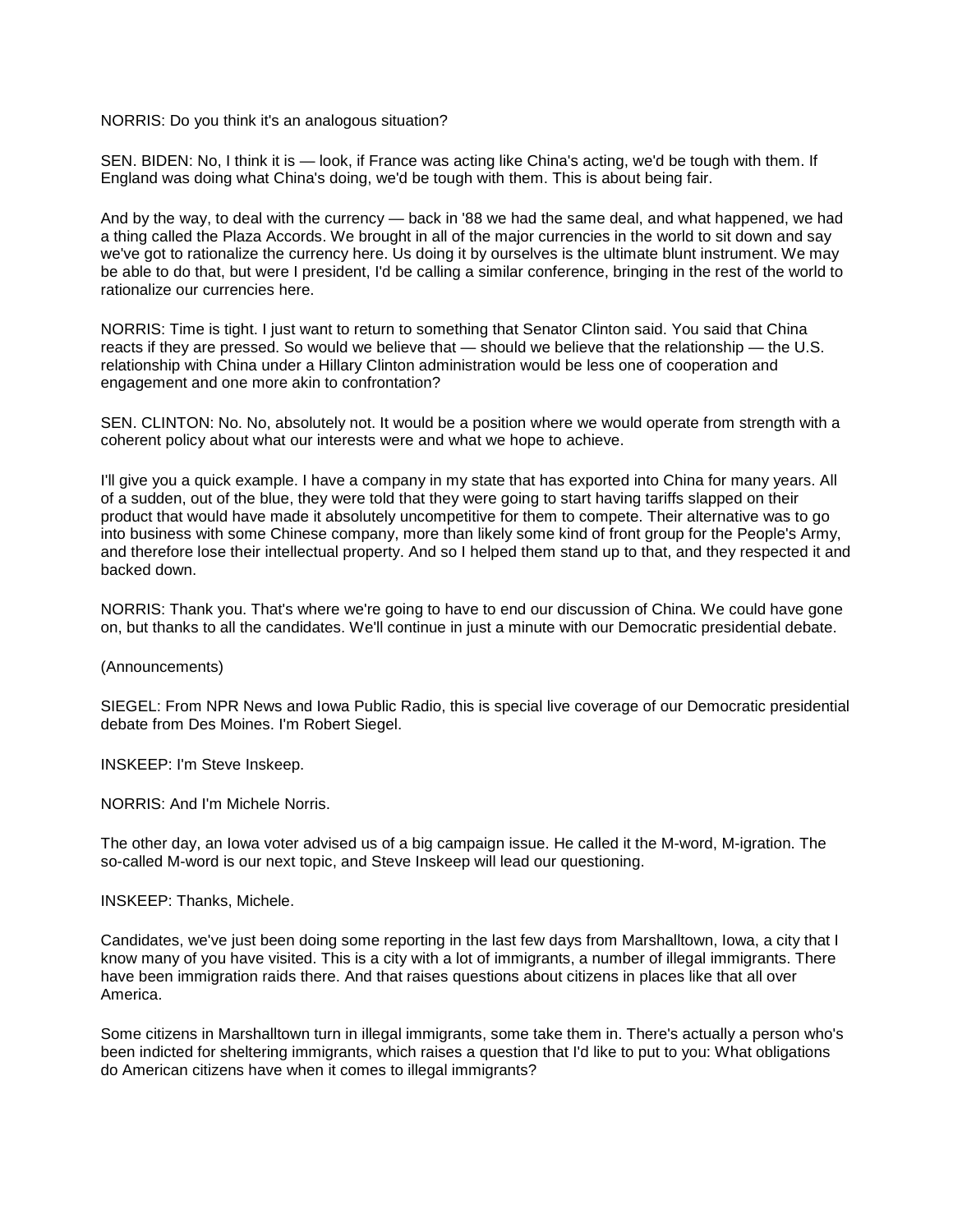NORRIS: Do you think it's an analogous situation?

SEN. BIDEN: No, I think it is — look, if France was acting like China's acting, we'd be tough with them. If England was doing what China's doing, we'd be tough with them. This is about being fair.

And by the way, to deal with the currency — back in '88 we had the same deal, and what happened, we had a thing called the Plaza Accords. We brought in all of the major currencies in the world to sit down and say we've got to rationalize the currency here. Us doing it by ourselves is the ultimate blunt instrument. We may be able to do that, but were I president, I'd be calling a similar conference, bringing in the rest of the world to rationalize our currencies here.

NORRIS: Time is tight. I just want to return to something that Senator Clinton said. You said that China reacts if they are pressed. So would we believe that — should we believe that the relationship — the U.S. relationship with China under a Hillary Clinton administration would be less one of cooperation and engagement and one more akin to confrontation?

SEN. CLINTON: No. No, absolutely not. It would be a position where we would operate from strength with a coherent policy about what our interests were and what we hope to achieve.

I'll give you a quick example. I have a company in my state that has exported into China for many years. All of a sudden, out of the blue, they were told that they were going to start having tariffs slapped on their product that would have made it absolutely uncompetitive for them to compete. Their alternative was to go into business with some Chinese company, more than likely some kind of front group for the People's Army, and therefore lose their intellectual property. And so I helped them stand up to that, and they respected it and backed down.

NORRIS: Thank you. That's where we're going to have to end our discussion of China. We could have gone on, but thanks to all the candidates. We'll continue in just a minute with our Democratic presidential debate.

(Announcements)

SIEGEL: From NPR News and Iowa Public Radio, this is special live coverage of our Democratic presidential debate from Des Moines. I'm Robert Siegel.

INSKEEP: I'm Steve Inskeep.

NORRIS: And I'm Michele Norris.

The other day, an Iowa voter advised us of a big campaign issue. He called it the M-word, M-igration. The so-called M-word is our next topic, and Steve Inskeep will lead our questioning.

INSKEEP: Thanks, Michele.

Candidates, we've just been doing some reporting in the last few days from Marshalltown, Iowa, a city that I know many of you have visited. This is a city with a lot of immigrants, a number of illegal immigrants. There have been immigration raids there. And that raises questions about citizens in places like that all over America.

Some citizens in Marshalltown turn in illegal immigrants, some take them in. There's actually a person who's been indicted for sheltering immigrants, which raises a question that I'd like to put to you: What obligations do American citizens have when it comes to illegal immigrants?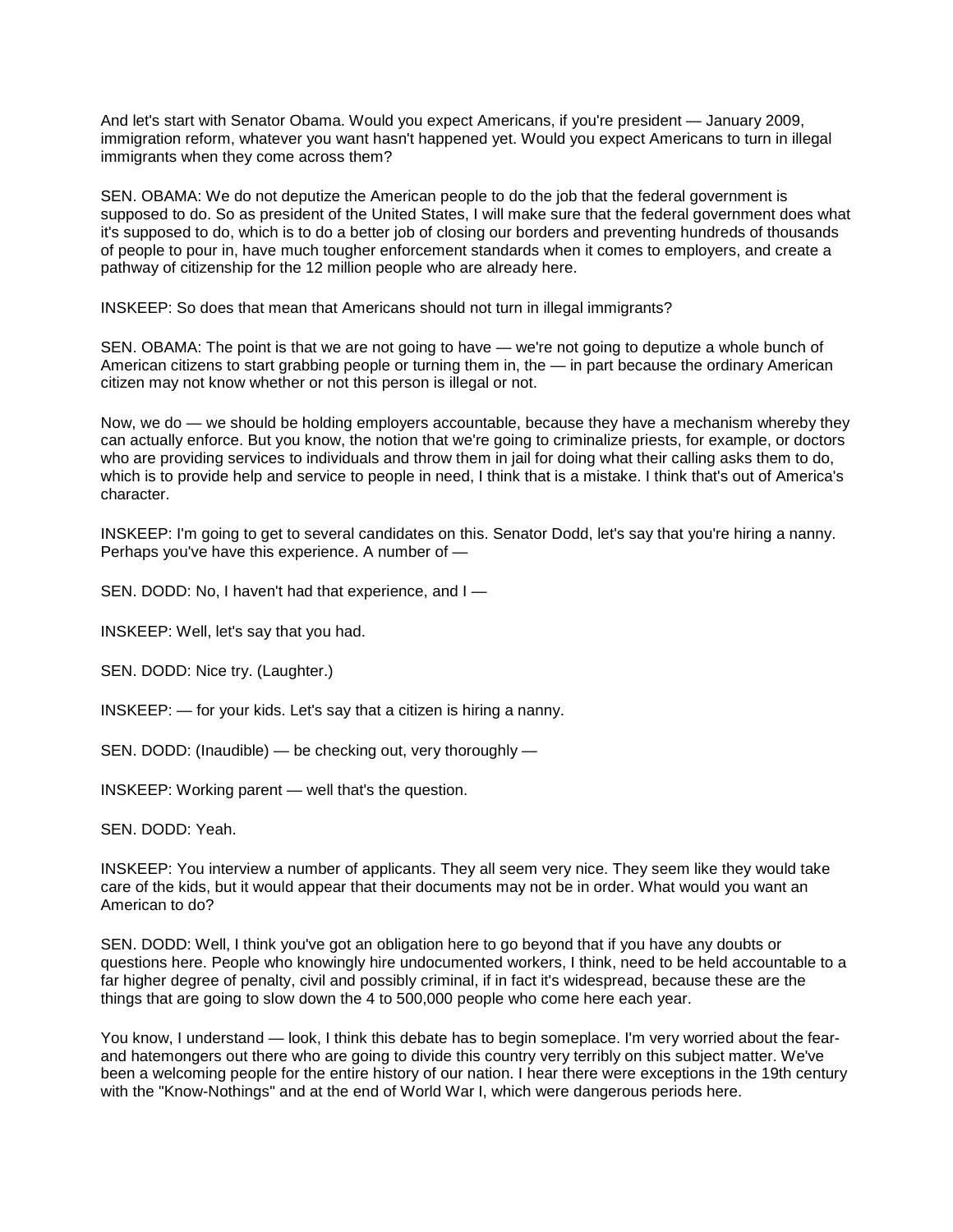And let's start with Senator Obama. Would you expect Americans, if you're president — January 2009, immigration reform, whatever you want hasn't happened yet. Would you expect Americans to turn in illegal immigrants when they come across them?

SEN. OBAMA: We do not deputize the American people to do the job that the federal government is supposed to do. So as president of the United States, I will make sure that the federal government does what it's supposed to do, which is to do a better job of closing our borders and preventing hundreds of thousands of people to pour in, have much tougher enforcement standards when it comes to employers, and create a pathway of citizenship for the 12 million people who are already here.

INSKEEP: So does that mean that Americans should not turn in illegal immigrants?

SEN. OBAMA: The point is that we are not going to have — we're not going to deputize a whole bunch of American citizens to start grabbing people or turning them in, the — in part because the ordinary American citizen may not know whether or not this person is illegal or not.

Now, we do — we should be holding employers accountable, because they have a mechanism whereby they can actually enforce. But you know, the notion that we're going to criminalize priests, for example, or doctors who are providing services to individuals and throw them in jail for doing what their calling asks them to do, which is to provide help and service to people in need, I think that is a mistake. I think that's out of America's character.

INSKEEP: I'm going to get to several candidates on this. Senator Dodd, let's say that you're hiring a nanny. Perhaps you've have this experience. A number of —

SEN. DODD: No, I haven't had that experience, and I —

INSKEEP: Well, let's say that you had.

SEN. DODD: Nice try. (Laughter.)

INSKEEP: — for your kids. Let's say that a citizen is hiring a nanny.

SEN. DODD: (Inaudible) — be checking out, very thoroughly —

INSKEEP: Working parent — well that's the question.

SEN. DODD: Yeah.

INSKEEP: You interview a number of applicants. They all seem very nice. They seem like they would take care of the kids, but it would appear that their documents may not be in order. What would you want an American to do?

SEN. DODD: Well, I think you've got an obligation here to go beyond that if you have any doubts or questions here. People who knowingly hire undocumented workers, I think, need to be held accountable to a far higher degree of penalty, civil and possibly criminal, if in fact it's widespread, because these are the things that are going to slow down the 4 to 500,000 people who come here each year.

You know, I understand — look, I think this debate has to begin someplace. I'm very worried about the fearand hatemongers out there who are going to divide this country very terribly on this subject matter. We've been a welcoming people for the entire history of our nation. I hear there were exceptions in the 19th century with the "Know-Nothings" and at the end of World War I, which were dangerous periods here.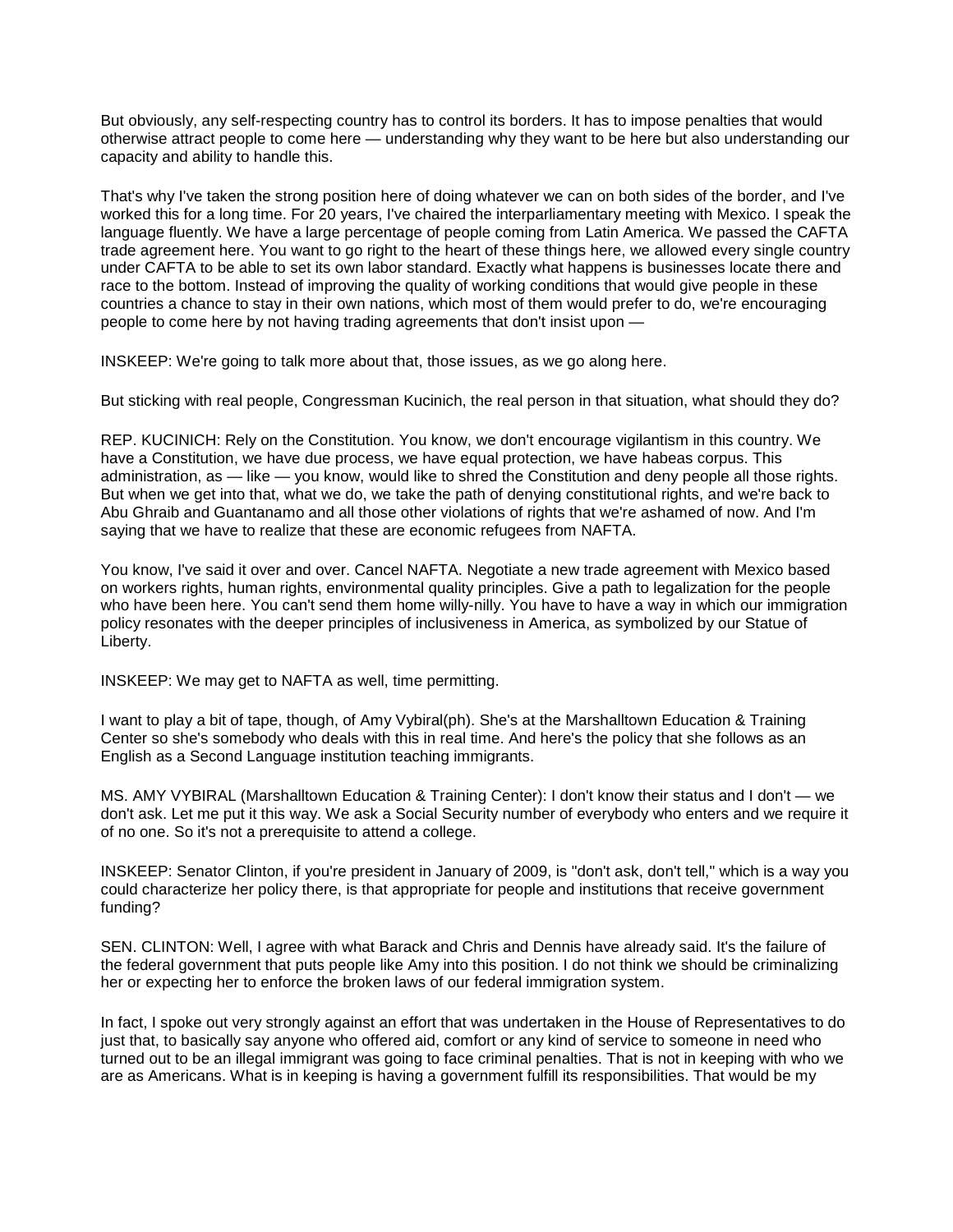But obviously, any self-respecting country has to control its borders. It has to impose penalties that would otherwise attract people to come here — understanding why they want to be here but also understanding our capacity and ability to handle this.

That's why I've taken the strong position here of doing whatever we can on both sides of the border, and I've worked this for a long time. For 20 years, I've chaired the interparliamentary meeting with Mexico. I speak the language fluently. We have a large percentage of people coming from Latin America. We passed the CAFTA trade agreement here. You want to go right to the heart of these things here, we allowed every single country under CAFTA to be able to set its own labor standard. Exactly what happens is businesses locate there and race to the bottom. Instead of improving the quality of working conditions that would give people in these countries a chance to stay in their own nations, which most of them would prefer to do, we're encouraging people to come here by not having trading agreements that don't insist upon —

INSKEEP: We're going to talk more about that, those issues, as we go along here.

But sticking with real people, Congressman Kucinich, the real person in that situation, what should they do?

REP. KUCINICH: Rely on the Constitution. You know, we don't encourage vigilantism in this country. We have a Constitution, we have due process, we have equal protection, we have habeas corpus. This administration, as — like — you know, would like to shred the Constitution and deny people all those rights. But when we get into that, what we do, we take the path of denying constitutional rights, and we're back to Abu Ghraib and Guantanamo and all those other violations of rights that we're ashamed of now. And I'm saying that we have to realize that these are economic refugees from NAFTA.

You know, I've said it over and over. Cancel NAFTA. Negotiate a new trade agreement with Mexico based on workers rights, human rights, environmental quality principles. Give a path to legalization for the people who have been here. You can't send them home willy-nilly. You have to have a way in which our immigration policy resonates with the deeper principles of inclusiveness in America, as symbolized by our Statue of Liberty.

INSKEEP: We may get to NAFTA as well, time permitting.

I want to play a bit of tape, though, of Amy Vybiral(ph). She's at the Marshalltown Education & Training Center so she's somebody who deals with this in real time. And here's the policy that she follows as an English as a Second Language institution teaching immigrants.

MS. AMY VYBIRAL (Marshalltown Education & Training Center): I don't know their status and I don't — we don't ask. Let me put it this way. We ask a Social Security number of everybody who enters and we require it of no one. So it's not a prerequisite to attend a college.

INSKEEP: Senator Clinton, if you're president in January of 2009, is "don't ask, don't tell," which is a way you could characterize her policy there, is that appropriate for people and institutions that receive government funding?

SEN. CLINTON: Well, I agree with what Barack and Chris and Dennis have already said. It's the failure of the federal government that puts people like Amy into this position. I do not think we should be criminalizing her or expecting her to enforce the broken laws of our federal immigration system.

In fact, I spoke out very strongly against an effort that was undertaken in the House of Representatives to do just that, to basically say anyone who offered aid, comfort or any kind of service to someone in need who turned out to be an illegal immigrant was going to face criminal penalties. That is not in keeping with who we are as Americans. What is in keeping is having a government fulfill its responsibilities. That would be my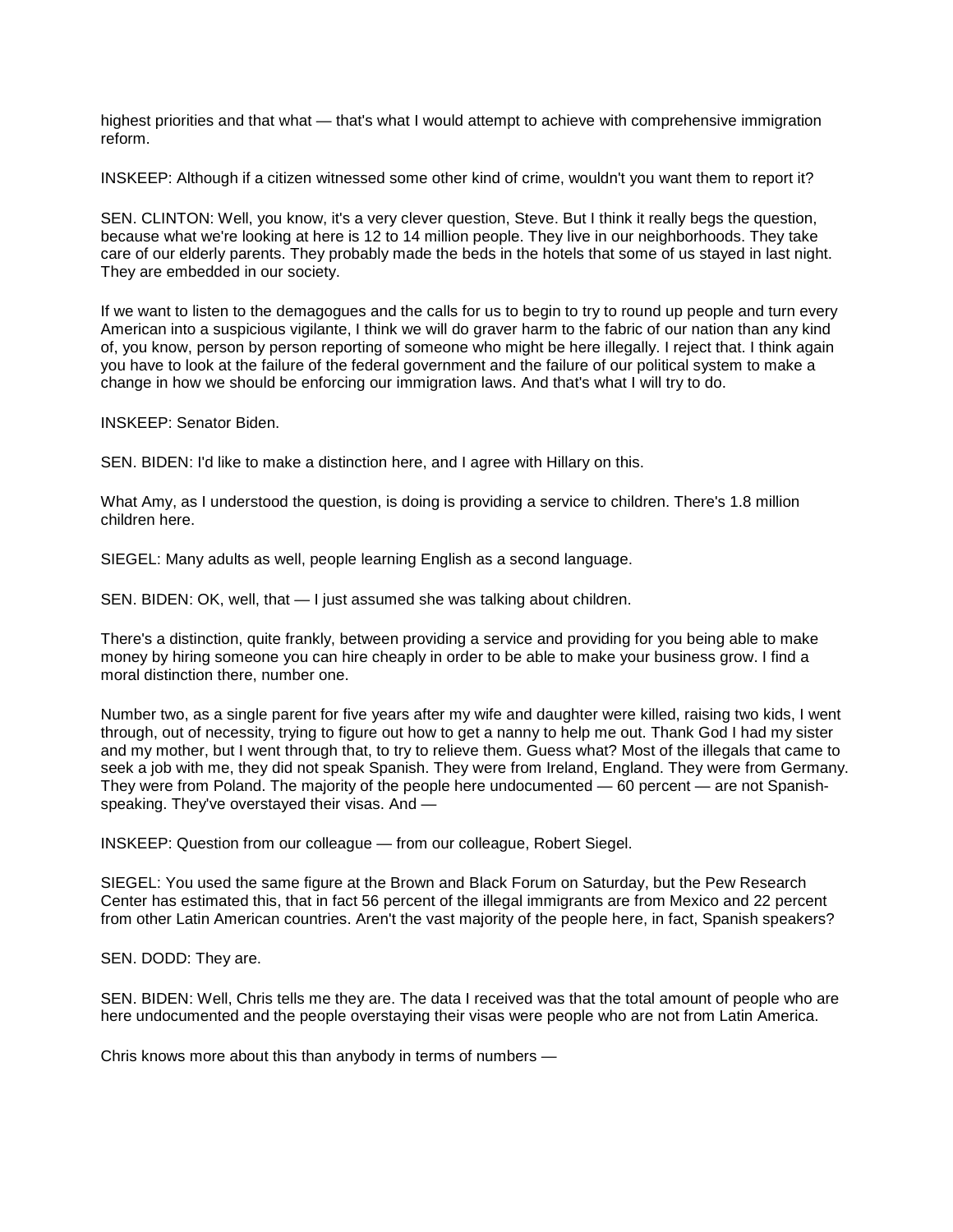highest priorities and that what — that's what I would attempt to achieve with comprehensive immigration reform.

INSKEEP: Although if a citizen witnessed some other kind of crime, wouldn't you want them to report it?

SEN. CLINTON: Well, you know, it's a very clever question, Steve. But I think it really begs the question, because what we're looking at here is 12 to 14 million people. They live in our neighborhoods. They take care of our elderly parents. They probably made the beds in the hotels that some of us stayed in last night. They are embedded in our society.

If we want to listen to the demagogues and the calls for us to begin to try to round up people and turn every American into a suspicious vigilante, I think we will do graver harm to the fabric of our nation than any kind of, you know, person by person reporting of someone who might be here illegally. I reject that. I think again you have to look at the failure of the federal government and the failure of our political system to make a change in how we should be enforcing our immigration laws. And that's what I will try to do.

INSKEEP: Senator Biden.

SEN. BIDEN: I'd like to make a distinction here, and I agree with Hillary on this.

What Amy, as I understood the question, is doing is providing a service to children. There's 1.8 million children here.

SIEGEL: Many adults as well, people learning English as a second language.

SEN. BIDEN: OK, well, that — I just assumed she was talking about children.

There's a distinction, quite frankly, between providing a service and providing for you being able to make money by hiring someone you can hire cheaply in order to be able to make your business grow. I find a moral distinction there, number one.

Number two, as a single parent for five years after my wife and daughter were killed, raising two kids, I went through, out of necessity, trying to figure out how to get a nanny to help me out. Thank God I had my sister and my mother, but I went through that, to try to relieve them. Guess what? Most of the illegals that came to seek a job with me, they did not speak Spanish. They were from Ireland, England. They were from Germany. They were from Poland. The majority of the people here undocumented — 60 percent — are not Spanishspeaking. They've overstayed their visas. And —

INSKEEP: Question from our colleague — from our colleague, Robert Siegel.

SIEGEL: You used the same figure at the Brown and Black Forum on Saturday, but the Pew Research Center has estimated this, that in fact 56 percent of the illegal immigrants are from Mexico and 22 percent from other Latin American countries. Aren't the vast majority of the people here, in fact, Spanish speakers?

SEN. DODD: They are.

SEN. BIDEN: Well, Chris tells me they are. The data I received was that the total amount of people who are here undocumented and the people overstaying their visas were people who are not from Latin America.

Chris knows more about this than anybody in terms of numbers —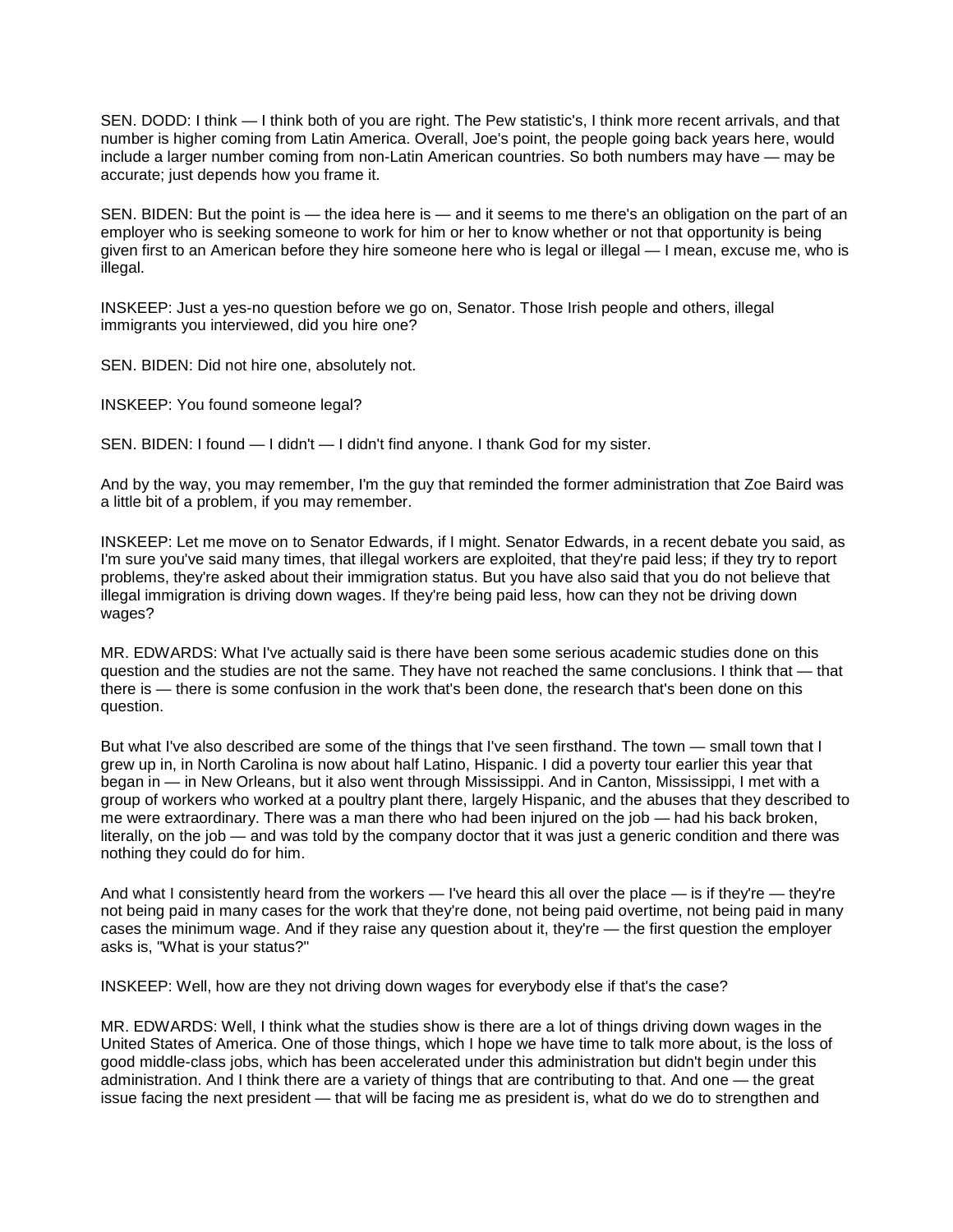SEN. DODD: I think — I think both of you are right. The Pew statistic's, I think more recent arrivals, and that number is higher coming from Latin America. Overall, Joe's point, the people going back years here, would include a larger number coming from non-Latin American countries. So both numbers may have — may be accurate; just depends how you frame it.

SEN. BIDEN: But the point is — the idea here is — and it seems to me there's an obligation on the part of an employer who is seeking someone to work for him or her to know whether or not that opportunity is being given first to an American before they hire someone here who is legal or illegal — I mean, excuse me, who is illegal.

INSKEEP: Just a yes-no question before we go on, Senator. Those Irish people and others, illegal immigrants you interviewed, did you hire one?

SEN. BIDEN: Did not hire one, absolutely not.

INSKEEP: You found someone legal?

SEN. BIDEN: I found — I didn't — I didn't find anyone. I thank God for my sister.

And by the way, you may remember, I'm the guy that reminded the former administration that Zoe Baird was a little bit of a problem, if you may remember.

INSKEEP: Let me move on to Senator Edwards, if I might. Senator Edwards, in a recent debate you said, as I'm sure you've said many times, that illegal workers are exploited, that they're paid less; if they try to report problems, they're asked about their immigration status. But you have also said that you do not believe that illegal immigration is driving down wages. If they're being paid less, how can they not be driving down wages?

MR. EDWARDS: What I've actually said is there have been some serious academic studies done on this question and the studies are not the same. They have not reached the same conclusions. I think that — that there is — there is some confusion in the work that's been done, the research that's been done on this question.

But what I've also described are some of the things that I've seen firsthand. The town — small town that I grew up in, in North Carolina is now about half Latino, Hispanic. I did a poverty tour earlier this year that began in — in New Orleans, but it also went through Mississippi. And in Canton, Mississippi, I met with a group of workers who worked at a poultry plant there, largely Hispanic, and the abuses that they described to me were extraordinary. There was a man there who had been injured on the job — had his back broken, literally, on the job — and was told by the company doctor that it was just a generic condition and there was nothing they could do for him.

And what I consistently heard from the workers  $-$  I've heard this all over the place  $-$  is if they're  $-$  they're not being paid in many cases for the work that they're done, not being paid overtime, not being paid in many cases the minimum wage. And if they raise any question about it, they're — the first question the employer asks is, "What is your status?"

INSKEEP: Well, how are they not driving down wages for everybody else if that's the case?

MR. EDWARDS: Well, I think what the studies show is there are a lot of things driving down wages in the United States of America. One of those things, which I hope we have time to talk more about, is the loss of good middle-class jobs, which has been accelerated under this administration but didn't begin under this administration. And I think there are a variety of things that are contributing to that. And one — the great issue facing the next president — that will be facing me as president is, what do we do to strengthen and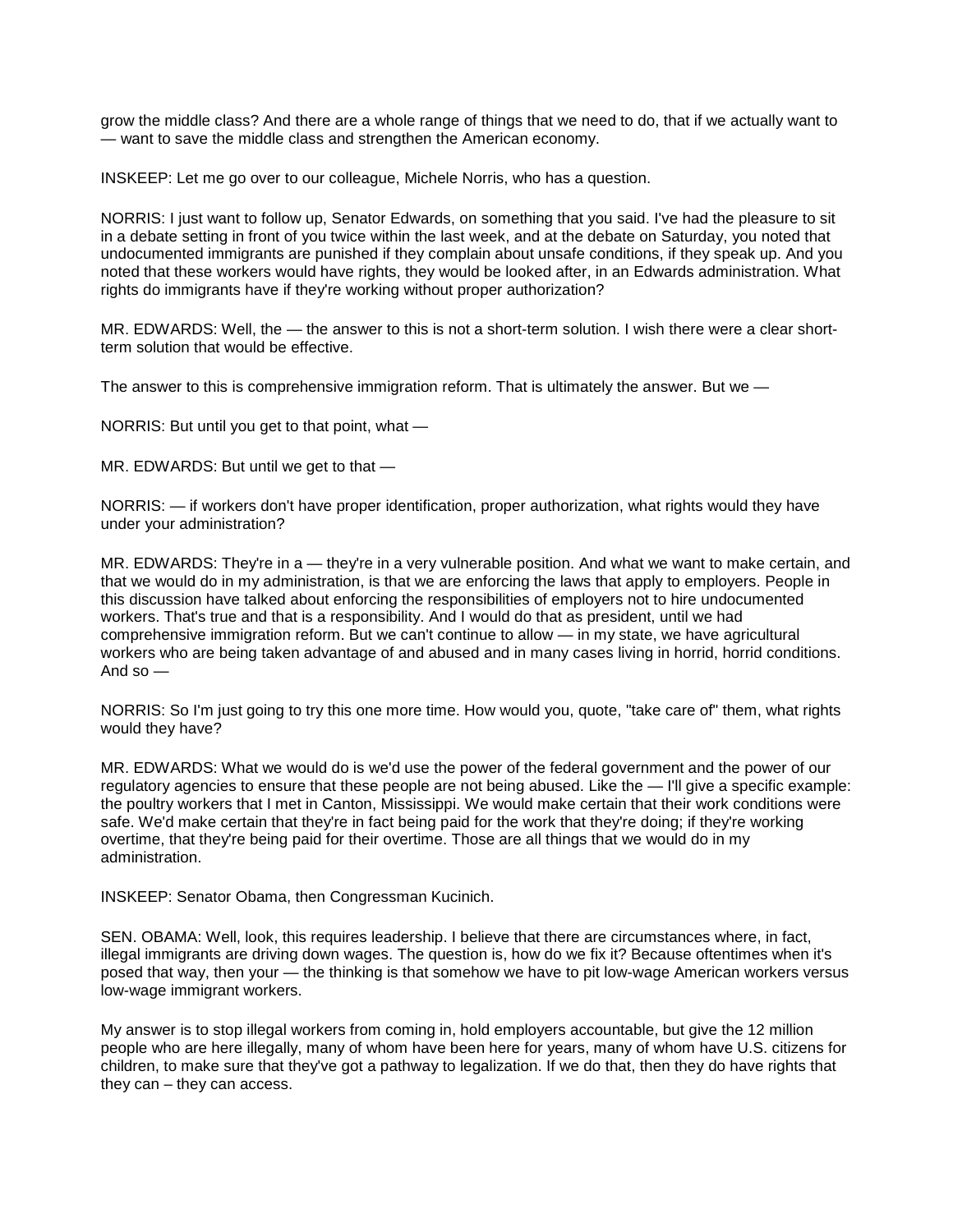grow the middle class? And there are a whole range of things that we need to do, that if we actually want to — want to save the middle class and strengthen the American economy.

INSKEEP: Let me go over to our colleague, Michele Norris, who has a question.

NORRIS: I just want to follow up, Senator Edwards, on something that you said. I've had the pleasure to sit in a debate setting in front of you twice within the last week, and at the debate on Saturday, you noted that undocumented immigrants are punished if they complain about unsafe conditions, if they speak up. And you noted that these workers would have rights, they would be looked after, in an Edwards administration. What rights do immigrants have if they're working without proper authorization?

MR. EDWARDS: Well, the — the answer to this is not a short-term solution. I wish there were a clear shortterm solution that would be effective.

The answer to this is comprehensive immigration reform. That is ultimately the answer. But we —

NORRIS: But until you get to that point, what —

MR. EDWARDS: But until we get to that —

NORRIS: — if workers don't have proper identification, proper authorization, what rights would they have under your administration?

MR. EDWARDS: They're in a — they're in a very vulnerable position. And what we want to make certain, and that we would do in my administration, is that we are enforcing the laws that apply to employers. People in this discussion have talked about enforcing the responsibilities of employers not to hire undocumented workers. That's true and that is a responsibility. And I would do that as president, until we had comprehensive immigration reform. But we can't continue to allow — in my state, we have agricultural workers who are being taken advantage of and abused and in many cases living in horrid, horrid conditions. And so —

NORRIS: So I'm just going to try this one more time. How would you, quote, "take care of" them, what rights would they have?

MR. EDWARDS: What we would do is we'd use the power of the federal government and the power of our regulatory agencies to ensure that these people are not being abused. Like the — I'll give a specific example: the poultry workers that I met in Canton, Mississippi. We would make certain that their work conditions were safe. We'd make certain that they're in fact being paid for the work that they're doing; if they're working overtime, that they're being paid for their overtime. Those are all things that we would do in my administration.

INSKEEP: Senator Obama, then Congressman Kucinich.

SEN. OBAMA: Well, look, this requires leadership. I believe that there are circumstances where, in fact, illegal immigrants are driving down wages. The question is, how do we fix it? Because oftentimes when it's posed that way, then your — the thinking is that somehow we have to pit low-wage American workers versus low-wage immigrant workers.

My answer is to stop illegal workers from coming in, hold employers accountable, but give the 12 million people who are here illegally, many of whom have been here for years, many of whom have U.S. citizens for children, to make sure that they've got a pathway to legalization. If we do that, then they do have rights that they can – they can access.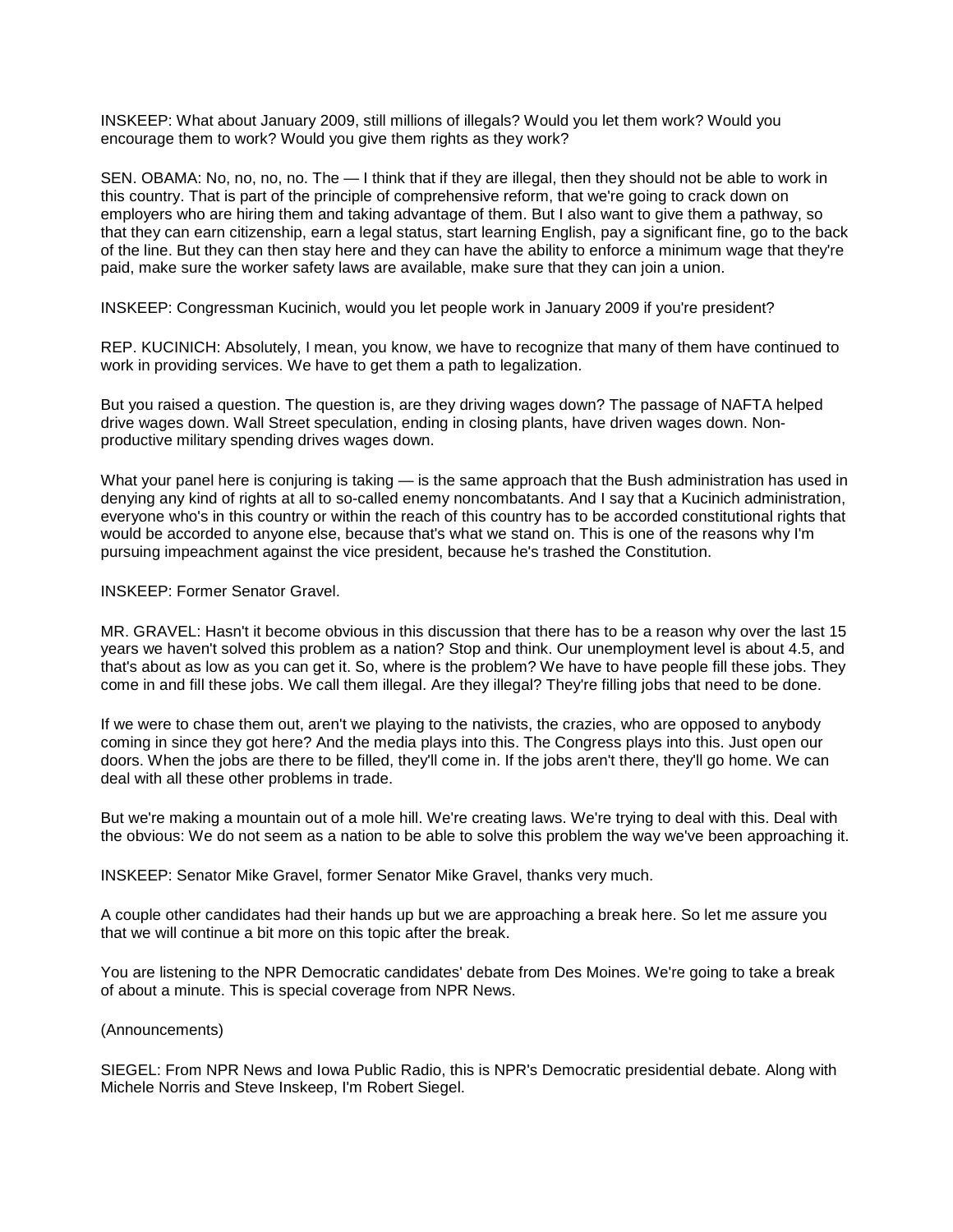INSKEEP: What about January 2009, still millions of illegals? Would you let them work? Would you encourage them to work? Would you give them rights as they work?

SEN. OBAMA: No, no, no, no. The — I think that if they are illegal, then they should not be able to work in this country. That is part of the principle of comprehensive reform, that we're going to crack down on employers who are hiring them and taking advantage of them. But I also want to give them a pathway, so that they can earn citizenship, earn a legal status, start learning English, pay a significant fine, go to the back of the line. But they can then stay here and they can have the ability to enforce a minimum wage that they're paid, make sure the worker safety laws are available, make sure that they can join a union.

INSKEEP: Congressman Kucinich, would you let people work in January 2009 if you're president?

REP. KUCINICH: Absolutely, I mean, you know, we have to recognize that many of them have continued to work in providing services. We have to get them a path to legalization.

But you raised a question. The question is, are they driving wages down? The passage of NAFTA helped drive wages down. Wall Street speculation, ending in closing plants, have driven wages down. Nonproductive military spending drives wages down.

What your panel here is conjuring is taking — is the same approach that the Bush administration has used in denying any kind of rights at all to so-called enemy noncombatants. And I say that a Kucinich administration, everyone who's in this country or within the reach of this country has to be accorded constitutional rights that would be accorded to anyone else, because that's what we stand on. This is one of the reasons why I'm pursuing impeachment against the vice president, because he's trashed the Constitution.

INSKEEP: Former Senator Gravel.

MR. GRAVEL: Hasn't it become obvious in this discussion that there has to be a reason why over the last 15 years we haven't solved this problem as a nation? Stop and think. Our unemployment level is about 4.5, and that's about as low as you can get it. So, where is the problem? We have to have people fill these jobs. They come in and fill these jobs. We call them illegal. Are they illegal? They're filling jobs that need to be done.

If we were to chase them out, aren't we playing to the nativists, the crazies, who are opposed to anybody coming in since they got here? And the media plays into this. The Congress plays into this. Just open our doors. When the jobs are there to be filled, they'll come in. If the jobs aren't there, they'll go home. We can deal with all these other problems in trade.

But we're making a mountain out of a mole hill. We're creating laws. We're trying to deal with this. Deal with the obvious: We do not seem as a nation to be able to solve this problem the way we've been approaching it.

INSKEEP: Senator Mike Gravel, former Senator Mike Gravel, thanks very much.

A couple other candidates had their hands up but we are approaching a break here. So let me assure you that we will continue a bit more on this topic after the break.

You are listening to the NPR Democratic candidates' debate from Des Moines. We're going to take a break of about a minute. This is special coverage from NPR News.

(Announcements)

SIEGEL: From NPR News and Iowa Public Radio, this is NPR's Democratic presidential debate. Along with Michele Norris and Steve Inskeep, I'm Robert Siegel.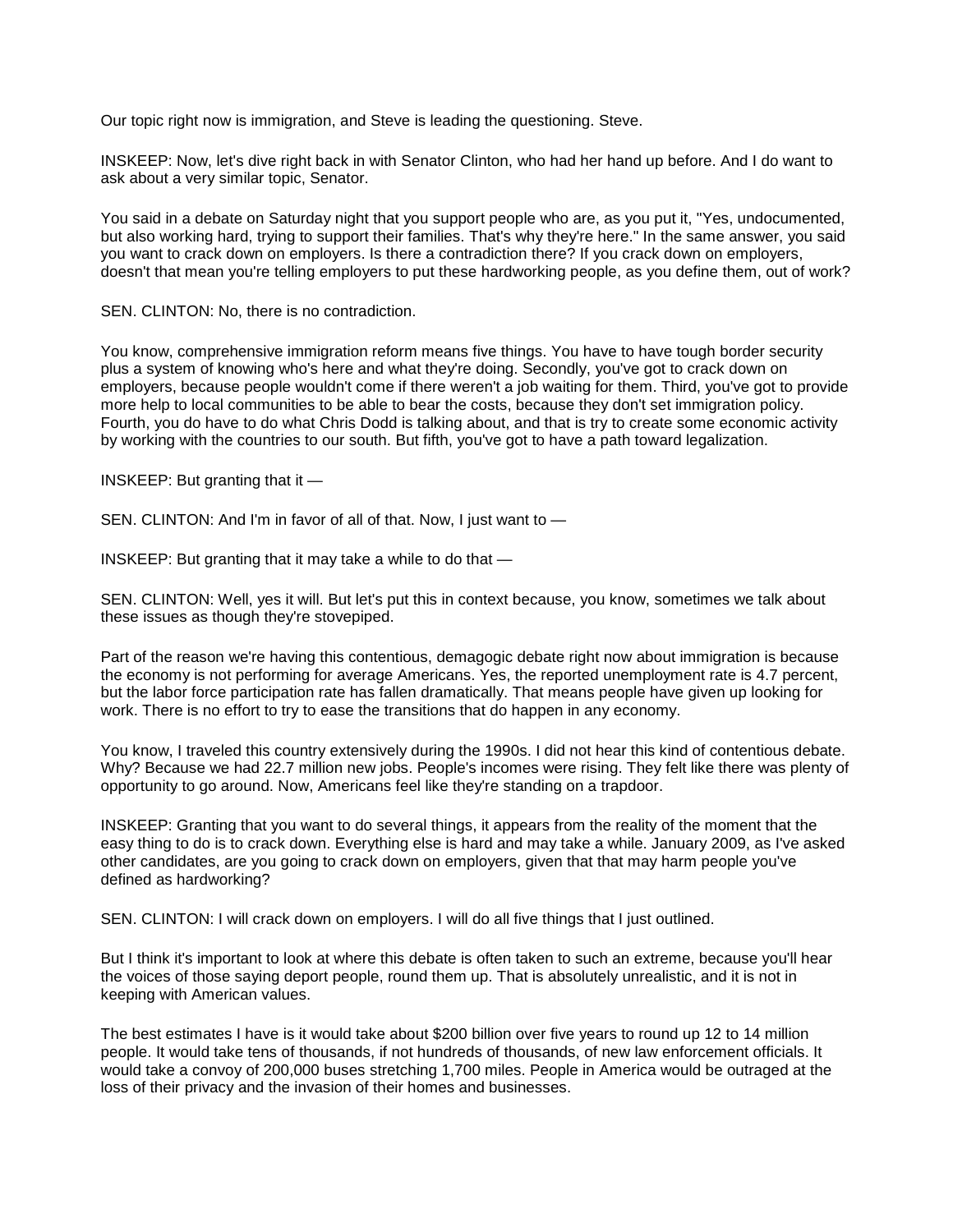Our topic right now is immigration, and Steve is leading the questioning. Steve.

INSKEEP: Now, let's dive right back in with Senator Clinton, who had her hand up before. And I do want to ask about a very similar topic, Senator.

You said in a debate on Saturday night that you support people who are, as you put it, "Yes, undocumented, but also working hard, trying to support their families. That's why they're here." In the same answer, you said you want to crack down on employers. Is there a contradiction there? If you crack down on employers, doesn't that mean you're telling employers to put these hardworking people, as you define them, out of work?

SEN. CLINTON: No, there is no contradiction.

You know, comprehensive immigration reform means five things. You have to have tough border security plus a system of knowing who's here and what they're doing. Secondly, you've got to crack down on employers, because people wouldn't come if there weren't a job waiting for them. Third, you've got to provide more help to local communities to be able to bear the costs, because they don't set immigration policy. Fourth, you do have to do what Chris Dodd is talking about, and that is try to create some economic activity by working with the countries to our south. But fifth, you've got to have a path toward legalization.

INSKEEP: But granting that it —

SEN. CLINTON: And I'm in favor of all of that. Now, I just want to —

INSKEEP: But granting that it may take a while to do that —

SEN. CLINTON: Well, yes it will. But let's put this in context because, you know, sometimes we talk about these issues as though they're stovepiped.

Part of the reason we're having this contentious, demagogic debate right now about immigration is because the economy is not performing for average Americans. Yes, the reported unemployment rate is 4.7 percent, but the labor force participation rate has fallen dramatically. That means people have given up looking for work. There is no effort to try to ease the transitions that do happen in any economy.

You know, I traveled this country extensively during the 1990s. I did not hear this kind of contentious debate. Why? Because we had 22.7 million new jobs. People's incomes were rising. They felt like there was plenty of opportunity to go around. Now, Americans feel like they're standing on a trapdoor.

INSKEEP: Granting that you want to do several things, it appears from the reality of the moment that the easy thing to do is to crack down. Everything else is hard and may take a while. January 2009, as I've asked other candidates, are you going to crack down on employers, given that that may harm people you've defined as hardworking?

SEN. CLINTON: I will crack down on employers. I will do all five things that I just outlined.

But I think it's important to look at where this debate is often taken to such an extreme, because you'll hear the voices of those saying deport people, round them up. That is absolutely unrealistic, and it is not in keeping with American values.

The best estimates I have is it would take about \$200 billion over five years to round up 12 to 14 million people. It would take tens of thousands, if not hundreds of thousands, of new law enforcement officials. It would take a convoy of 200,000 buses stretching 1,700 miles. People in America would be outraged at the loss of their privacy and the invasion of their homes and businesses.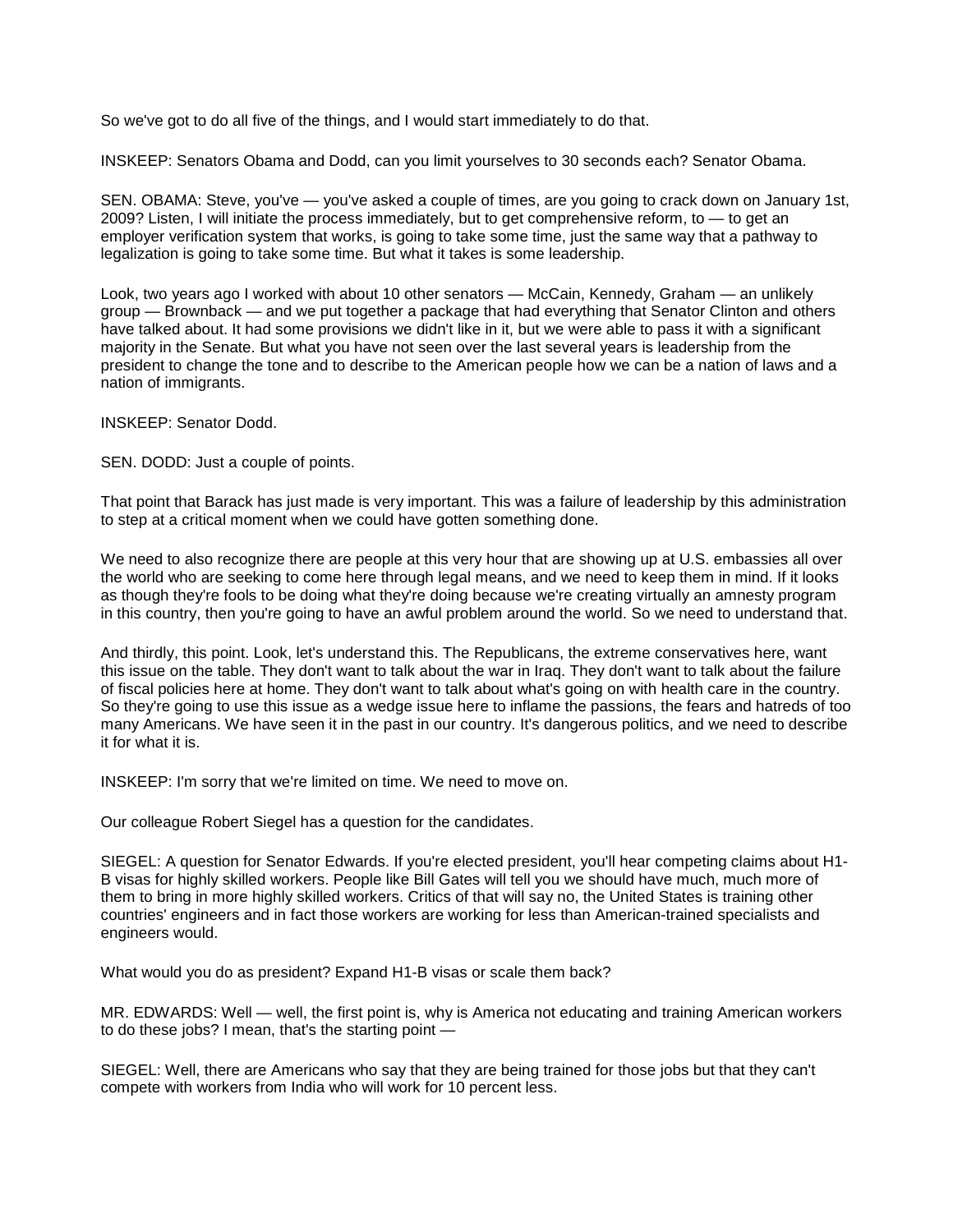So we've got to do all five of the things, and I would start immediately to do that.

INSKEEP: Senators Obama and Dodd, can you limit yourselves to 30 seconds each? Senator Obama.

SEN. OBAMA: Steve, you've — you've asked a couple of times, are you going to crack down on January 1st, 2009? Listen, I will initiate the process immediately, but to get comprehensive reform, to — to get an employer verification system that works, is going to take some time, just the same way that a pathway to legalization is going to take some time. But what it takes is some leadership.

Look, two years ago I worked with about 10 other senators — McCain, Kennedy, Graham — an unlikely group — Brownback — and we put together a package that had everything that Senator Clinton and others have talked about. It had some provisions we didn't like in it, but we were able to pass it with a significant majority in the Senate. But what you have not seen over the last several years is leadership from the president to change the tone and to describe to the American people how we can be a nation of laws and a nation of immigrants.

INSKEEP: Senator Dodd.

SEN. DODD: Just a couple of points.

That point that Barack has just made is very important. This was a failure of leadership by this administration to step at a critical moment when we could have gotten something done.

We need to also recognize there are people at this very hour that are showing up at U.S. embassies all over the world who are seeking to come here through legal means, and we need to keep them in mind. If it looks as though they're fools to be doing what they're doing because we're creating virtually an amnesty program in this country, then you're going to have an awful problem around the world. So we need to understand that.

And thirdly, this point. Look, let's understand this. The Republicans, the extreme conservatives here, want this issue on the table. They don't want to talk about the war in Iraq. They don't want to talk about the failure of fiscal policies here at home. They don't want to talk about what's going on with health care in the country. So they're going to use this issue as a wedge issue here to inflame the passions, the fears and hatreds of too many Americans. We have seen it in the past in our country. It's dangerous politics, and we need to describe it for what it is.

INSKEEP: I'm sorry that we're limited on time. We need to move on.

Our colleague Robert Siegel has a question for the candidates.

SIEGEL: A question for Senator Edwards. If you're elected president, you'll hear competing claims about H1- B visas for highly skilled workers. People like Bill Gates will tell you we should have much, much more of them to bring in more highly skilled workers. Critics of that will say no, the United States is training other countries' engineers and in fact those workers are working for less than American-trained specialists and engineers would.

What would you do as president? Expand H1-B visas or scale them back?

MR. EDWARDS: Well — well, the first point is, why is America not educating and training American workers to do these jobs? I mean, that's the starting point —

SIEGEL: Well, there are Americans who say that they are being trained for those jobs but that they can't compete with workers from India who will work for 10 percent less.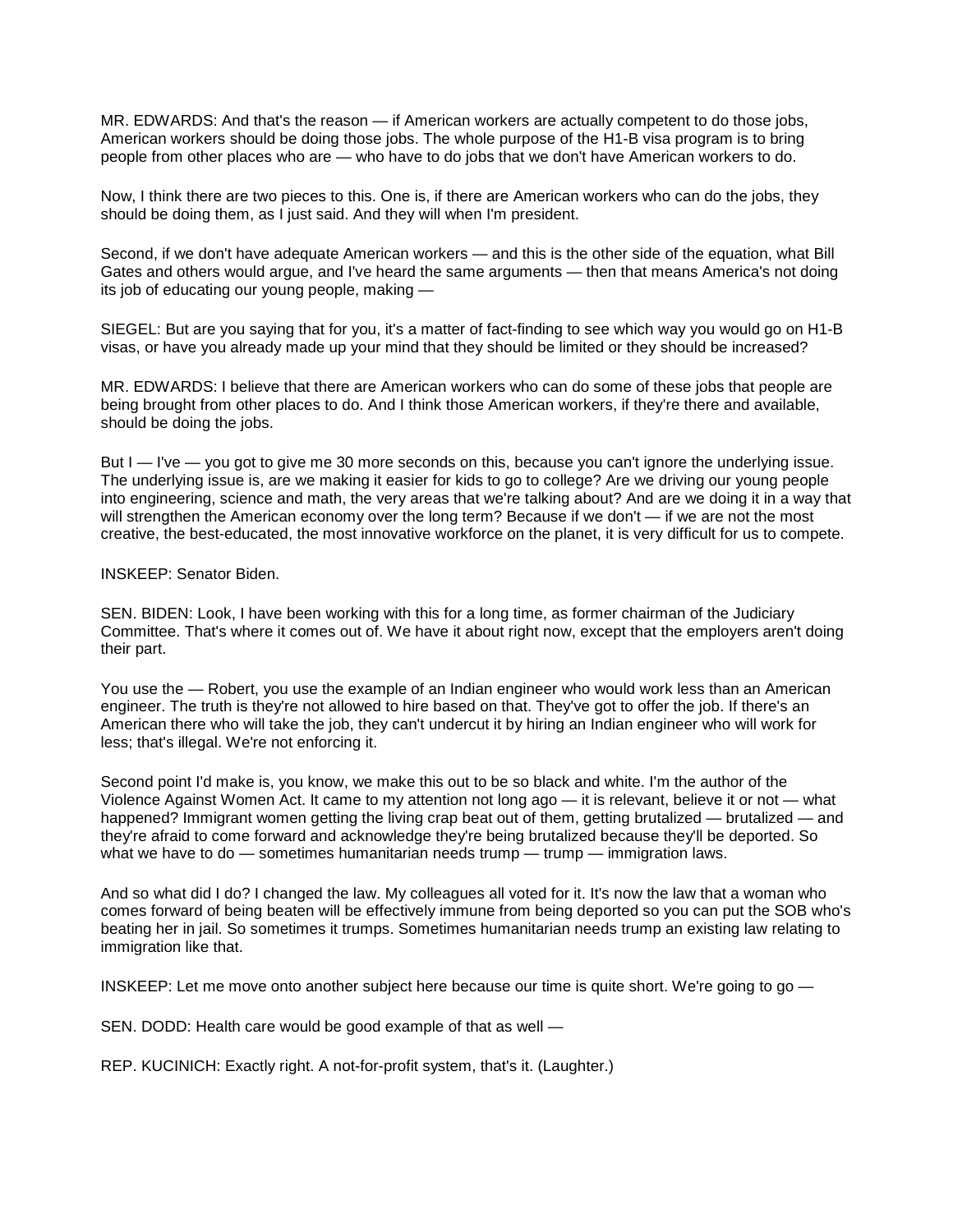MR. EDWARDS: And that's the reason — if American workers are actually competent to do those jobs, American workers should be doing those jobs. The whole purpose of the H1-B visa program is to bring people from other places who are — who have to do jobs that we don't have American workers to do.

Now, I think there are two pieces to this. One is, if there are American workers who can do the jobs, they should be doing them, as I just said. And they will when I'm president.

Second, if we don't have adequate American workers — and this is the other side of the equation, what Bill Gates and others would argue, and I've heard the same arguments — then that means America's not doing its job of educating our young people, making —

SIEGEL: But are you saying that for you, it's a matter of fact-finding to see which way you would go on H1-B visas, or have you already made up your mind that they should be limited or they should be increased?

MR. EDWARDS: I believe that there are American workers who can do some of these jobs that people are being brought from other places to do. And I think those American workers, if they're there and available, should be doing the jobs.

But I — I've — you got to give me 30 more seconds on this, because you can't ignore the underlying issue. The underlying issue is, are we making it easier for kids to go to college? Are we driving our young people into engineering, science and math, the very areas that we're talking about? And are we doing it in a way that will strengthen the American economy over the long term? Because if we don't — if we are not the most creative, the best-educated, the most innovative workforce on the planet, it is very difficult for us to compete.

# INSKEEP: Senator Biden.

SEN. BIDEN: Look, I have been working with this for a long time, as former chairman of the Judiciary Committee. That's where it comes out of. We have it about right now, except that the employers aren't doing their part.

You use the — Robert, you use the example of an Indian engineer who would work less than an American engineer. The truth is they're not allowed to hire based on that. They've got to offer the job. If there's an American there who will take the job, they can't undercut it by hiring an Indian engineer who will work for less; that's illegal. We're not enforcing it.

Second point I'd make is, you know, we make this out to be so black and white. I'm the author of the Violence Against Women Act. It came to my attention not long ago — it is relevant, believe it or not — what happened? Immigrant women getting the living crap beat out of them, getting brutalized — brutalized — and they're afraid to come forward and acknowledge they're being brutalized because they'll be deported. So what we have to do  $-$  sometimes humanitarian needs trump  $-$  trump  $-$  immigration laws.

And so what did I do? I changed the law. My colleagues all voted for it. It's now the law that a woman who comes forward of being beaten will be effectively immune from being deported so you can put the SOB who's beating her in jail. So sometimes it trumps. Sometimes humanitarian needs trump an existing law relating to immigration like that.

INSKEEP: Let me move onto another subject here because our time is quite short. We're going to go —

SEN. DODD: Health care would be good example of that as well —

REP. KUCINICH: Exactly right. A not-for-profit system, that's it. (Laughter.)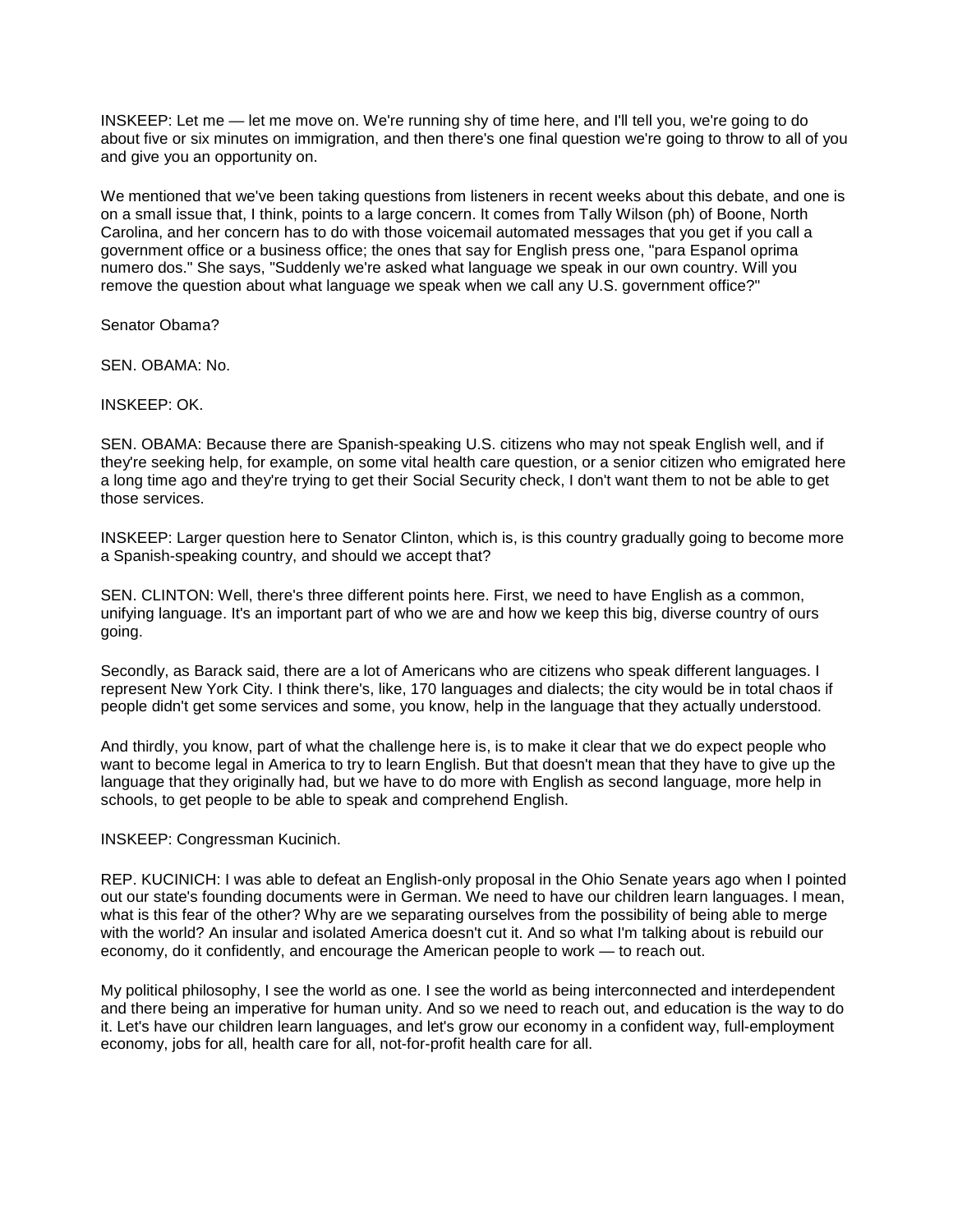INSKEEP: Let me — let me move on. We're running shy of time here, and I'll tell you, we're going to do about five or six minutes on immigration, and then there's one final question we're going to throw to all of you and give you an opportunity on.

We mentioned that we've been taking questions from listeners in recent weeks about this debate, and one is on a small issue that, I think, points to a large concern. It comes from Tally Wilson (ph) of Boone, North Carolina, and her concern has to do with those voicemail automated messages that you get if you call a government office or a business office; the ones that say for English press one, "para Espanol oprima numero dos." She says, "Suddenly we're asked what language we speak in our own country. Will you remove the question about what language we speak when we call any U.S. government office?"

Senator Obama?

SEN. OBAMA: No.

INSKEEP: OK.

SEN. OBAMA: Because there are Spanish-speaking U.S. citizens who may not speak English well, and if they're seeking help, for example, on some vital health care question, or a senior citizen who emigrated here a long time ago and they're trying to get their Social Security check, I don't want them to not be able to get those services.

INSKEEP: Larger question here to Senator Clinton, which is, is this country gradually going to become more a Spanish-speaking country, and should we accept that?

SEN. CLINTON: Well, there's three different points here. First, we need to have English as a common, unifying language. It's an important part of who we are and how we keep this big, diverse country of ours going.

Secondly, as Barack said, there are a lot of Americans who are citizens who speak different languages. I represent New York City. I think there's, like, 170 languages and dialects; the city would be in total chaos if people didn't get some services and some, you know, help in the language that they actually understood.

And thirdly, you know, part of what the challenge here is, is to make it clear that we do expect people who want to become legal in America to try to learn English. But that doesn't mean that they have to give up the language that they originally had, but we have to do more with English as second language, more help in schools, to get people to be able to speak and comprehend English.

## INSKEEP: Congressman Kucinich.

REP. KUCINICH: I was able to defeat an English-only proposal in the Ohio Senate years ago when I pointed out our state's founding documents were in German. We need to have our children learn languages. I mean, what is this fear of the other? Why are we separating ourselves from the possibility of being able to merge with the world? An insular and isolated America doesn't cut it. And so what I'm talking about is rebuild our economy, do it confidently, and encourage the American people to work — to reach out.

My political philosophy, I see the world as one. I see the world as being interconnected and interdependent and there being an imperative for human unity. And so we need to reach out, and education is the way to do it. Let's have our children learn languages, and let's grow our economy in a confident way, full-employment economy, jobs for all, health care for all, not-for-profit health care for all.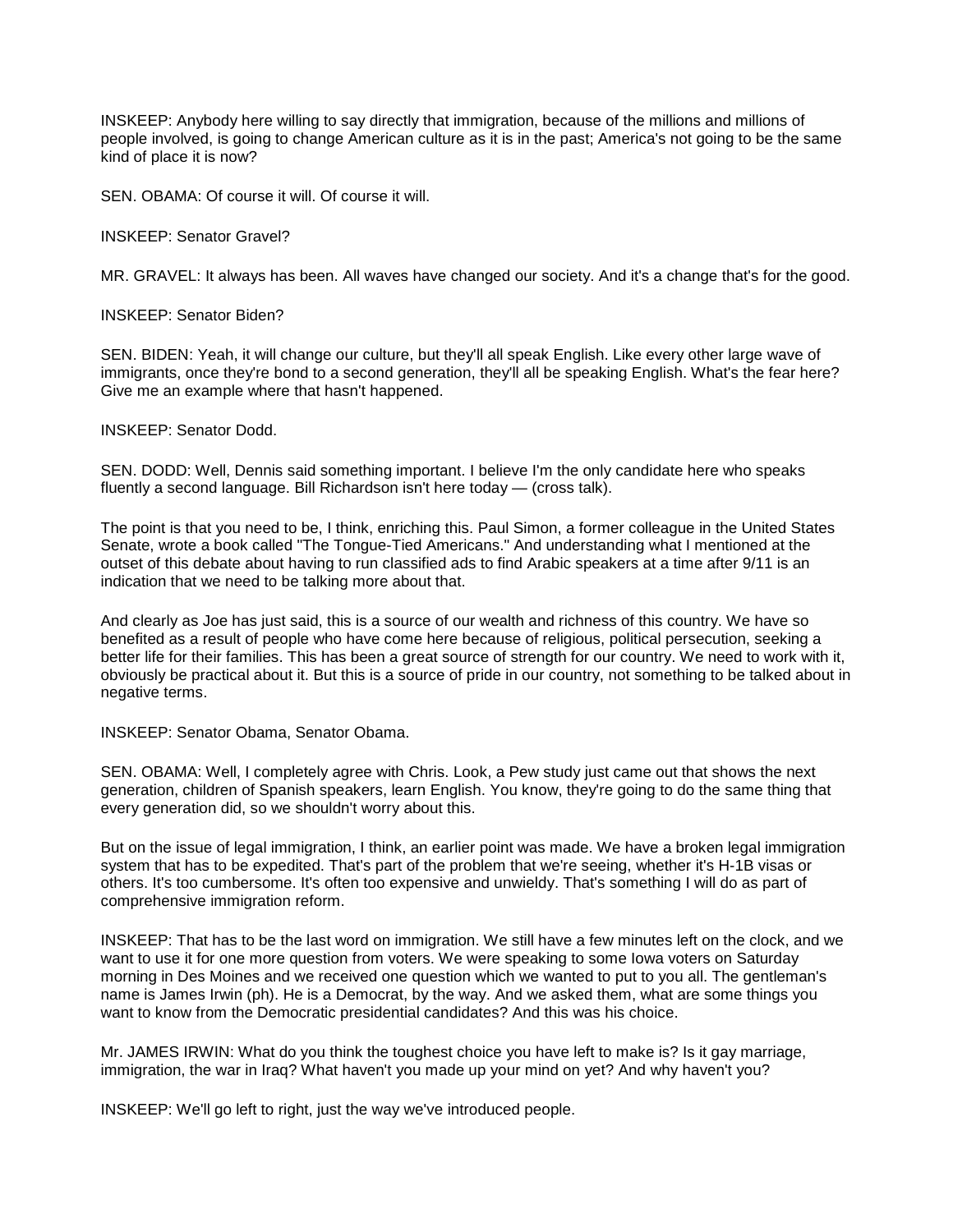INSKEEP: Anybody here willing to say directly that immigration, because of the millions and millions of people involved, is going to change American culture as it is in the past; America's not going to be the same kind of place it is now?

SEN. OBAMA: Of course it will. Of course it will.

INSKEEP: Senator Gravel?

MR. GRAVEL: It always has been. All waves have changed our society. And it's a change that's for the good.

INSKEEP: Senator Biden?

SEN. BIDEN: Yeah, it will change our culture, but they'll all speak English. Like every other large wave of immigrants, once they're bond to a second generation, they'll all be speaking English. What's the fear here? Give me an example where that hasn't happened.

INSKEEP: Senator Dodd.

SEN. DODD: Well, Dennis said something important. I believe I'm the only candidate here who speaks fluently a second language. Bill Richardson isn't here today — (cross talk).

The point is that you need to be, I think, enriching this. Paul Simon, a former colleague in the United States Senate, wrote a book called "The Tongue-Tied Americans." And understanding what I mentioned at the outset of this debate about having to run classified ads to find Arabic speakers at a time after 9/11 is an indication that we need to be talking more about that.

And clearly as Joe has just said, this is a source of our wealth and richness of this country. We have so benefited as a result of people who have come here because of religious, political persecution, seeking a better life for their families. This has been a great source of strength for our country. We need to work with it, obviously be practical about it. But this is a source of pride in our country, not something to be talked about in negative terms.

INSKEEP: Senator Obama, Senator Obama.

SEN. OBAMA: Well, I completely agree with Chris. Look, a Pew study just came out that shows the next generation, children of Spanish speakers, learn English. You know, they're going to do the same thing that every generation did, so we shouldn't worry about this.

But on the issue of legal immigration, I think, an earlier point was made. We have a broken legal immigration system that has to be expedited. That's part of the problem that we're seeing, whether it's H-1B visas or others. It's too cumbersome. It's often too expensive and unwieldy. That's something I will do as part of comprehensive immigration reform.

INSKEEP: That has to be the last word on immigration. We still have a few minutes left on the clock, and we want to use it for one more question from voters. We were speaking to some Iowa voters on Saturday morning in Des Moines and we received one question which we wanted to put to you all. The gentleman's name is James Irwin (ph). He is a Democrat, by the way. And we asked them, what are some things you want to know from the Democratic presidential candidates? And this was his choice.

Mr. JAMES IRWIN: What do you think the toughest choice you have left to make is? Is it gay marriage, immigration, the war in Iraq? What haven't you made up your mind on yet? And why haven't you?

INSKEEP: We'll go left to right, just the way we've introduced people.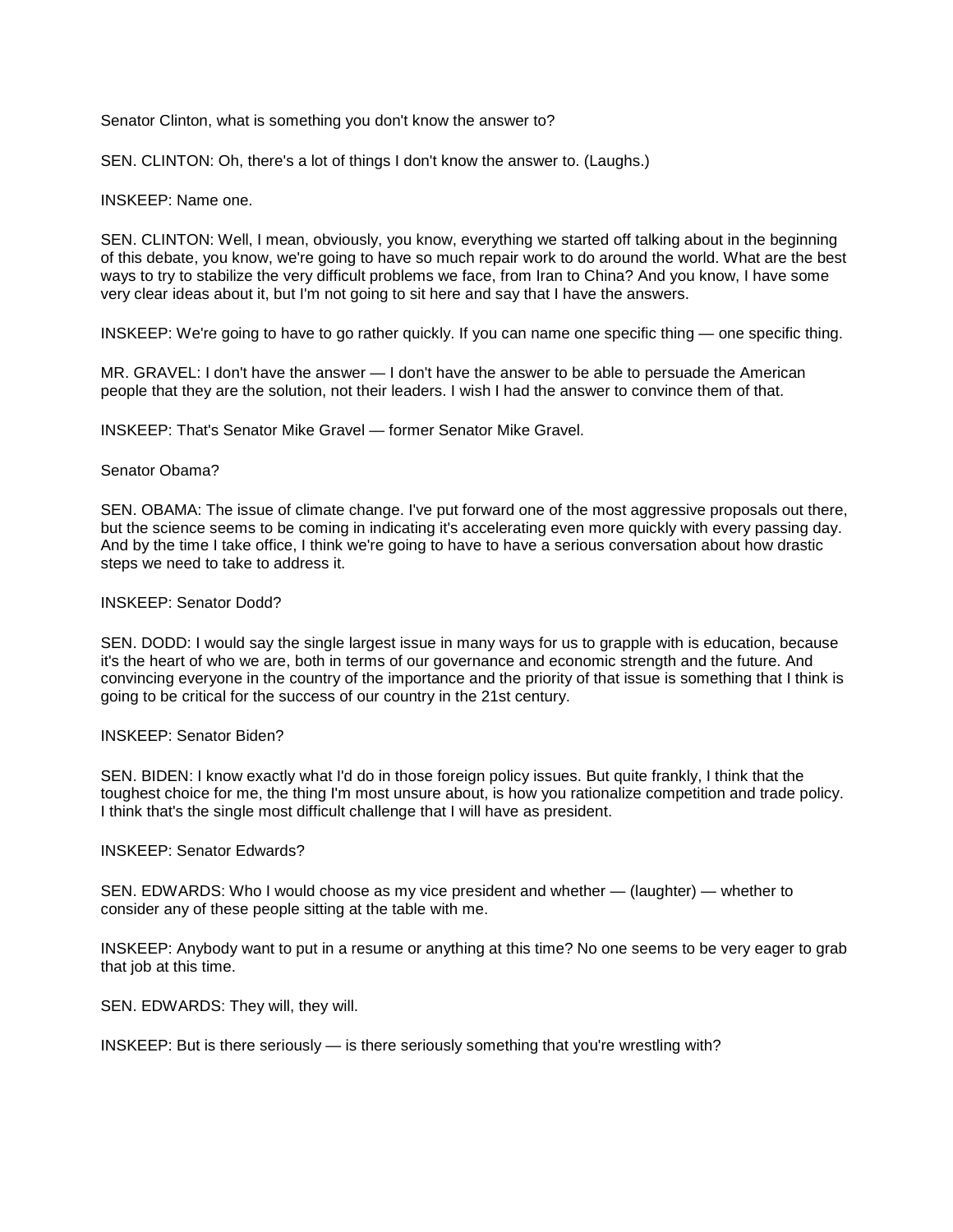Senator Clinton, what is something you don't know the answer to?

SEN. CLINTON: Oh, there's a lot of things I don't know the answer to. (Laughs.)

## INSKEEP: Name one.

SEN. CLINTON: Well, I mean, obviously, you know, everything we started off talking about in the beginning of this debate, you know, we're going to have so much repair work to do around the world. What are the best ways to try to stabilize the very difficult problems we face, from Iran to China? And you know, I have some very clear ideas about it, but I'm not going to sit here and say that I have the answers.

INSKEEP: We're going to have to go rather quickly. If you can name one specific thing — one specific thing.

MR. GRAVEL: I don't have the answer — I don't have the answer to be able to persuade the American people that they are the solution, not their leaders. I wish I had the answer to convince them of that.

INSKEEP: That's Senator Mike Gravel — former Senator Mike Gravel.

# Senator Obama?

SEN. OBAMA: The issue of climate change. I've put forward one of the most aggressive proposals out there, but the science seems to be coming in indicating it's accelerating even more quickly with every passing day. And by the time I take office, I think we're going to have to have a serious conversation about how drastic steps we need to take to address it.

## INSKEEP: Senator Dodd?

SEN. DODD: I would say the single largest issue in many ways for us to grapple with is education, because it's the heart of who we are, both in terms of our governance and economic strength and the future. And convincing everyone in the country of the importance and the priority of that issue is something that I think is going to be critical for the success of our country in the 21st century.

# INSKEEP: Senator Biden?

SEN. BIDEN: I know exactly what I'd do in those foreign policy issues. But quite frankly, I think that the toughest choice for me, the thing I'm most unsure about, is how you rationalize competition and trade policy. I think that's the single most difficult challenge that I will have as president.

#### INSKEEP: Senator Edwards?

SEN. EDWARDS: Who I would choose as my vice president and whether — (laughter) — whether to consider any of these people sitting at the table with me.

INSKEEP: Anybody want to put in a resume or anything at this time? No one seems to be very eager to grab that job at this time.

SEN. EDWARDS: They will, they will.

INSKEEP: But is there seriously — is there seriously something that you're wrestling with?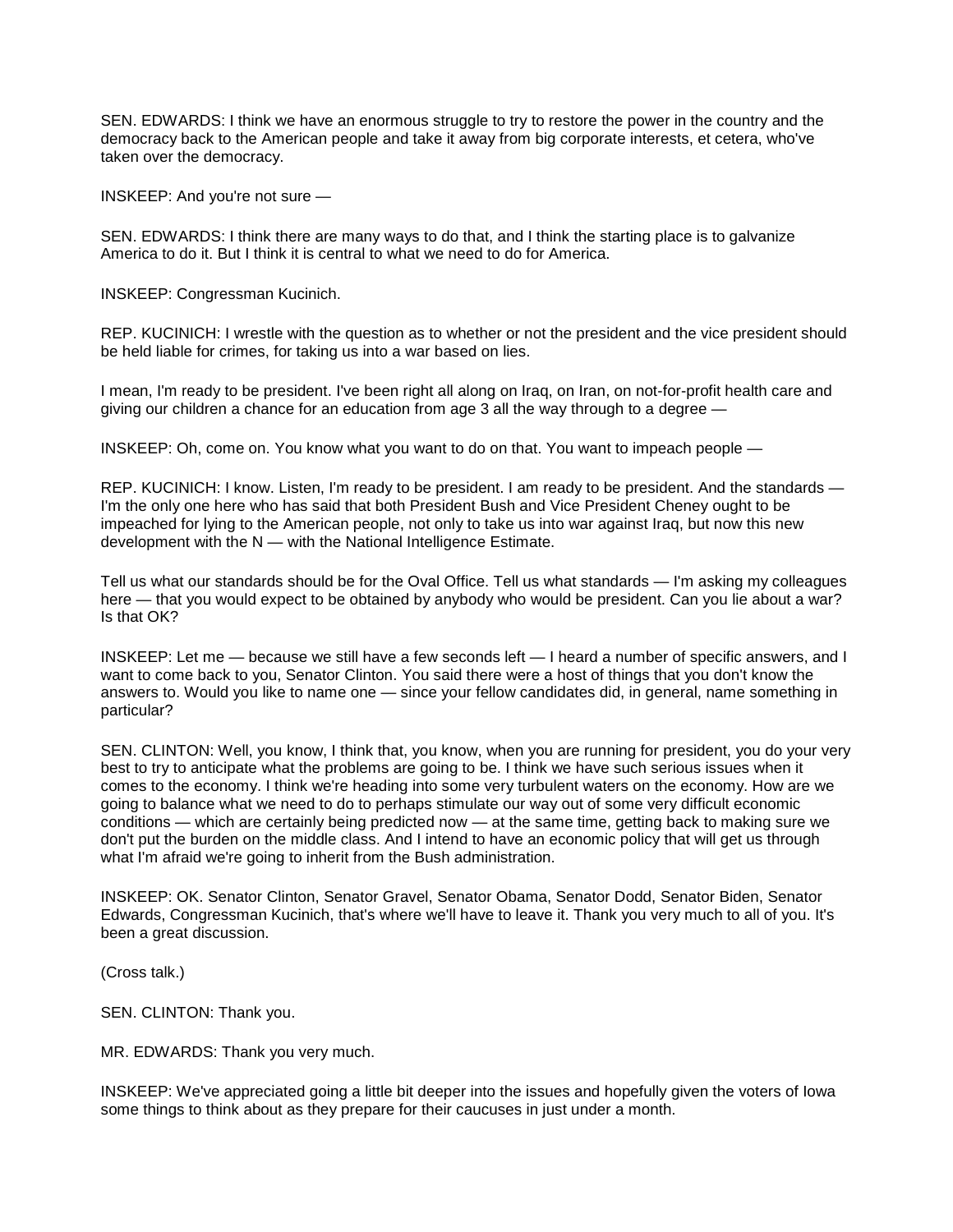SEN. EDWARDS: I think we have an enormous struggle to try to restore the power in the country and the democracy back to the American people and take it away from big corporate interests, et cetera, who've taken over the democracy.

INSKEEP: And you're not sure —

SEN. EDWARDS: I think there are many ways to do that, and I think the starting place is to galvanize America to do it. But I think it is central to what we need to do for America.

INSKEEP: Congressman Kucinich.

REP. KUCINICH: I wrestle with the question as to whether or not the president and the vice president should be held liable for crimes, for taking us into a war based on lies.

I mean, I'm ready to be president. I've been right all along on Iraq, on Iran, on not-for-profit health care and giving our children a chance for an education from age 3 all the way through to a degree -

INSKEEP: Oh, come on. You know what you want to do on that. You want to impeach people —

REP. KUCINICH: I know. Listen, I'm ready to be president. I am ready to be president. And the standards — I'm the only one here who has said that both President Bush and Vice President Cheney ought to be impeached for lying to the American people, not only to take us into war against Iraq, but now this new development with the N — with the National Intelligence Estimate.

Tell us what our standards should be for the Oval Office. Tell us what standards — I'm asking my colleagues here — that you would expect to be obtained by anybody who would be president. Can you lie about a war? Is that OK?

INSKEEP: Let me — because we still have a few seconds left — I heard a number of specific answers, and I want to come back to you, Senator Clinton. You said there were a host of things that you don't know the answers to. Would you like to name one — since your fellow candidates did, in general, name something in particular?

SEN. CLINTON: Well, you know, I think that, you know, when you are running for president, you do your very best to try to anticipate what the problems are going to be. I think we have such serious issues when it comes to the economy. I think we're heading into some very turbulent waters on the economy. How are we going to balance what we need to do to perhaps stimulate our way out of some very difficult economic conditions — which are certainly being predicted now — at the same time, getting back to making sure we don't put the burden on the middle class. And I intend to have an economic policy that will get us through what I'm afraid we're going to inherit from the Bush administration.

INSKEEP: OK. Senator Clinton, Senator Gravel, Senator Obama, Senator Dodd, Senator Biden, Senator Edwards, Congressman Kucinich, that's where we'll have to leave it. Thank you very much to all of you. It's been a great discussion.

(Cross talk.)

SEN. CLINTON: Thank you.

MR. EDWARDS: Thank you very much.

INSKEEP: We've appreciated going a little bit deeper into the issues and hopefully given the voters of Iowa some things to think about as they prepare for their caucuses in just under a month.